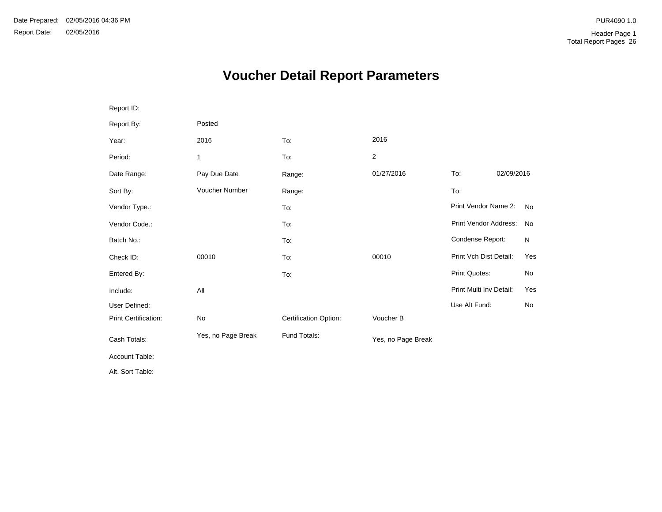# **Voucher Detail Report Parameters**

| Report ID:           |                    |                       |                    |                         |            |
|----------------------|--------------------|-----------------------|--------------------|-------------------------|------------|
| Report By:           | Posted             |                       |                    |                         |            |
| Year:                | 2016               | To:                   | 2016               |                         |            |
| Period:              | 1                  | To:                   | $\overline{2}$     |                         |            |
| Date Range:          | Pay Due Date       | Range:                | 01/27/2016         | To:                     | 02/09/2016 |
| Sort By:             | Voucher Number     | Range:                |                    | To:                     |            |
| Vendor Type.:        |                    | To:                   |                    | Print Vendor Name 2:    | <b>No</b>  |
| Vendor Code.:        |                    | To:                   |                    | Print Vendor Address:   | <b>No</b>  |
| Batch No.:           |                    | To:                   |                    | Condense Report:        | N          |
| Check ID:            | 00010              | To:                   | 00010              | Print Vch Dist Detail:  | Yes        |
| Entered By:          |                    | To:                   |                    | Print Quotes:           | No         |
| Include:             | All                |                       |                    | Print Multi Inv Detail: | Yes        |
| User Defined:        |                    |                       |                    | Use Alt Fund:           | <b>No</b>  |
| Print Certification: | No                 | Certification Option: | Voucher B          |                         |            |
| Cash Totals:         | Yes, no Page Break | Fund Totals:          | Yes, no Page Break |                         |            |
| Account Table:       |                    |                       |                    |                         |            |
| Alt. Sort Table:     |                    |                       |                    |                         |            |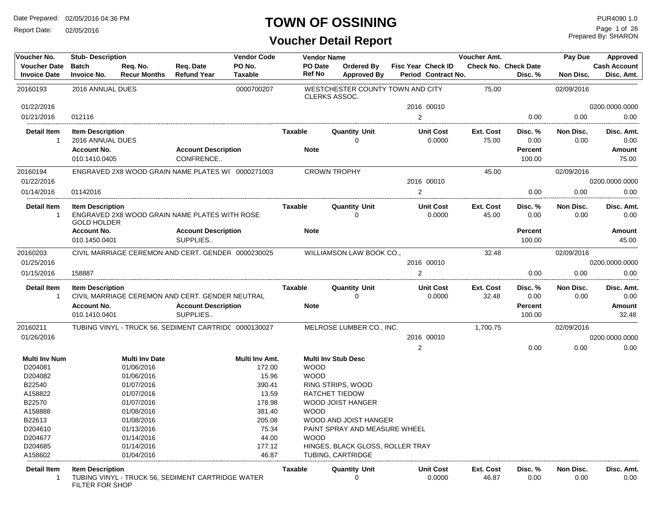Report Date: 02/05/2016

#### **TOWN OF OSSINING**

| Voucher No.                                | <b>Stub-Description</b>                           |                                     | <b>Vendor Code</b><br>Voucher Amt.<br><b>Vendor Name</b> |                          |             | Pay Due              | Approved                                |                                           |                    |                                        |                   |                                   |
|--------------------------------------------|---------------------------------------------------|-------------------------------------|----------------------------------------------------------|--------------------------|-------------|----------------------|-----------------------------------------|-------------------------------------------|--------------------|----------------------------------------|-------------------|-----------------------------------|
| <b>Voucher Date</b><br><b>Invoice Date</b> | <b>Batch</b><br><b>Invoice No.</b>                | Req. No.<br><b>Recur Months</b>     | Req. Date<br><b>Refund Year</b>                          | PO No.<br><b>Taxable</b> |             | PO Date<br>Ref No    | <b>Ordered By</b><br><b>Approved By</b> | Fisc Year Check ID<br>Period Contract No. |                    | <b>Check No. Check Date</b><br>Disc. % | Non Disc.         | <b>Cash Account</b><br>Disc. Amt. |
| 20160193                                   | 2016 ANNUAL DUES                                  |                                     |                                                          | 0000700207               |             | <b>CLERKS ASSOC.</b> |                                         | WESTCHESTER COUNTY TOWN AND CITY          | 75.00              |                                        | 02/09/2016        |                                   |
| 01/22/2016                                 |                                                   |                                     |                                                          |                          |             |                      |                                         | 2016 00010                                |                    |                                        |                   | 0200.0000.0000                    |
| 01/21/2016                                 | 012116                                            |                                     |                                                          |                          |             |                      |                                         | 2                                         |                    | 0.00                                   | 0.00              | 0.00                              |
| <b>Detail Item</b><br>-1                   | <b>Item Description</b><br>2016 ANNUAL DUES       |                                     |                                                          |                          | Taxable     |                      | <b>Quantity Unit</b><br>$\Omega$        | <b>Unit Cost</b><br>0.0000                | Ext. Cost<br>75.00 | Disc. %<br>0.00                        | Non Disc.<br>0.00 | Disc. Amt.<br>0.00                |
|                                            | <b>Account No.</b><br>010.1410.0405               |                                     | <b>Account Description</b><br>CONFRENCE                  |                          | <b>Note</b> |                      |                                         |                                           |                    | Percent<br>100.00                      |                   | Amount<br>75.00                   |
| 20160194                                   |                                                   |                                     | ENGRAVED 2X8 WOOD GRAIN NAME PLATES WI 0000271003        |                          |             | <b>CROWN TROPHY</b>  |                                         |                                           | 45.00              |                                        | 02/09/2016        |                                   |
| 01/22/2016                                 |                                                   |                                     |                                                          |                          |             |                      |                                         | 2016 00010                                |                    |                                        |                   | 0200.0000.0000                    |
| 01/14/2016                                 | 01142016                                          |                                     |                                                          |                          |             |                      |                                         | 2                                         |                    | 0.00                                   | 0.00              | 0.00                              |
| <b>Detail Item</b><br>-1                   | <b>Item Description</b><br><b>GOLD HOLDER</b>     |                                     | ENGRAVED 2X8 WOOD GRAIN NAME PLATES WITH ROSE            |                          | Taxable     |                      | <b>Quantity Unit</b><br>$\Omega$        | <b>Unit Cost</b><br>0.0000                | Ext. Cost<br>45.00 | Disc. %<br>0.00                        | Non Disc.<br>0.00 | Disc. Amt.<br>0.00                |
|                                            | <b>Account No.</b><br>010.1450.0401               |                                     | <b>Account Description</b><br>SUPPLIES                   |                          | <b>Note</b> |                      |                                         |                                           |                    | Percent<br>100.00                      |                   | Amount<br>45.00                   |
| 20160203                                   |                                                   |                                     | CIVIL MARRIAGE CEREMON AND CERT. GENDER 0000230025       |                          |             |                      | WILLIAMSON LAW BOOK CO.,                |                                           | 32.48              |                                        | 02/09/2016        |                                   |
| 01/25/2016                                 |                                                   |                                     |                                                          |                          |             |                      |                                         | 2016 00010                                |                    |                                        |                   | 0200.0000.0000                    |
| 01/15/2016                                 | 158887                                            |                                     |                                                          |                          |             |                      |                                         | 2                                         |                    | 0.00                                   | 0.00              | 0.00                              |
| <b>Detail Item</b><br>$\overline{1}$       | <b>Item Description</b>                           |                                     | CIVIL MARRIAGE CEREMON AND CERT. GENDER NEUTRAL          |                          | Taxable     |                      | <b>Quantity Unit</b><br>$\Omega$        | <b>Unit Cost</b><br>0.0000                | Ext. Cost<br>32.48 | Disc. %<br>0.00                        | Non Disc.<br>0.00 | Disc. Amt.                        |
|                                            | <b>Account No.</b>                                |                                     | <b>Account Description</b>                               |                          | <b>Note</b> |                      |                                         |                                           |                    | Percent                                |                   | 0.00<br>Amount                    |
|                                            | 010.1410.0401                                     |                                     | SUPPLIES                                                 |                          |             |                      |                                         |                                           |                    | 100.00                                 |                   | 32.48                             |
| 20160211                                   |                                                   |                                     | TUBING VINYL - TRUCK 56, SEDIMENT CARTRIDC 0000130027    |                          |             |                      | MELROSE LUMBER CO., INC.                |                                           | 1,700.75           |                                        | 02/09/2016        |                                   |
| 01/26/2016                                 |                                                   |                                     |                                                          |                          |             |                      |                                         | 2016 00010                                |                    |                                        |                   | 0200.0000.0000                    |
|                                            |                                                   |                                     |                                                          |                          |             |                      |                                         | $\overline{2}$                            |                    | 0.00                                   | 0.00              | 0.00                              |
| <b>Multi Inv Num</b><br>D204081            |                                                   | <b>Multi Inv Date</b><br>01/06/2016 |                                                          | Multi Inv Amt.<br>172.00 |             | <b>WOOD</b>          | <b>Multi Inv Stub Desc</b>              |                                           |                    |                                        |                   |                                   |
| D204082                                    |                                                   | 01/06/2016                          |                                                          | 15.96                    |             | <b>WOOD</b>          |                                         |                                           |                    |                                        |                   |                                   |
| B22540                                     |                                                   | 01/07/2016                          |                                                          | 390.41                   |             |                      | RING STRIPS, WOOD                       |                                           |                    |                                        |                   |                                   |
| A158822                                    |                                                   | 01/07/2016                          |                                                          | 13.59                    |             |                      | RATCHET TIEDOW                          |                                           |                    |                                        |                   |                                   |
| B22570                                     |                                                   | 01/07/2016                          |                                                          | 178.98                   |             |                      | WOOD JOIST HANGER                       |                                           |                    |                                        |                   |                                   |
| A158888                                    |                                                   | 01/08/2016                          |                                                          | 381.40                   |             | <b>WOOD</b>          |                                         |                                           |                    |                                        |                   |                                   |
| B22613                                     |                                                   | 01/08/2016                          |                                                          | 205.08                   |             |                      | WOOD AND JOIST HANGER                   |                                           |                    |                                        |                   |                                   |
| D204610                                    |                                                   | 01/13/2016                          |                                                          | 75.34                    |             |                      | PAINT SPRAY AND MEASURE WHEEL           |                                           |                    |                                        |                   |                                   |
| D204677                                    |                                                   | 01/14/2016                          |                                                          | 44.00                    |             | <b>WOOD</b>          |                                         |                                           |                    |                                        |                   |                                   |
| D204685                                    |                                                   | 01/14/2016                          |                                                          | 177.12                   |             |                      | HINGES, BLACK GLOSS, ROLLER TRAY        |                                           |                    |                                        |                   |                                   |
| A158602                                    |                                                   | 01/04/2016                          |                                                          | 46.87                    |             |                      | TUBING, CARTRIDGE                       |                                           |                    |                                        |                   |                                   |
| <b>Detail Item</b><br>-1                   | <b>Item Description</b><br><b>FILTER FOR SHOP</b> |                                     | TUBING VINYL - TRUCK 56, SEDIMENT CARTRIDGE WATER        |                          | Taxable     |                      | <b>Quantity Unit</b>                    | <b>Unit Cost</b><br>0.0000                | Ext. Cost<br>46.87 | Disc. %<br>0.00                        | Non Disc.<br>0.00 | Disc. Amt.<br>0.00                |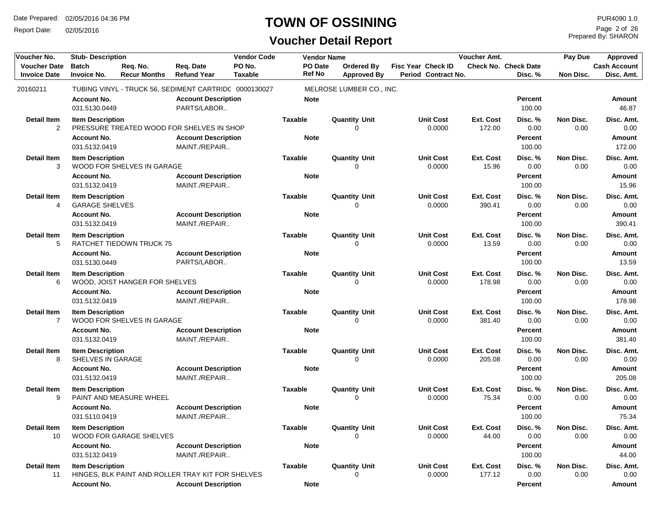Report Date: 02/05/2016

#### **TOWN OF OSSINING**

**Voucher Detail Report**

Prepared By: SHARON Page 2 of 26

| Voucher No.                                | <b>Stub-Description</b>                          |                                 |                                                                                 | <b>Vendor Code</b>       |                               | <b>Vendor Name</b>                      |                                           | Voucher Amt.               |                                   | Approved          |                                   |
|--------------------------------------------|--------------------------------------------------|---------------------------------|---------------------------------------------------------------------------------|--------------------------|-------------------------------|-----------------------------------------|-------------------------------------------|----------------------------|-----------------------------------|-------------------|-----------------------------------|
| <b>Voucher Date</b><br><b>Invoice Date</b> | <b>Batch</b><br><b>Invoice No.</b>               | Req. No.<br><b>Recur Months</b> | Req. Date<br><b>Refund Year</b>                                                 | PO No.<br><b>Taxable</b> | PO Date<br>Ref No             | <b>Ordered By</b><br><b>Approved By</b> | Fisc Year Check ID<br>Period Contract No. |                            | Check No. Check Date<br>Disc. %   | <b>Non Disc.</b>  | <b>Cash Account</b><br>Disc. Amt. |
| 20160211                                   |                                                  |                                 | TUBING VINYL - TRUCK 56, SEDIMENT CARTRIDC 0000130027                           |                          |                               | MELROSE LUMBER CO., INC.                |                                           |                            |                                   |                   |                                   |
|                                            | <b>Account No.</b><br>031.5130.0449              |                                 | <b>Account Description</b><br>PARTS/LABOR                                       |                          | <b>Note</b>                   |                                         |                                           |                            | Percent<br>100.00                 |                   | <b>Amount</b><br>46.87            |
| <b>Detail Item</b><br>2                    | <b>Item Description</b>                          |                                 | PRESSURE TREATED WOOD FOR SHELVES IN SHOP                                       |                          | <b>Taxable</b>                | <b>Quantity Unit</b><br>$\Omega$        | <b>Unit Cost</b><br>0.0000                | Ext. Cost<br>172.00        | Disc. %<br>0.00                   | Non Disc.<br>0.00 | Disc. Amt.<br>0.00                |
|                                            | <b>Account No.</b><br>031.5132.0419              |                                 | <b>Account Description</b><br>MAINT./REPAIR                                     |                          | <b>Note</b>                   |                                         |                                           |                            | Percent<br>100.00                 |                   | Amount<br>172.00                  |
| <b>Detail Item</b><br>3                    | <b>Item Description</b>                          | WOOD FOR SHELVES IN GARAGE      |                                                                                 |                          | <b>Taxable</b>                | <b>Quantity Unit</b><br>0               | <b>Unit Cost</b><br>0.0000                | Ext. Cost<br>15.96         | Disc.%<br>0.00                    | Non Disc.<br>0.00 | Disc. Amt.<br>0.00                |
|                                            | <b>Account No.</b><br>031.5132.0419              |                                 | <b>Account Description</b><br>MAINT./REPAIR                                     |                          | <b>Note</b>                   |                                         |                                           |                            | <b>Percent</b><br>100.00          |                   | Amount<br>15.96                   |
| <b>Detail Item</b><br>4                    | <b>Item Description</b><br><b>GARAGE SHELVES</b> |                                 |                                                                                 |                          | <b>Taxable</b>                | <b>Quantity Unit</b><br>0               | <b>Unit Cost</b><br>0.0000                | Ext. Cost<br>390.41        | Disc. %<br>0.00                   | Non Disc.<br>0.00 | Disc. Amt.<br>0.00                |
|                                            | <b>Account No.</b><br>031.5132.0419              |                                 | <b>Account Description</b><br>MAINT./REPAIR                                     |                          | <b>Note</b>                   |                                         |                                           |                            | <b>Percent</b><br>100.00          |                   | Amount<br>390.41                  |
| <b>Detail Item</b><br>5                    | <b>Item Description</b>                          | RATCHET TIEDOWN TRUCK 75        |                                                                                 |                          | <b>Taxable</b>                | <b>Quantity Unit</b><br>$\Omega$        | <b>Unit Cost</b><br>0.0000                | <b>Ext. Cost</b><br>13.59  | Disc. %<br>0.00                   | Non Disc.<br>0.00 | Disc. Amt.<br>0.00                |
|                                            | <b>Account No.</b><br>031.5130.0449              |                                 | <b>Account Description</b><br>PARTS/LABOR                                       |                          | <b>Note</b>                   |                                         |                                           |                            | Percent<br>100.00                 |                   | Amount<br>13.59                   |
| <b>Detail Item</b><br>6                    | <b>Item Description</b>                          | WOOD, JOIST HANGER FOR SHELVES  |                                                                                 |                          | <b>Taxable</b>                | <b>Quantity Unit</b><br>$\Omega$        | <b>Unit Cost</b><br>0.0000                | Ext. Cost<br>178.98        | Disc. %<br>0.00                   | Non Disc.<br>0.00 | Disc. Amt.<br>0.00                |
|                                            | <b>Account No.</b><br>031.5132.0419              |                                 | <b>Account Description</b><br>MAINT./REPAIR                                     |                          | <b>Note</b>                   |                                         |                                           |                            | <b>Percent</b><br>100.00          |                   | Amount<br>178.98                  |
| <b>Detail Item</b><br>7                    | <b>Item Description</b>                          | WOOD FOR SHELVES IN GARAGE      |                                                                                 |                          | <b>Taxable</b>                | <b>Quantity Unit</b><br>0               | <b>Unit Cost</b><br>0.0000                | <b>Ext. Cost</b><br>381.40 | Disc. %<br>0.00                   | Non Disc.<br>0.00 | Disc. Amt.<br>0.00                |
|                                            | <b>Account No.</b><br>031.5132.0419              |                                 | <b>Account Description</b><br>MAINT./REPAIR                                     |                          | <b>Note</b>                   |                                         |                                           |                            | <b>Percent</b><br>100.00          |                   | Amount<br>381.40                  |
| <b>Detail Item</b><br>8                    | <b>Item Description</b><br>SHELVES IN GARAGE     |                                 |                                                                                 |                          | <b>Taxable</b>                | <b>Quantity Unit</b><br>0               | <b>Unit Cost</b><br>0.0000                | <b>Ext. Cost</b><br>205.08 | Disc.%<br>0.00                    | Non Disc.<br>0.00 | Disc. Amt.<br>0.00                |
|                                            | <b>Account No.</b><br>031.5132.0419              |                                 | <b>Account Description</b><br>MAINT./REPAIR                                     |                          | <b>Note</b>                   |                                         |                                           |                            | Percent<br>100.00                 |                   | Amount<br>205.08                  |
| <b>Detail Item</b><br>9                    | <b>Item Description</b>                          | PAINT AND MEASURE WHEEL         |                                                                                 |                          | <b>Taxable</b>                | <b>Quantity Unit</b><br>$\Omega$        | <b>Unit Cost</b><br>0.0000                | Ext. Cost<br>75.34         | Disc. %<br>0.00                   | Non Disc.<br>0.00 | Disc. Amt.<br>0.00                |
|                                            | <b>Account No.</b><br>031.5110.0419              |                                 | <b>Account Description</b><br>MAINT./REPAIR                                     |                          | <b>Note</b>                   |                                         |                                           |                            | Percent<br>100.00                 |                   | Amount<br>75.34                   |
| <b>Detail Item</b><br>10                   | <b>Item Description</b>                          | <b>WOOD FOR GARAGE SHELVES</b>  |                                                                                 |                          | <b>Taxable</b>                | <b>Quantity Unit</b><br>0               | <b>Unit Cost</b><br>0.0000                | Ext. Cost<br>44.00         | Disc. %<br>0.00                   | Non Disc.<br>0.00 | Disc. Amt.<br>0.00                |
|                                            | <b>Account No.</b><br>031.5132.0419              |                                 | <b>Account Description</b><br>MAINT./REPAIR                                     |                          | <b>Note</b>                   |                                         |                                           |                            | <b>Percent</b><br>100.00          |                   | Amount<br>44.00                   |
| <b>Detail Item</b><br>11                   | <b>Item Description</b><br><b>Account No.</b>    |                                 | HINGES, BLK PAINT AND ROLLER TRAY KIT FOR SHELVES<br><b>Account Description</b> |                          | <b>Taxable</b><br><b>Note</b> | <b>Quantity Unit</b><br>0               | <b>Unit Cost</b><br>0.0000                | Ext. Cost<br>177.12        | Disc. %<br>0.00<br><b>Percent</b> | Non Disc.<br>0.00 | Disc. Amt.<br>0.00<br>Amount      |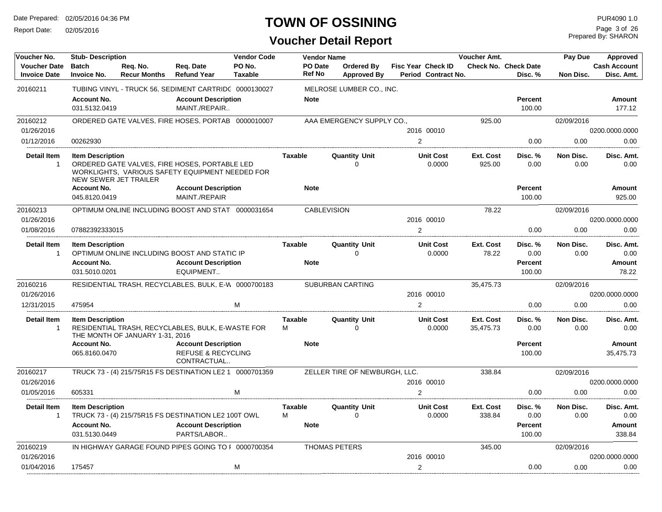Report Date: 02/05/2016

## **TOWN OF OSSINING**

Prepared By: SHARON Page 3 of 26

| Voucher No.                                | <b>Stub-Description</b>             |                                 |                                                                                                  | <b>Vendor Code</b>       |                          | <b>Vendor Name</b>               |                                                  | Voucher Amt.           |                                        | Pay Due           | Approved                          |
|--------------------------------------------|-------------------------------------|---------------------------------|--------------------------------------------------------------------------------------------------|--------------------------|--------------------------|----------------------------------|--------------------------------------------------|------------------------|----------------------------------------|-------------------|-----------------------------------|
| <b>Voucher Date</b><br><b>Invoice Date</b> | <b>Batch</b><br>Invoice No.         | Reg. No.<br><b>Recur Months</b> | Reg. Date<br><b>Refund Year</b>                                                                  | PO No.<br><b>Taxable</b> | PO Date<br><b>Ref No</b> | Ordered By<br><b>Approved By</b> | <b>Fisc Year Check ID</b><br>Period Contract No. |                        | <b>Check No. Check Date</b><br>Disc. % | Non Disc.         | <b>Cash Account</b><br>Disc. Amt. |
| 20160211                                   |                                     |                                 | TUBING VINYL - TRUCK 56, SEDIMENT CARTRIDC 0000130027                                            |                          |                          | MELROSE LUMBER CO., INC.         |                                                  |                        |                                        |                   |                                   |
|                                            | <b>Account No.</b>                  |                                 | <b>Account Description</b>                                                                       |                          | <b>Note</b>              |                                  |                                                  |                        | <b>Percent</b>                         |                   | Amount                            |
|                                            | 031.5132.0419                       |                                 | MAINT./REPAIR                                                                                    |                          |                          |                                  |                                                  |                        | 100.00                                 |                   | 177.12                            |
|                                            |                                     |                                 |                                                                                                  |                          |                          |                                  |                                                  |                        |                                        |                   |                                   |
| 20160212<br>01/26/2016                     |                                     |                                 | ORDERED GATE VALVES, FIRE HOSES, PORTAB 0000010007                                               |                          |                          | AAA EMERGENCY SUPPLY CO.,        | 2016 00010                                       | 925.00                 |                                        | 02/09/2016        |                                   |
| 01/12/2016                                 | 00262930                            |                                 |                                                                                                  |                          |                          |                                  | $\overline{2}$                                   |                        | 0.00                                   | 0.00              | 0200.0000.0000<br>0.00            |
|                                            |                                     |                                 |                                                                                                  |                          |                          |                                  |                                                  |                        |                                        |                   |                                   |
| <b>Detail Item</b>                         | <b>Item Description</b>             |                                 |                                                                                                  |                          | <b>Taxable</b>           | <b>Quantity Unit</b>             | <b>Unit Cost</b>                                 | Ext. Cost              | Disc. %                                | Non Disc.         | Disc. Amt.                        |
| $\overline{1}$                             |                                     | NEW SEWER JET TRAILER           | ORDERED GATE VALVES, FIRE HOSES, PORTABLE LED<br>WORKLIGHTS, VARIOUS SAFETY EQUIPMENT NEEDED FOR |                          |                          | $\Omega$                         | 0.0000                                           | 925.00                 | 0.00                                   | 0.00              | 0.00                              |
|                                            | <b>Account No.</b>                  |                                 | <b>Account Description</b>                                                                       |                          | <b>Note</b>              |                                  |                                                  |                        | <b>Percent</b>                         |                   | Amount                            |
|                                            | 045.8120.0419                       |                                 | MAINT./REPAIR                                                                                    |                          |                          |                                  |                                                  |                        | 100.00                                 |                   | 925.00                            |
| 20160213                                   |                                     |                                 | OPTIMUM ONLINE INCLUDING BOOST AND STAT 0000031654                                               |                          |                          | <b>CABLEVISION</b>               |                                                  | 78.22                  |                                        | 02/09/2016        |                                   |
| 01/26/2016                                 |                                     |                                 |                                                                                                  |                          |                          |                                  | 2016 00010                                       |                        |                                        |                   | 0200.0000.0000                    |
| 01/08/2016                                 | 07882392333015                      |                                 |                                                                                                  |                          |                          |                                  | 2                                                |                        | 0.00                                   | 0.00              | 0.00                              |
| <b>Detail Item</b>                         | <b>Item Description</b>             |                                 |                                                                                                  |                          | <b>Taxable</b>           | <b>Quantity Unit</b>             | <b>Unit Cost</b>                                 | Ext. Cost              | Disc. %                                | Non Disc.         | Disc. Amt.                        |
| $\overline{1}$                             |                                     |                                 | OPTIMUM ONLINE INCLUDING BOOST AND STATIC IP                                                     |                          |                          | $\Omega$                         | 0.0000                                           | 78.22                  | 0.00                                   | 0.00              | 0.00                              |
|                                            | <b>Account No.</b>                  |                                 | <b>Account Description</b>                                                                       |                          | <b>Note</b>              |                                  |                                                  |                        | <b>Percent</b>                         |                   | Amount                            |
|                                            | 031.5010.0201                       |                                 | EQUIPMENT                                                                                        |                          |                          |                                  |                                                  |                        | 100.00                                 |                   | 78.22                             |
| 20160216                                   |                                     |                                 | RESIDENTIAL TRASH, RECYCLABLES, BULK, E-W 0000700183                                             |                          |                          | <b>SUBURBAN CARTING</b>          |                                                  | 35,475.73              |                                        | 02/09/2016        |                                   |
| 01/26/2016                                 |                                     |                                 |                                                                                                  |                          |                          |                                  | 2016 00010                                       |                        |                                        |                   | 0200.0000.0000                    |
| 12/31/2015                                 | 475954                              |                                 |                                                                                                  | M                        |                          |                                  | $\overline{2}$                                   |                        | 0.00                                   | 0.00              | 0.00                              |
| <b>Detail Item</b><br>$\overline{1}$       | <b>Item Description</b>             |                                 | RESIDENTIAL TRASH, RECYCLABLES, BULK, E-WASTE FOR                                                |                          | <b>Taxable</b><br>M      | <b>Quantity Unit</b><br>$\Omega$ | <b>Unit Cost</b><br>0.0000                       | Ext. Cost<br>35,475.73 | Disc. %<br>0.00                        | Non Disc.<br>0.00 | Disc. Amt.<br>0.00                |
|                                            |                                     | THE MONTH OF JANUARY 1-31, 2016 |                                                                                                  |                          |                          |                                  |                                                  |                        |                                        |                   |                                   |
|                                            | <b>Account No.</b>                  |                                 | <b>Account Description</b>                                                                       |                          | <b>Note</b>              |                                  |                                                  |                        | <b>Percent</b>                         |                   | Amount                            |
|                                            | 065.8160.0470                       |                                 | <b>REFUSE &amp; RECYCLING</b><br>CONTRACTUAL                                                     |                          |                          |                                  |                                                  |                        | 100.00                                 |                   | 35.475.73                         |
| 20160217                                   |                                     |                                 | TRUCK 73 - (4) 215/75R15 FS DESTINATION LE2 1 0000701359                                         |                          |                          | ZELLER TIRE OF NEWBURGH, LLC.    |                                                  | 338.84                 |                                        | 02/09/2016        |                                   |
| 01/26/2016                                 |                                     |                                 |                                                                                                  |                          |                          |                                  | 2016 00010                                       |                        |                                        |                   | 0200.0000.0000                    |
| 01/05/2016                                 | 605331                              |                                 |                                                                                                  | M                        |                          |                                  | 2                                                |                        | 0.00                                   | 0.00              | 0.00                              |
| <b>Detail Item</b>                         | <b>Item Description</b>             |                                 |                                                                                                  |                          | <b>Taxable</b>           | <b>Quantity Unit</b>             | <b>Unit Cost</b>                                 | Ext. Cost              | Disc. %                                | Non Disc.         | Disc. Amt.                        |
| $\overline{1}$                             |                                     |                                 | TRUCK 73 - (4) 215/75R15 FS DESTINATION LE2 100T OWL                                             |                          | M                        | $\Omega$                         | 0.0000                                           | 338.84                 | 0.00                                   | 0.00              | 0.00                              |
|                                            | <b>Account No.</b><br>031.5130.0449 |                                 | <b>Account Description</b><br>PARTS/LABOR                                                        |                          | <b>Note</b>              |                                  |                                                  |                        | Percent<br>100.00                      |                   | <b>Amount</b><br>338.84           |
| 20160219                                   |                                     |                                 | IN HIGHWAY GARAGE FOUND PIPES GOING TO I 0000700354                                              |                          |                          | <b>THOMAS PETERS</b>             |                                                  | 345.00                 |                                        | 02/09/2016        |                                   |
| 01/26/2016                                 |                                     |                                 |                                                                                                  |                          |                          |                                  | 2016 00010                                       |                        |                                        |                   | 0200.0000.0000                    |
| 01/04/2016                                 | 175457                              |                                 |                                                                                                  | M                        |                          |                                  | $\overline{2}$                                   |                        | 0.00                                   | 0.00              | 0.00                              |
|                                            |                                     |                                 |                                                                                                  |                          |                          |                                  |                                                  |                        |                                        |                   |                                   |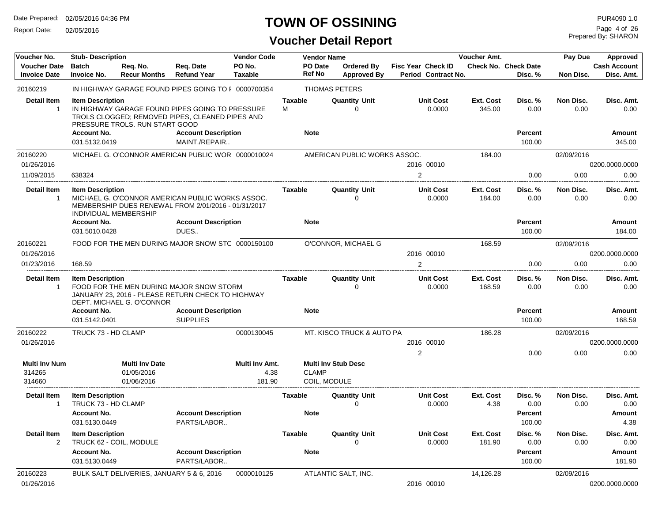Report Date: 02/05/2016

## **TOWN OF OSSINING**

## **Voucher Detail Report**

Prepared By: SHARON Page 4 of 26

| Voucher No.                                | <b>Stub-Description</b>                                 |                                                   |                                                                                                         | <b>Vendor Code</b>               |                     | <b>Vendor Name</b>           |                                         |                                                  | <b>Voucher Amt.</b>        |                                        | Pay Due           | Approved                          |
|--------------------------------------------|---------------------------------------------------------|---------------------------------------------------|---------------------------------------------------------------------------------------------------------|----------------------------------|---------------------|------------------------------|-----------------------------------------|--------------------------------------------------|----------------------------|----------------------------------------|-------------------|-----------------------------------|
| <b>Voucher Date</b><br><b>Invoice Date</b> | <b>Batch</b><br><b>Invoice No.</b>                      | Req. No.<br><b>Recur Months</b>                   | Req. Date<br><b>Refund Year</b>                                                                         | PO No.<br><b>Taxable</b>         |                     | PO Date<br><b>Ref No</b>     | <b>Ordered By</b><br><b>Approved By</b> | <b>Fisc Year Check ID</b><br>Period Contract No. |                            | <b>Check No. Check Date</b><br>Disc. % | <b>Non Disc.</b>  | <b>Cash Account</b><br>Disc. Amt. |
| 20160219                                   |                                                         |                                                   | IN HIGHWAY GARAGE FOUND PIPES GOING TO I 0000700354                                                     |                                  |                     |                              | <b>THOMAS PETERS</b>                    |                                                  |                            |                                        |                   |                                   |
| <b>Detail Item</b><br>$\overline{1}$       | <b>Item Description</b>                                 | PRESSURE TROLS. RUN START GOOD                    | IN HIGHWAY GARAGE FOUND PIPES GOING TO PRESSURE<br>TROLS CLOGGED; REMOVED PIPES, CLEANED PIPES AND      |                                  | <b>Taxable</b><br>M |                              | <b>Quantity Unit</b><br>0               | <b>Unit Cost</b><br>0.0000                       | <b>Ext. Cost</b><br>345.00 | Disc. %<br>0.00                        | Non Disc.<br>0.00 | Disc. Amt.<br>0.00                |
|                                            | <b>Account No.</b><br>031.5132.0419                     |                                                   | <b>Account Description</b><br>MAINT./REPAIR                                                             |                                  |                     | <b>Note</b>                  |                                         |                                                  |                            | <b>Percent</b><br>100.00               |                   | Amount<br>345.00                  |
| 20160220                                   |                                                         |                                                   | MICHAEL G. O'CONNOR AMERICAN PUBLIC WOR 0000010024                                                      |                                  |                     |                              | AMERICAN PUBLIC WORKS ASSOC.            |                                                  | 184.00                     |                                        | 02/09/2016        |                                   |
| 01/26/2016                                 |                                                         |                                                   |                                                                                                         |                                  |                     |                              |                                         | 2016 00010                                       |                            |                                        |                   | 0200.0000.0000                    |
| 11/09/2015                                 | 638324                                                  |                                                   |                                                                                                         |                                  |                     |                              |                                         | $\overline{2}$                                   |                            | 0.00                                   | 0.00              | 0.00                              |
| <b>Detail Item</b><br>$\overline{1}$       | <b>Item Description</b><br><b>INDIVIDUAL MEMBERSHIP</b> |                                                   | MICHAEL G. O'CONNOR AMERICAN PUBLIC WORKS ASSOC.<br>MEMBERSHIP DUES RENEWAL FROM 2/01/2016 - 01/31/2017 |                                  | <b>Taxable</b>      |                              | <b>Quantity Unit</b><br>$\Omega$        | <b>Unit Cost</b><br>0.0000                       | <b>Ext. Cost</b><br>184.00 | Disc. %<br>0.00                        | Non Disc.<br>0.00 | Disc. Amt.<br>0.00                |
|                                            | <b>Account No.</b>                                      |                                                   | <b>Account Description</b>                                                                              |                                  |                     | <b>Note</b>                  |                                         |                                                  |                            | <b>Percent</b>                         |                   | Amount                            |
|                                            | 031.5010.0428                                           |                                                   | DUES                                                                                                    |                                  |                     |                              |                                         |                                                  |                            | 100.00                                 |                   | 184.00                            |
| 20160221                                   |                                                         |                                                   | FOOD FOR THE MEN DURING MAJOR SNOW STC 0000150100                                                       |                                  |                     |                              | O'CONNOR, MICHAEL G                     |                                                  | 168.59                     |                                        | 02/09/2016        |                                   |
| 01/26/2016                                 |                                                         |                                                   |                                                                                                         |                                  |                     |                              |                                         | 2016 00010                                       |                            |                                        |                   | 0200.0000.0000                    |
| 01/23/2016                                 | 168.59                                                  |                                                   |                                                                                                         |                                  |                     |                              |                                         | $\overline{2}$                                   |                            | 0.00                                   | 0.00              | 0.00                              |
| <b>Detail Item</b><br>$\overline{1}$       | <b>Item Description</b>                                 | DEPT. MICHAEL G. O'CONNOR                         | FOOD FOR THE MEN DURING MAJOR SNOW STORM<br>JANUARY 23, 2016 - PLEASE RETURN CHECK TO HIGHWAY           |                                  | <b>Taxable</b>      |                              | <b>Quantity Unit</b><br>0               | <b>Unit Cost</b><br>0.0000                       | <b>Ext. Cost</b><br>168.59 | Disc. %<br>0.00                        | Non Disc.<br>0.00 | Disc. Amt.<br>0.00                |
|                                            | <b>Account No.</b><br>031.5142.0401                     |                                                   | <b>Account Description</b><br><b>SUPPLIES</b>                                                           |                                  |                     | <b>Note</b>                  |                                         |                                                  |                            | <b>Percent</b><br>100.00               |                   | Amount<br>168.59                  |
| 20160222                                   | TRUCK 73 - HD CLAMP                                     |                                                   |                                                                                                         | 0000130045                       |                     |                              | MT. KISCO TRUCK & AUTO PA               |                                                  | 186.28                     |                                        | 02/09/2016        |                                   |
| 01/26/2016                                 |                                                         |                                                   |                                                                                                         |                                  |                     |                              |                                         | 2016 00010                                       |                            |                                        |                   | 0200.0000.0000                    |
|                                            |                                                         |                                                   |                                                                                                         |                                  |                     |                              |                                         | $\overline{2}$                                   |                            | 0.00                                   | 0.00              | 0.00                              |
| Multi Inv Num<br>314265<br>314660          |                                                         | <b>Multi Inv Date</b><br>01/05/2016<br>01/06/2016 |                                                                                                         | Multi Inv Amt.<br>4.38<br>181.90 |                     | <b>CLAMP</b><br>COIL, MODULE | <b>Multi Inv Stub Desc</b>              |                                                  |                            |                                        |                   |                                   |
| <b>Detail Item</b>                         |                                                         |                                                   |                                                                                                         |                                  | <b>Taxable</b>      |                              | <b>Quantity Unit</b>                    | <b>Unit Cost</b>                                 | Ext. Cost                  | Disc. %                                | Non Disc.         | Disc. Amt.                        |
| $\overline{1}$                             | <b>Item Description</b><br>TRUCK 73 - HD CLAMP          |                                                   |                                                                                                         |                                  |                     |                              | $\Omega$                                | 0.0000                                           | 4.38                       | 0.00                                   | 0.00              | 0.00                              |
|                                            | <b>Account No.</b>                                      |                                                   | <b>Account Description</b>                                                                              |                                  |                     | <b>Note</b>                  |                                         |                                                  |                            | <b>Percent</b>                         |                   | Amount                            |
|                                            | 031.5130.0449                                           |                                                   | PARTS/LABOR                                                                                             |                                  |                     |                              |                                         |                                                  |                            | 100.00                                 |                   | 4.38                              |
| <b>Detail Item</b>                         | <b>Item Description</b>                                 |                                                   |                                                                                                         |                                  | <b>Taxable</b>      |                              | <b>Quantity Unit</b>                    | <b>Unit Cost</b>                                 | Ext. Cost                  | Disc. %                                | Non Disc.         | Disc. Amt.                        |
| $\overline{2}$                             | TRUCK 62 - COIL, MODULE                                 |                                                   |                                                                                                         |                                  |                     |                              | $\Omega$                                | 0.0000                                           | 181.90                     | 0.00                                   | 0.00              | 0.00                              |
|                                            | <b>Account No.</b><br>031.5130.0449                     |                                                   | <b>Account Description</b><br>PARTS/LABOR                                                               |                                  |                     | <b>Note</b>                  |                                         |                                                  |                            | <b>Percent</b><br>100.00               |                   | Amount<br>181.90                  |
|                                            |                                                         |                                                   |                                                                                                         |                                  |                     |                              |                                         |                                                  |                            |                                        |                   |                                   |
| 20160223<br>01/26/2016                     |                                                         |                                                   | BULK SALT DELIVERIES, JANUARY 5 & 6, 2016                                                               | 0000010125                       |                     |                              | ATLANTIC SALT, INC.                     | 2016 00010                                       | 14,126.28                  |                                        | 02/09/2016        |                                   |
|                                            |                                                         |                                                   |                                                                                                         |                                  |                     |                              |                                         |                                                  |                            |                                        |                   | 0200.0000.0000                    |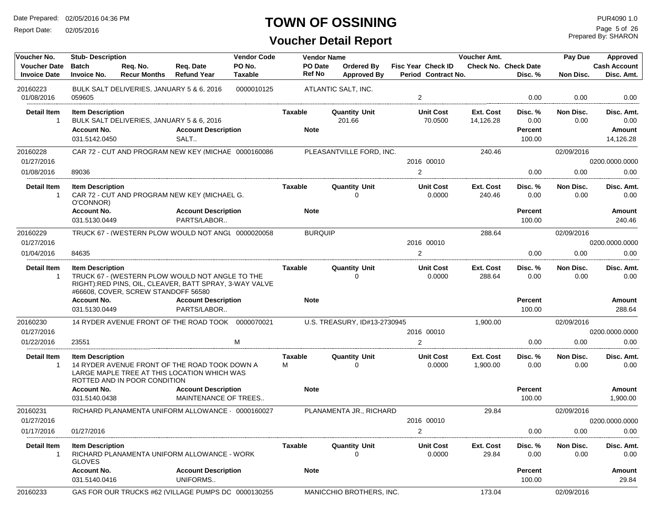Report Date: 02/05/2016

## **TOWN OF OSSINING**

**Voucher Detail Report**

Prepared By: SHARON Page 5 of 26

| Voucher No.              | <b>Stub-Description</b>                  |                                           |                                                                                                            | <b>Vendor Code</b> |                | <b>Vendor Name</b>           |                            | Voucher Amt.                | Pay Due                  |                   | Approved                   |
|--------------------------|------------------------------------------|-------------------------------------------|------------------------------------------------------------------------------------------------------------|--------------------|----------------|------------------------------|----------------------------|-----------------------------|--------------------------|-------------------|----------------------------|
| <b>Voucher Date</b>      | <b>Batch</b>                             | Req. No.                                  | Req. Date                                                                                                  | PO No.             | <b>PO</b> Date | <b>Ordered By</b>            | <b>Fisc Year Check ID</b>  | <b>Check No. Check Date</b> |                          |                   | <b>Cash Account</b>        |
| <b>Invoice Date</b>      | <b>Invoice No.</b>                       | <b>Recur Months</b>                       | <b>Refund Year</b>                                                                                         | Taxable            | Ref No         | <b>Approved By</b>           | Period Contract No.        |                             | Disc. %                  | Non Disc.         | Disc. Amt.                 |
| 20160223<br>01/08/2016   | 059605                                   | BULK SALT DELIVERIES, JANUARY 5 & 6, 2016 |                                                                                                            | 0000010125         |                | ATLANTIC SALT, INC.          | $\overline{2}$             |                             | 0.00                     | 0.00              | 0.00                       |
|                          |                                          |                                           |                                                                                                            |                    |                |                              |                            |                             |                          |                   |                            |
| Detail Item              | <b>Item Description</b>                  |                                           |                                                                                                            |                    | Taxable        | <b>Quantity Unit</b>         | <b>Unit Cost</b>           | Ext. Cost                   | Disc. %                  | Non Disc.         | Disc. Amt.                 |
| $\overline{1}$           |                                          | BULK SALT DELIVERIES, JANUARY 5 & 6, 2016 |                                                                                                            |                    | <b>Note</b>    | 201.66                       | 70.0500                    | 14,126.28                   | 0.00                     | 0.00              | 0.00                       |
|                          | <b>Account No.</b><br>031.5142.0450      |                                           | <b>Account Description</b><br>SALT                                                                         |                    |                |                              |                            |                             | <b>Percent</b><br>100.00 |                   | <b>Amount</b><br>14,126.28 |
|                          |                                          |                                           |                                                                                                            |                    |                |                              |                            |                             |                          |                   |                            |
| 20160228<br>01/27/2016   |                                          |                                           | CAR 72 - CUT AND PROGRAM NEW KEY (MICHAE 0000160086                                                        |                    |                | PLEASANTVILLE FORD, INC.     | 2016 00010                 | 240.46                      |                          | 02/09/2016        |                            |
| 01/08/2016               |                                          |                                           |                                                                                                            |                    |                |                              | 2                          |                             | 0.00                     | 0.00              | 0200.0000.0000<br>0.00     |
|                          | 89036                                    |                                           |                                                                                                            |                    |                |                              |                            |                             |                          |                   |                            |
| <b>Detail Item</b>       | <b>Item Description</b>                  |                                           |                                                                                                            |                    | Taxable        | <b>Quantity Unit</b>         | <b>Unit Cost</b>           | Ext. Cost                   | Disc. %                  | Non Disc.         | Disc. Amt.                 |
| -1                       | O'CONNOR)                                |                                           | CAR 72 - CUT AND PROGRAM NEW KEY (MICHAEL G.                                                               |                    |                | 0                            | 0.0000                     | 240.46                      | 0.00                     | 0.00              | 0.00                       |
|                          | <b>Account No.</b>                       |                                           | <b>Account Description</b>                                                                                 |                    | <b>Note</b>    |                              |                            |                             | <b>Percent</b>           |                   | <b>Amount</b>              |
|                          | 031.5130.0449                            |                                           | PARTS/LABOR                                                                                                |                    |                |                              |                            |                             | 100.00                   |                   | 240.46                     |
| 20160229                 |                                          |                                           | TRUCK 67 - (WESTERN PLOW WOULD NOT ANGL 0000020058                                                         |                    | <b>BURQUIP</b> |                              |                            | 288.64                      |                          | 02/09/2016        |                            |
| 01/27/2016               |                                          |                                           |                                                                                                            |                    |                |                              | 2016 00010                 |                             |                          |                   | 0200.0000.0000             |
| 01/04/2016               | 84635                                    |                                           |                                                                                                            |                    |                |                              | 2                          |                             | 0.00                     | 0.00              | 0.00                       |
|                          |                                          |                                           |                                                                                                            |                    |                |                              |                            |                             |                          |                   | Disc. Amt.                 |
| <b>Detail Item</b><br>-1 | <b>Item Description</b>                  |                                           | TRUCK 67 - (WESTERN PLOW WOULD NOT ANGLE TO THE<br>RIGHT): RED PINS, OIL, CLEAVER, BATT SPRAY, 3-WAY VALVE |                    | Taxable        | <b>Quantity Unit</b><br>0    | <b>Unit Cost</b><br>0.0000 | Ext. Cost<br>288.64         | Disc. %<br>0.00          | Non Disc.<br>0.00 | 0.00                       |
|                          |                                          | #66608, COVER, SCREW STANDOFF 56580       |                                                                                                            |                    |                |                              |                            |                             |                          |                   |                            |
|                          | <b>Account No.</b>                       |                                           | <b>Account Description</b>                                                                                 |                    | <b>Note</b>    |                              |                            |                             | <b>Percent</b>           |                   | <b>Amount</b>              |
|                          | 031.5130.0449                            |                                           | PARTS/LABOR                                                                                                |                    |                |                              |                            |                             | 100.00                   |                   | 288.64                     |
| 20160230                 |                                          |                                           | 14 RYDER AVENUE FRONT OF THE ROAD TOOK 0000070021                                                          |                    |                | U.S. TREASURY, ID#13-2730945 |                            | 1,900.00                    |                          | 02/09/2016        |                            |
| 01/27/2016               |                                          |                                           |                                                                                                            |                    |                |                              | 2016 00010                 |                             |                          |                   | 0200.0000.0000             |
| 01/22/2016               | 23551                                    |                                           |                                                                                                            | M                  |                |                              | 2                          |                             | 0.00                     | 0.00              | 0.00                       |
| <b>Detail Item</b><br>-1 | <b>Item Description</b>                  | ROTTED AND IN POOR CONDITION              | 14 RYDER AVENUE FRONT OF THE ROAD TOOK DOWN A<br>LARGE MAPLE TREE AT THIS LOCATION WHICH WAS               |                    | Taxable<br>м   | <b>Quantity Unit</b><br>0    | <b>Unit Cost</b><br>0.0000 | Ext. Cost<br>1,900.00       | Disc. %<br>0.00          | Non Disc.<br>0.00 | Disc. Amt.<br>0.00         |
|                          | <b>Account No.</b><br>031.5140.0438      |                                           | <b>Account Description</b><br>MAINTENANCE OF TREES                                                         |                    | <b>Note</b>    |                              |                            |                             | Percent<br>100.00        |                   | Amount<br>1,900.00         |
| 20160231                 |                                          |                                           | RICHARD PLANAMENTA UNIFORM ALLOWANCE 0000160027                                                            |                    |                | PLANAMENTA JR., RICHARD      |                            | 29.84                       |                          | 02/09/2016        |                            |
| 01/27/2016               |                                          |                                           |                                                                                                            |                    |                |                              | 2016 00010                 |                             |                          |                   | 0200.0000.0000             |
| 01/17/2016               | 01/27/2016                               |                                           |                                                                                                            |                    |                |                              | $\overline{2}$             |                             | 0.00                     | 0.00              | 0.00                       |
| <b>Detail Item</b><br>-1 | <b>Item Description</b><br><b>GLOVES</b> |                                           | RICHARD PLANAMENTA UNIFORM ALLOWANCE - WORK                                                                |                    | Taxable        | <b>Quantity Unit</b><br>0    | <b>Unit Cost</b><br>0.0000 | Ext. Cost<br>29.84          | Disc. %<br>0.00          | Non Disc.<br>0.00 | Disc. Amt.<br>0.00         |
|                          | <b>Account No.</b>                       |                                           | <b>Account Description</b>                                                                                 |                    | <b>Note</b>    |                              |                            |                             | <b>Percent</b>           |                   | Amount                     |
|                          | 031.5140.0416                            |                                           | UNIFORMS                                                                                                   |                    |                |                              |                            |                             | 100.00                   |                   | 29.84                      |
| 20160233                 |                                          |                                           | GAS FOR OUR TRUCKS #62 (VILLAGE PUMPS DC 0000130255                                                        |                    |                | MANICCHIO BROTHERS, INC.     |                            | 173.04                      |                          | 02/09/2016        |                            |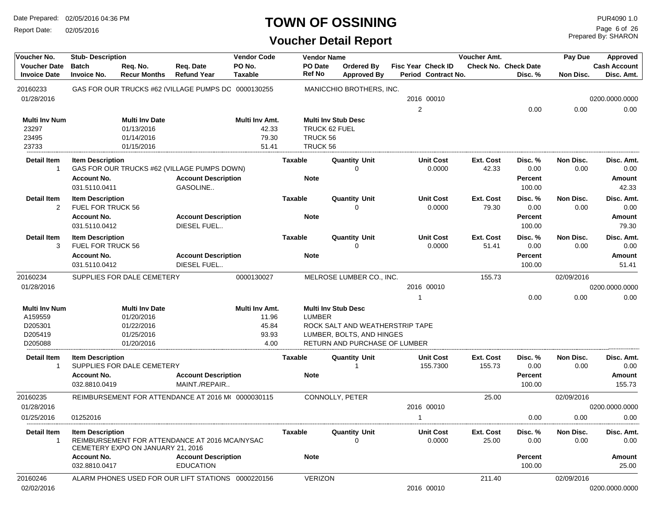Report Date: 02/05/2016

#### **TOWN OF OSSINING**

| Voucher No.                                | <b>Stub-Description</b>            |                                   |                                                     | <b>Vendor Code</b>       |                          | <b>Vendor Name</b>                      |    |                                                  | Voucher Amt.       |                                        | Pay Due           | Approved                          |
|--------------------------------------------|------------------------------------|-----------------------------------|-----------------------------------------------------|--------------------------|--------------------------|-----------------------------------------|----|--------------------------------------------------|--------------------|----------------------------------------|-------------------|-----------------------------------|
| <b>Voucher Date</b><br><b>Invoice Date</b> | <b>Batch</b><br><b>Invoice No.</b> | Req. No.<br><b>Recur Months</b>   | Req. Date<br><b>Refund Year</b>                     | PO No.<br><b>Taxable</b> | PO Date<br><b>Ref No</b> | <b>Ordered By</b><br><b>Approved By</b> |    | Fisc Year Check ID<br><b>Period Contract No.</b> |                    | <b>Check No. Check Date</b><br>Disc. % | Non Disc.         | <b>Cash Account</b><br>Disc. Amt. |
| 20160233                                   |                                    |                                   | GAS FOR OUR TRUCKS #62 (VILLAGE PUMPS DC 0000130255 |                          |                          | MANICCHIO BROTHERS, INC.                |    |                                                  |                    |                                        |                   |                                   |
| 01/28/2016                                 |                                    |                                   |                                                     |                          |                          |                                         |    | 2016 00010                                       |                    |                                        |                   | 0200.0000.0000                    |
|                                            |                                    |                                   |                                                     |                          |                          |                                         | 2  |                                                  |                    | 0.00                                   | 0.00              | 0.00                              |
| <b>Multi Inv Num</b>                       |                                    | <b>Multi Inv Date</b>             |                                                     | Multi Inv Amt.           |                          | <b>Multi Inv Stub Desc</b>              |    |                                                  |                    |                                        |                   |                                   |
| 23297                                      |                                    | 01/13/2016                        |                                                     | 42.33                    |                          | TRUCK 62 FUEL                           |    |                                                  |                    |                                        |                   |                                   |
| 23495                                      |                                    | 01/14/2016                        |                                                     | 79.30                    | TRUCK 56                 |                                         |    |                                                  |                    |                                        |                   |                                   |
| 23733                                      |                                    | 01/15/2016                        |                                                     | 51.41                    | TRUCK 56                 |                                         |    |                                                  |                    |                                        |                   |                                   |
| <b>Detail Item</b><br>$\mathbf{1}$         | <b>Item Description</b>            |                                   | GAS FOR OUR TRUCKS #62 (VILLAGE PUMPS DOWN)         |                          | <b>Taxable</b>           | <b>Quantity Unit</b><br>$\mathbf 0$     |    | <b>Unit Cost</b><br>0.0000                       | Ext. Cost<br>42.33 | Disc. %<br>0.00                        | Non Disc.<br>0.00 | Disc. Amt.<br>0.00                |
|                                            | <b>Account No.</b>                 |                                   | <b>Account Description</b>                          |                          | <b>Note</b>              |                                         |    |                                                  |                    | <b>Percent</b>                         |                   | Amount                            |
|                                            | 031.5110.0411                      |                                   | GASOLINE                                            |                          |                          |                                         |    |                                                  |                    | 100.00                                 |                   | 42.33                             |
| <b>Detail Item</b>                         | <b>Item Description</b>            |                                   |                                                     |                          | <b>Taxable</b>           | <b>Quantity Unit</b>                    |    | <b>Unit Cost</b>                                 | Ext. Cost          | Disc. %                                | Non Disc.         | Disc. Amt.                        |
| 2                                          | FUEL FOR TRUCK 56                  |                                   |                                                     |                          |                          | $\Omega$                                |    | 0.0000                                           | 79.30              | 0.00                                   | 0.00              | 0.00                              |
|                                            | <b>Account No.</b>                 |                                   | <b>Account Description</b>                          |                          | <b>Note</b>              |                                         |    |                                                  |                    | <b>Percent</b>                         |                   | Amount                            |
|                                            | 031.5110.0412                      |                                   | DIESEL FUEL                                         |                          |                          |                                         |    |                                                  |                    | 100.00                                 |                   | 79.30                             |
| <b>Detail Item</b>                         | <b>Item Description</b>            |                                   |                                                     |                          | <b>Taxable</b>           | <b>Quantity Unit</b>                    |    | <b>Unit Cost</b>                                 | <b>Ext. Cost</b>   | Disc. %                                | Non Disc.         | Disc. Amt.                        |
| 3                                          | <b>FUEL FOR TRUCK 56</b>           |                                   |                                                     |                          |                          | $\Omega$                                |    | 0.0000                                           | 51.41              | 0.00                                   | 0.00              | 0.00                              |
|                                            | <b>Account No.</b>                 |                                   | <b>Account Description</b>                          |                          | <b>Note</b>              |                                         |    |                                                  |                    | <b>Percent</b>                         |                   | <b>Amount</b>                     |
|                                            | 031.5110.0412                      |                                   | DIESEL FUEL                                         |                          |                          |                                         |    |                                                  |                    | 100.00                                 |                   | 51.41                             |
| 20160234                                   |                                    | SUPPLIES FOR DALE CEMETERY        |                                                     | 0000130027               |                          | MELROSE LUMBER CO., INC.                |    |                                                  | 155.73             |                                        | 02/09/2016        |                                   |
| 01/28/2016                                 |                                    |                                   |                                                     |                          |                          |                                         |    | 2016 00010                                       |                    |                                        |                   | 0200.0000.0000                    |
|                                            |                                    |                                   |                                                     |                          |                          |                                         | 1  |                                                  |                    | 0.00                                   | 0.00              | 0.00                              |
| <b>Multi Inv Num</b>                       |                                    | <b>Multi Inv Date</b>             |                                                     | Multi Inv Amt.           |                          | <b>Multi Inv Stub Desc</b>              |    |                                                  |                    |                                        |                   |                                   |
| A159559                                    |                                    | 01/20/2016                        |                                                     | 11.96                    | <b>LUMBER</b>            |                                         |    |                                                  |                    |                                        |                   |                                   |
| D205301                                    |                                    | 01/22/2016                        |                                                     | 45.84                    |                          | ROCK SALT AND WEATHERSTRIP TAPE         |    |                                                  |                    |                                        |                   |                                   |
| D205419                                    |                                    | 01/25/2016                        |                                                     | 93.93                    |                          | LUMBER, BOLTS, AND HINGES               |    |                                                  |                    |                                        |                   |                                   |
| D205088                                    |                                    | 01/20/2016                        |                                                     | 4.00                     |                          | RETURN AND PURCHASE OF LUMBER           |    |                                                  |                    |                                        |                   |                                   |
| <b>Detail Item</b>                         | <b>Item Description</b>            |                                   |                                                     |                          | <b>Taxable</b>           | <b>Quantity Unit</b>                    |    | <b>Unit Cost</b>                                 | Ext. Cost          | Disc. %                                | Non Disc.         | Disc. Amt.                        |
| $\mathbf 1$                                |                                    | SUPPLIES FOR DALE CEMETERY        |                                                     |                          |                          |                                         |    | 155.7300                                         | 155.73             | 0.00                                   | 0.00              | 0.00                              |
|                                            | Account No.                        |                                   | <b>Account Description</b>                          |                          | <b>Note</b>              |                                         |    |                                                  |                    | <b>Percent</b>                         |                   | <b>Amount</b>                     |
|                                            | 032.8810.0419                      |                                   | MAINT./REPAIR                                       |                          |                          |                                         |    |                                                  |                    | 100.00                                 |                   | 155.73                            |
| 20160235                                   |                                    |                                   | REIMBURSEMENT FOR ATTENDANCE AT 2016 M( 0000030115  |                          |                          | CONNOLLY, PETER                         |    |                                                  | 25.00              |                                        | 02/09/2016        |                                   |
| 01/28/2016                                 |                                    |                                   |                                                     |                          |                          |                                         |    | 2016 00010                                       |                    |                                        |                   | 0200.0000.0000                    |
| 01/25/2016                                 | 01252016                           |                                   |                                                     |                          |                          |                                         | -1 |                                                  |                    | 0.00                                   | 0.00              | 0.00                              |
| <b>Detail Item</b>                         | <b>Item Description</b>            |                                   |                                                     |                          | Taxable                  | <b>Quantity Unit</b>                    |    | <b>Unit Cost</b>                                 | Ext. Cost          |                                        | Non Disc.         | Disc. Amt.                        |
|                                            |                                    | CEMETERY EXPO ON JANUARY 21, 2016 | REIMBURSEMENT FOR ATTENDANCE AT 2016 MCA/NYSAC      |                          |                          | $\Omega$                                |    | 0.0000                                           | 25.00              | Disc. %<br>0.00                        | 0.00              | 0.00                              |
|                                            | <b>Account No.</b>                 |                                   | <b>Account Description</b>                          |                          | <b>Note</b>              |                                         |    |                                                  |                    | <b>Percent</b>                         |                   | Amount                            |
|                                            | 032.8810.0417                      |                                   | <b>EDUCATION</b>                                    |                          |                          |                                         |    |                                                  |                    | 100.00                                 |                   | 25.00                             |
| 20160246                                   |                                    |                                   | ALARM PHONES USED FOR OUR LIFT STATIONS 0000220156  |                          | VERIZON                  |                                         |    |                                                  | 211.40             |                                        | 02/09/2016        |                                   |
| 02/02/2016                                 |                                    |                                   |                                                     |                          |                          |                                         |    | 2016 00010                                       |                    |                                        |                   | 0200.0000.0000                    |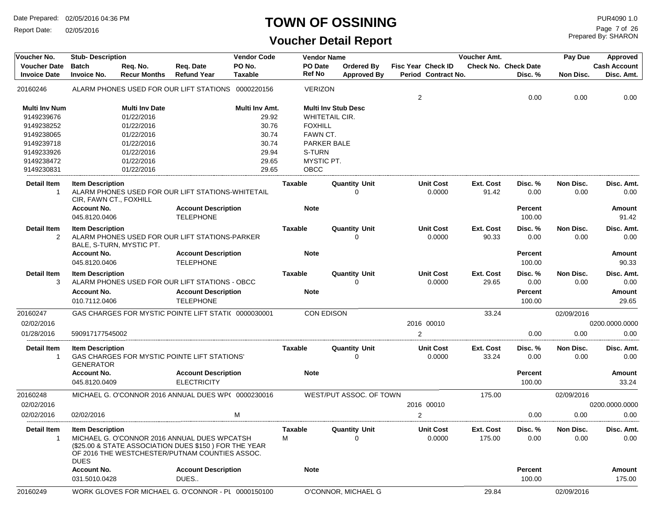Report Date: 02/05/2016

#### **TOWN OF OSSINING PUR4090 1.0**

| Voucher No.                                | <b>Vendor Code</b><br><b>Stub-Description</b>                                                                                                                                                     |                                 |                                                      |                   | <b>Vendor Name</b> |                                  |                                           | Voucher Amt.              |                                        | Pay Due           | <b>Approved</b>                   |
|--------------------------------------------|---------------------------------------------------------------------------------------------------------------------------------------------------------------------------------------------------|---------------------------------|------------------------------------------------------|-------------------|--------------------|----------------------------------|-------------------------------------------|---------------------------|----------------------------------------|-------------------|-----------------------------------|
| <b>Voucher Date</b><br><b>Invoice Date</b> | <b>Batch</b><br><b>Invoice No.</b>                                                                                                                                                                | Req. No.<br><b>Recur Months</b> | Req. Date<br><b>Refund Year</b>                      | PO No.<br>Taxable | PO Date<br>Ref No  | Ordered By<br><b>Approved By</b> | Fisc Year Check ID<br>Period Contract No. |                           | <b>Check No. Check Date</b><br>Disc. % | Non Disc.         | <b>Cash Account</b><br>Disc. Amt. |
| 20160246                                   |                                                                                                                                                                                                   |                                 | ALARM PHONES USED FOR OUR LIFT STATIONS              | 0000220156        | <b>VERIZON</b>     |                                  | $\overline{2}$                            |                           | 0.00                                   | 0.00              | 0.00                              |
| <b>Multi Inv Num</b>                       |                                                                                                                                                                                                   | <b>Multi Inv Date</b>           |                                                      | Multi Inv Amt.    |                    | <b>Multi Inv Stub Desc</b>       |                                           |                           |                                        |                   |                                   |
| 9149239676                                 |                                                                                                                                                                                                   | 01/22/2016                      |                                                      | 29.92             |                    | WHITETAIL CIR.                   |                                           |                           |                                        |                   |                                   |
| 9149238252                                 |                                                                                                                                                                                                   | 01/22/2016                      |                                                      | 30.76             | <b>FOXHILL</b>     |                                  |                                           |                           |                                        |                   |                                   |
| 9149238065                                 |                                                                                                                                                                                                   | 01/22/2016                      |                                                      | 30.74             | FAWN CT.           |                                  |                                           |                           |                                        |                   |                                   |
| 9149239718                                 |                                                                                                                                                                                                   | 01/22/2016                      |                                                      | 30.74             |                    | <b>PARKER BALE</b>               |                                           |                           |                                        |                   |                                   |
| 9149233926                                 |                                                                                                                                                                                                   | 01/22/2016                      |                                                      | 29.94             | S-TURN             |                                  |                                           |                           |                                        |                   |                                   |
| 9149238472                                 |                                                                                                                                                                                                   | 01/22/2016                      |                                                      | 29.65             | MYSTIC PT.         |                                  |                                           |                           |                                        |                   |                                   |
| 9149230831                                 |                                                                                                                                                                                                   | 01/22/2016                      |                                                      | 29.65             | OBCC               |                                  |                                           |                           |                                        |                   |                                   |
| <b>Detail Item</b><br>$\mathbf{1}$         | <b>Item Description</b><br>CIR, FAWN CT., FOXHILL                                                                                                                                                 |                                 | ALARM PHONES USED FOR OUR LIFT STATIONS-WHITETAIL    |                   | Taxable            | <b>Quantity Unit</b><br>0        | <b>Unit Cost</b><br>0.0000                | Ext. Cost<br>91.42        | Disc. %<br>0.00                        | Non Disc.<br>0.00 | Disc. Amt.<br>0.00                |
|                                            | <b>Account No.</b><br>045.8120.0406                                                                                                                                                               |                                 | <b>Account Description</b><br><b>TELEPHONE</b>       |                   | <b>Note</b>        |                                  |                                           |                           | <b>Percent</b><br>100.00               |                   | <b>Amount</b><br>91.42            |
| <b>Detail Item</b><br>2                    | <b>Item Description</b>                                                                                                                                                                           | BALE, S-TURN, MYSTIC PT.        | ALARM PHONES USED FOR OUR LIFT STATIONS-PARKER       |                   | Taxable            | <b>Quantity Unit</b><br>∩        | <b>Unit Cost</b><br>0.0000                | <b>Ext. Cost</b><br>90.33 | Disc. %<br>0.00                        | Non Disc.<br>0.00 | Disc. Amt.<br>0.00                |
|                                            | <b>Account No.</b><br>045.8120.0406                                                                                                                                                               |                                 | <b>Account Description</b><br><b>TELEPHONE</b>       |                   | <b>Note</b>        |                                  |                                           |                           | <b>Percent</b><br>100.00               |                   | Amount<br>90.33                   |
| <b>Detail Item</b><br>3                    | <b>Item Description</b>                                                                                                                                                                           |                                 | ALARM PHONES USED FOR OUR LIFT STATIONS - OBCC       |                   | <b>Taxable</b>     | <b>Quantity Unit</b><br>$\Omega$ | <b>Unit Cost</b><br>0.0000                | <b>Ext. Cost</b><br>29.65 | Disc. %<br>0.00                        | Non Disc.<br>0.00 | Disc. Amt.<br>0.00                |
|                                            | <b>Account No.</b><br>010.7112.0406                                                                                                                                                               |                                 | <b>Account Description</b><br><b>TELEPHONE</b>       |                   | <b>Note</b>        |                                  |                                           |                           | <b>Percent</b><br>100.00               |                   | <b>Amount</b><br>29.65            |
| 20160247                                   |                                                                                                                                                                                                   |                                 | GAS CHARGES FOR MYSTIC POINTE LIFT STATI( 0000030001 |                   |                    | <b>CON EDISON</b>                |                                           | 33.24                     |                                        | 02/09/2016        |                                   |
| 02/02/2016                                 |                                                                                                                                                                                                   |                                 |                                                      |                   |                    |                                  | 2016 00010                                |                           |                                        |                   | 0200.0000.0000                    |
| 01/28/2016                                 | 590917177545002                                                                                                                                                                                   |                                 |                                                      |                   |                    |                                  | $\overline{2}$                            |                           | 0.00                                   | 0.00              | 0.00                              |
| <b>Detail Item</b><br>1                    | <b>Item Description</b><br><b>GENERATOR</b>                                                                                                                                                       |                                 | GAS CHARGES FOR MYSTIC POINTE LIFT STATIONS'         |                   | Taxable            | <b>Quantity Unit</b><br>$\Omega$ | <b>Unit Cost</b><br>0.0000                | Ext. Cost<br>33.24        | Disc.%<br>0.00                         | Non Disc.<br>0.00 | Disc. Amt.<br>0.00                |
|                                            | <b>Account No.</b><br>045.8120.0409                                                                                                                                                               |                                 | <b>Account Description</b><br><b>ELECTRICITY</b>     |                   | <b>Note</b>        |                                  |                                           |                           | <b>Percent</b><br>100.00               |                   | <b>Amount</b><br>33.24            |
| 20160248                                   |                                                                                                                                                                                                   |                                 | MICHAEL G. O'CONNOR 2016 ANNUAL DUES WP( 0000230016  |                   |                    | WEST/PUT ASSOC. OF TOWN          |                                           | 175.00                    |                                        | 02/09/2016        |                                   |
| 02/02/2016                                 |                                                                                                                                                                                                   |                                 |                                                      |                   |                    |                                  | 2016 00010                                |                           |                                        |                   | 0200.0000.0000                    |
| 02/02/2016                                 | 02/02/2016                                                                                                                                                                                        |                                 |                                                      | M                 |                    |                                  | 2                                         |                           | 0.00                                   | 0.00              | 0.00                              |
| Detail Item<br>1                           | <b>Item Description</b><br>MICHAEL G. O'CONNOR 2016 ANNUAL DUES WPCATSH<br>(\$25.00 & STATE ASSOCIATION DUES \$150) FOR THE YEAR<br>OF 2016 THE WESTCHESTER/PUTNAM COUNTIES ASSOC.<br><b>DUES</b> |                                 |                                                      |                   | Taxable<br>М       | <b>Quantity Unit</b><br>$\Omega$ | <b>Unit Cost</b><br>0.0000                | Ext. Cost<br>175.00       | Disc. %<br>0.00                        | Non Disc.<br>0.00 | Disc. Amt.<br>0.00                |
|                                            | <b>Account No.</b><br>031.5010.0428                                                                                                                                                               |                                 | <b>Account Description</b><br>DUES                   |                   | <b>Note</b>        |                                  |                                           |                           | <b>Percent</b><br>100.00               |                   | Amount<br>175.00                  |
| 20160249                                   |                                                                                                                                                                                                   |                                 | WORK GLOVES FOR MICHAEL G. O'CONNOR - PL 0000150100  |                   |                    | O'CONNOR, MICHAEL G              |                                           | 29.84                     |                                        | 02/09/2016        |                                   |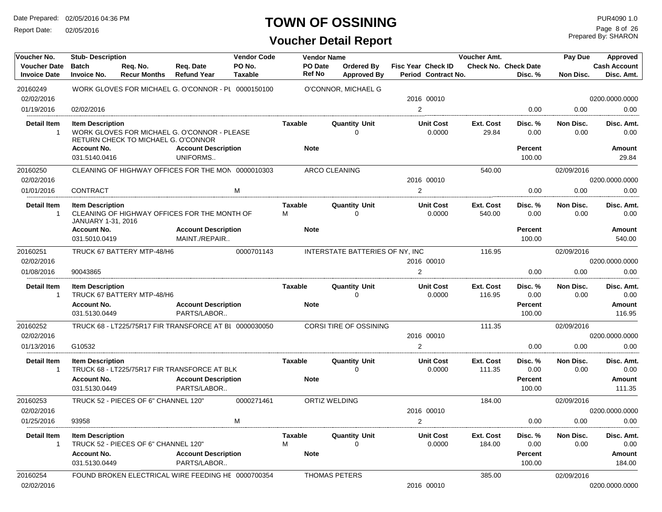Report Date: 02/05/2016

#### **TOWN OF OSSINING**

Prepared By: SHARON Page 8 of 26

| Voucher No.                                | <b>Stub-Description</b>                       |                                      |                                                        | <b>Vendor Code</b> |              | <b>Vendor Name</b>   |                                      |                                                  | Voucher Amt.               |                                        | Pay Due           | Approved                          |
|--------------------------------------------|-----------------------------------------------|--------------------------------------|--------------------------------------------------------|--------------------|--------------|----------------------|--------------------------------------|--------------------------------------------------|----------------------------|----------------------------------------|-------------------|-----------------------------------|
| <b>Voucher Date</b><br><b>Invoice Date</b> | Batch<br><b>Invoice No.</b>                   | Reg. No.<br><b>Recur Months</b>      | Req. Date<br><b>Refund Year</b>                        | PO No.<br>Taxable  |              | PO Date<br>Ref No    | Ordered By<br><b>Approved By</b>     | <b>Fisc Year Check ID</b><br>Period Contract No. |                            | <b>Check No. Check Date</b><br>Disc. % | Non Disc.         | <b>Cash Account</b><br>Disc. Amt. |
| 20160249                                   |                                               |                                      | WORK GLOVES FOR MICHAEL G. O'CONNOR - PL 0000150100    |                    |              |                      | O'CONNOR, MICHAEL G                  |                                                  |                            |                                        |                   |                                   |
| 02/02/2016                                 |                                               |                                      |                                                        |                    |              |                      |                                      | 2016 00010                                       |                            |                                        |                   | 0200.0000.0000                    |
| 01/19/2016                                 | 02/02/2016                                    |                                      |                                                        |                    |              |                      |                                      | 2                                                |                            | 0.00                                   | 0.00              | 0.00                              |
| <b>Detail Item</b><br>$\overline{1}$       | <b>Item Description</b>                       | RETURN CHECK TO MICHAEL G. O'CONNOR  | WORK GLOVES FOR MICHAEL G. O'CONNOR - PLEASE           |                    | Taxable      |                      | <b>Quantity Unit</b><br>$\mathbf{0}$ | <b>Unit Cost</b><br>0.0000                       | Ext. Cost<br>29.84         | Disc. %<br>0.00                        | Non Disc.<br>0.00 | Disc. Amt.<br>0.00                |
|                                            | <b>Account No.</b>                            |                                      | <b>Account Description</b>                             |                    |              | <b>Note</b>          |                                      |                                                  |                            | <b>Percent</b>                         |                   | Amount                            |
|                                            | 031.5140.0416                                 |                                      | UNIFORMS                                               |                    |              |                      |                                      |                                                  |                            | 100.00                                 |                   | 29.84                             |
| 20160250                                   |                                               |                                      | CLEANING OF HIGHWAY OFFICES FOR THE MON 0000010303     |                    |              | ARCO CLEANING        |                                      |                                                  | 540.00                     |                                        | 02/09/2016        |                                   |
| 02/02/2016                                 |                                               |                                      |                                                        |                    |              |                      |                                      | 2016 00010                                       |                            |                                        |                   | 0200.0000.0000                    |
| 01/01/2016                                 | CONTRACT                                      |                                      |                                                        | М                  |              |                      |                                      | $\overline{2}$                                   |                            | 0.00                                   | 0.00              | 0.00                              |
| <b>Detail Item</b><br>$\overline{1}$       | <b>Item Description</b><br>JANUARY 1-31, 2016 |                                      | CLEANING OF HIGHWAY OFFICES FOR THE MONTH OF           |                    | Taxable<br>М |                      | <b>Quantity Unit</b><br>$\mathbf 0$  | <b>Unit Cost</b><br>0.0000                       | <b>Ext. Cost</b><br>540.00 | Disc. %<br>0.00                        | Non Disc.<br>0.00 | Disc. Amt.<br>0.00                |
|                                            | <b>Account No.</b>                            |                                      | <b>Account Description</b>                             |                    |              | <b>Note</b>          |                                      |                                                  |                            | <b>Percent</b>                         |                   | Amount                            |
|                                            | 031.5010.0419                                 |                                      | MAINT./REPAIR                                          |                    |              |                      |                                      |                                                  |                            | 100.00                                 |                   | 540.00                            |
| 20160251                                   |                                               | TRUCK 67 BATTERY MTP-48/H6           |                                                        | 0000701143         |              |                      | INTERSTATE BATTERIES OF NY, INC      |                                                  | 116.95                     |                                        | 02/09/2016        |                                   |
| 02/02/2016                                 |                                               |                                      |                                                        |                    |              |                      |                                      | 2016 00010                                       |                            |                                        |                   | 0200.0000.0000                    |
| 01/08/2016                                 | 90043865                                      |                                      |                                                        |                    |              |                      |                                      | 2                                                |                            | 0.00                                   | 0.00              | 0.00                              |
| <b>Detail Item</b>                         | <b>Item Description</b>                       |                                      |                                                        |                    | Taxable      |                      | <b>Quantity Unit</b>                 | <b>Unit Cost</b>                                 | Ext. Cost                  | Disc. %                                | Non Disc.         | Disc. Amt.                        |
| -1                                         |                                               | TRUCK 67 BATTERY MTP-48/H6           |                                                        |                    |              |                      | $\Omega$                             | 0.0000                                           | 116.95                     | 0.00                                   | 0.00              | 0.00                              |
|                                            | <b>Account No.</b>                            |                                      | <b>Account Description</b>                             |                    |              | <b>Note</b>          |                                      |                                                  |                            | <b>Percent</b>                         |                   | Amount                            |
|                                            | 031.5130.0449                                 |                                      | PARTS/LABOR                                            |                    |              |                      |                                      |                                                  |                            | 100.00                                 |                   | 116.95                            |
| 20160252                                   |                                               |                                      | TRUCK 68 - LT225/75R17 FIR TRANSFORCE AT BI 0000030050 |                    |              |                      | CORSI TIRE OF OSSINING               |                                                  | 111.35                     |                                        | 02/09/2016        |                                   |
| 02/02/2016                                 |                                               |                                      |                                                        |                    |              |                      |                                      | 2016 00010                                       |                            |                                        |                   | 0200.0000.0000                    |
| 01/13/2016                                 | G10532                                        |                                      |                                                        |                    |              |                      |                                      | 2                                                |                            | 0.00                                   | 0.00              | 0.00                              |
| <b>Detail Item</b><br>-1                   | <b>Item Description</b>                       |                                      | TRUCK 68 - LT225/75R17 FIR TRANSFORCE AT BLK           |                    | Taxable      |                      | <b>Quantity Unit</b><br>$\Omega$     | <b>Unit Cost</b><br>0.0000                       | Ext. Cost<br>111.35        | Disc. %<br>0.00                        | Non Disc.<br>0.00 | Disc. Amt.<br>0.00                |
|                                            | <b>Account No.</b>                            |                                      | <b>Account Description</b>                             |                    |              | <b>Note</b>          |                                      |                                                  |                            | Percent                                |                   | Amount                            |
|                                            | 031.5130.0449                                 |                                      | PARTS/LABOR                                            |                    |              |                      |                                      |                                                  |                            | 100.00                                 |                   | 111.35                            |
| 20160253                                   |                                               | TRUCK 52 - PIECES OF 6" CHANNEL 120" |                                                        | 0000271461         |              | <b>ORTIZ WELDING</b> |                                      |                                                  | 184.00                     |                                        | 02/09/2016        |                                   |
| 02/02/2016                                 |                                               |                                      |                                                        |                    |              |                      |                                      | 2016 00010                                       |                            |                                        |                   | 0200.0000.0000                    |
| 01/25/2016                                 | 93958                                         |                                      |                                                        | М                  |              |                      |                                      | $\overline{2}$                                   |                            | 0.00                                   | 0.00              | 0.00                              |
| <b>Detail Item</b>                         | <b>Item Description</b>                       | TRUCK 52 - PIECES OF 6" CHANNEL 120" |                                                        |                    | Taxable<br>М |                      | <b>Quantity Unit</b><br>n            | <b>Unit Cost</b><br>0.0000                       | Ext. Cost<br>184.00        | Disc. %<br>0.00                        | Non Disc.<br>0.00 | Disc. Amt.<br>0.00                |
|                                            | <b>Account No.</b><br>031.5130.0449           |                                      | <b>Account Description</b><br>PARTS/LABOR              |                    |              | <b>Note</b>          |                                      |                                                  |                            | <b>Percent</b><br>100.00               |                   | Amount<br>184.00                  |
| 20160254<br>02/02/2016                     |                                               |                                      | FOUND BROKEN ELECTRICAL WIRE FEEDING HE 0000700354     |                    |              | THOMAS PETERS        |                                      | 2016 00010                                       | 385.00                     |                                        | 02/09/2016        | 0200.0000.0000                    |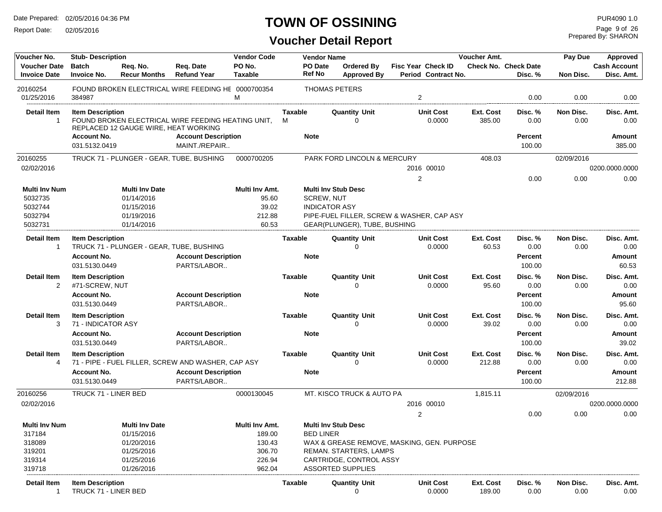Report Date: 02/05/2016

#### **TOWN OF OSSINING**

| Voucher No.                                | <b>Stub-Description</b>                         |                                                   |                                                    | <b>Vendor Code</b>               |                     | <b>Vendor Name</b>                        |                                                     |                                                  | Voucher Amt.        |                                        | Pay Due           | <b>Approved</b>                   |
|--------------------------------------------|-------------------------------------------------|---------------------------------------------------|----------------------------------------------------|----------------------------------|---------------------|-------------------------------------------|-----------------------------------------------------|--------------------------------------------------|---------------------|----------------------------------------|-------------------|-----------------------------------|
| <b>Voucher Date</b><br><b>Invoice Date</b> | <b>Batch</b><br><b>Invoice No.</b>              | Reg. No.<br><b>Recur Months</b>                   | Req. Date<br><b>Refund Year</b>                    | PO No.<br><b>Taxable</b>         |                     | PO Date<br><b>Ref No</b>                  | <b>Ordered By</b><br><b>Approved By</b>             | <b>Fisc Year Check ID</b><br>Period Contract No. |                     | <b>Check No. Check Date</b><br>Disc. % | Non Disc.         | <b>Cash Account</b><br>Disc. Amt. |
| 20160254<br>01/25/2016                     | 384987                                          |                                                   | FOUND BROKEN ELECTRICAL WIRE FEEDING HE 0000700354 | М                                |                     |                                           | <b>THOMAS PETERS</b>                                | 2                                                |                     | 0.00                                   | 0.00              | 0.00                              |
| <b>Detail Item</b><br>$\mathbf{1}$         | <b>Item Description</b>                         | REPLACED 12 GAUGE WIRE, HEAT WORKING              | FOUND BROKEN ELECTRICAL WIRE FEEDING HEATING UNIT. |                                  | <b>Taxable</b><br>м |                                           | <b>Quantity Unit</b><br>$\Omega$                    | <b>Unit Cost</b><br>0.0000                       | Ext. Cost<br>385.00 | Disc. %<br>0.00                        | Non Disc.<br>0.00 | Disc. Amt.<br>0.00                |
|                                            | <b>Account No.</b><br>031.5132.0419             |                                                   | <b>Account Description</b><br>MAINT./REPAIR        |                                  |                     | <b>Note</b>                               |                                                     |                                                  |                     | Percent<br>100.00                      |                   | Amount<br>385.00                  |
| 20160255<br>02/02/2016                     |                                                 |                                                   | TRUCK 71 - PLUNGER - GEAR, TUBE, BUSHING           | 0000700205                       |                     |                                           | PARK FORD LINCOLN & MERCURY                         | 2016 00010                                       | 408.03              |                                        | 02/09/2016        | 0200.0000.0000                    |
|                                            |                                                 |                                                   |                                                    |                                  |                     |                                           |                                                     | 2                                                |                     | 0.00                                   | 0.00              | 0.00                              |
| <b>Multi Inv Num</b><br>5032735<br>5032744 |                                                 | <b>Multi Inv Date</b><br>01/14/2016<br>01/15/2016 |                                                    | Multi Inv Amt.<br>95.60<br>39.02 |                     | <b>SCREW, NUT</b><br><b>INDICATOR ASY</b> | <b>Multi Inv Stub Desc</b>                          |                                                  |                     |                                        |                   |                                   |
| 5032794<br>5032731                         |                                                 | 01/19/2016<br>01/14/2016                          |                                                    | 212.88<br>60.53                  |                     |                                           | GEAR(PLUNGER), TUBE, BUSHING                        | PIPE-FUEL FILLER, SCREW & WASHER, CAP ASY        |                     |                                        |                   |                                   |
| Detail Item<br>1                           | <b>Item Description</b>                         |                                                   | TRUCK 71 - PLUNGER - GEAR, TUBE, BUSHING           |                                  | Taxable             |                                           | <b>Quantity Unit</b>                                | <b>Unit Cost</b><br>0.0000                       | Ext. Cost<br>60.53  | Disc. %<br>0.00                        | Non Disc.<br>0.00 | Disc. Amt.<br>0.00                |
|                                            | <b>Account No.</b><br>031.5130.0449             |                                                   | <b>Account Description</b><br>PARTS/LABOR          |                                  |                     | <b>Note</b>                               |                                                     |                                                  |                     | Percent<br>100.00                      |                   | Amount<br>60.53                   |
| <b>Detail Item</b><br>$\overline{2}$       | <b>Item Description</b><br>#71-SCREW, NUT       |                                                   |                                                    |                                  | <b>Taxable</b>      |                                           | <b>Quantity Unit</b><br>$\Omega$                    | <b>Unit Cost</b><br>0.0000                       | Ext. Cost<br>95.60  | Disc. %<br>0.00                        | Non Disc.<br>0.00 | Disc. Amt.<br>0.00                |
|                                            | <b>Account No.</b><br>031.5130.0449             |                                                   | <b>Account Description</b><br>PARTS/LABOR          |                                  |                     | <b>Note</b>                               |                                                     |                                                  |                     | Percent<br>100.00                      |                   | Amount<br>95.60                   |
| <b>Detail Item</b><br>3                    | <b>Item Description</b><br>71 - INDICATOR ASY   |                                                   |                                                    |                                  | <b>Taxable</b>      |                                           | <b>Quantity Unit</b><br>$\Omega$                    | <b>Unit Cost</b><br>0.0000                       | Ext. Cost<br>39.02  | Disc. %<br>0.00                        | Non Disc.<br>0.00 | Disc. Amt.<br>0.00                |
|                                            | <b>Account No.</b><br>031.5130.0449             |                                                   | <b>Account Description</b><br>PARTS/LABOR          |                                  |                     | <b>Note</b>                               |                                                     |                                                  |                     | Percent<br>100.00                      |                   | Amount<br>39.02                   |
| <b>Detail Item</b><br>4                    | <b>Item Description</b>                         |                                                   | 71 - PIPE - FUEL FILLER, SCREW AND WASHER, CAP ASY |                                  | <b>Taxable</b>      |                                           | <b>Quantity Unit</b><br>$\Omega$                    | <b>Unit Cost</b><br>0.0000                       | Ext. Cost<br>212.88 | Disc. %<br>0.00                        | Non Disc.<br>0.00 | Disc. Amt.<br>0.00                |
|                                            | <b>Account No.</b><br>031.5130.0449             |                                                   | <b>Account Description</b><br>PARTS/LABOR          |                                  |                     | <b>Note</b>                               |                                                     |                                                  |                     | Percent<br>100.00                      |                   | <b>Amount</b><br>212.88           |
| 20160256                                   | TRUCK 71 - LINER BED                            |                                                   |                                                    | 0000130045                       |                     |                                           | MT. KISCO TRUCK & AUTO PA                           |                                                  | 1,815.11            |                                        | 02/09/2016        |                                   |
| 02/02/2016                                 |                                                 |                                                   |                                                    |                                  |                     |                                           |                                                     | 2016 00010                                       |                     |                                        |                   | 0200.0000.0000                    |
|                                            |                                                 |                                                   |                                                    |                                  |                     |                                           |                                                     | 2                                                |                     | 0.00                                   | 0.00              | 0.00                              |
| <b>Multi Inv Num</b><br>317184             |                                                 | <b>Multi Inv Date</b><br>01/15/2016               |                                                    | Multi Inv Amt.<br>189.00         |                     | <b>BED LINER</b>                          | <b>Multi Inv Stub Desc</b>                          |                                                  |                     |                                        |                   |                                   |
| 318089                                     |                                                 | 01/20/2016                                        |                                                    | 130.43                           |                     |                                           |                                                     | WAX & GREASE REMOVE, MASKING, GEN. PURPOSE       |                     |                                        |                   |                                   |
| 319201                                     |                                                 | 01/25/2016                                        |                                                    | 306.70                           |                     |                                           | REMAN. STARTERS, LAMPS                              |                                                  |                     |                                        |                   |                                   |
| 319314<br>319718                           |                                                 | 01/25/2016                                        |                                                    | 226.94                           |                     |                                           | CARTRIDGE, CONTROL ASSY<br><b>ASSORTED SUPPLIES</b> |                                                  |                     |                                        |                   |                                   |
| Detail Item<br>$\mathbf{1}$                | <b>Item Description</b><br>TRUCK 71 - LINER BED | 01/26/2016                                        |                                                    | 962.04                           | Taxable             |                                           | <b>Quantity Unit</b><br>0                           | <b>Unit Cost</b><br>0.0000                       | Ext. Cost<br>189.00 | Disc. %<br>0.00                        | Non Disc.<br>0.00 | Disc. Amt.<br>0.00                |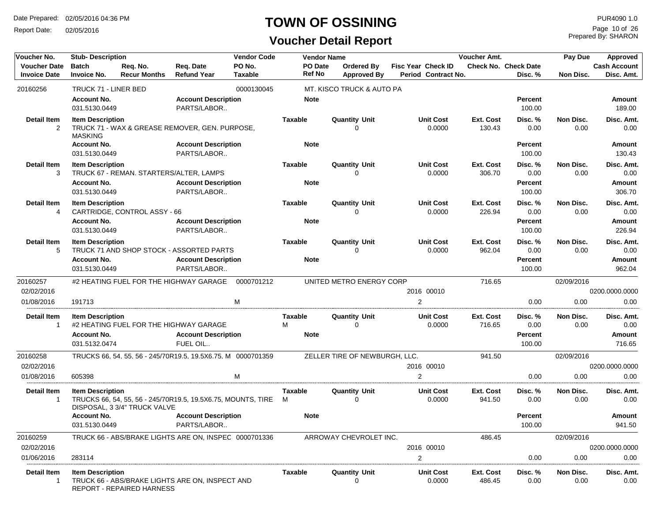Report Date: 02/05/2016

#### **TOWN OF OSSINING**

| Voucher No.                                | <b>Stub-Description</b>                                        |                                                                                              |                                           | <b>Vendor Code</b>       |                             | <b>Vendor Name</b> |                                         |                                                         | Voucher Amt.        |                                             | Pay Due           |                                        |  |  |
|--------------------------------------------|----------------------------------------------------------------|----------------------------------------------------------------------------------------------|-------------------------------------------|--------------------------|-----------------------------|--------------------|-----------------------------------------|---------------------------------------------------------|---------------------|---------------------------------------------|-------------------|----------------------------------------|--|--|
| <b>Voucher Date</b><br><b>Invoice Date</b> | <b>Batch</b><br><b>Invoice No.</b>                             | Req. No.<br><b>Recur Months</b>                                                              | Req. Date<br><b>Refund Year</b>           | PO No.<br><b>Taxable</b> | PO Date<br><b>Ref No</b>    |                    | <b>Ordered By</b><br><b>Approved By</b> | <b>Fisc Year Check ID</b><br><b>Period Contract No.</b> |                     | <b>Check No. Check Date</b><br>Disc. %      | Non Disc.         | <b>Cash Account</b><br>Disc. Amt.      |  |  |
| 20160256                                   | TRUCK 71 - LINER BED                                           |                                                                                              |                                           | 0000130045               |                             |                    | MT. KISCO TRUCK & AUTO PA               |                                                         |                     |                                             |                   |                                        |  |  |
|                                            | <b>Account No.</b><br>031.5130.0449                            |                                                                                              | <b>Account Description</b><br>PARTS/LABOR |                          | <b>Note</b>                 |                    |                                         |                                                         |                     | Percent<br>100.00                           |                   | <b>Amount</b><br>189.00                |  |  |
| <b>Detail Item</b><br>$\overline{2}$       | <b>Item Description</b><br><b>MASKING</b>                      | TRUCK 71 - WAX & GREASE REMOVER, GEN. PURPOSE,                                               |                                           |                          | <b>Taxable</b>              |                    | <b>Quantity Unit</b><br>O               | <b>Unit Cost</b><br>0.0000                              | Ext. Cost<br>130.43 | Disc. %<br>0.00                             | Non Disc.<br>0.00 | Disc. Amt.<br>0.00                     |  |  |
|                                            | <b>Account No.</b><br>031.5130.0449                            |                                                                                              | <b>Account Description</b><br>PARTS/LABOR |                          | <b>Note</b>                 |                    |                                         |                                                         |                     | <b>Percent</b><br>100.00                    |                   | Amount<br>130.43                       |  |  |
| <b>Detail Item</b>                         | <b>Item Description</b>                                        |                                                                                              |                                           |                          | <b>Taxable</b>              |                    | <b>Quantity Unit</b>                    | <b>Unit Cost</b>                                        | Ext. Cost           | Disc. %                                     | Non Disc.         | Disc. Amt.                             |  |  |
| 3                                          |                                                                | TRUCK 67 - REMAN. STARTERS/ALTER, LAMPS                                                      |                                           |                          |                             |                    | $\Omega$                                | 0.0000                                                  | 306.70              | 0.00                                        | 0.00              | 0.00                                   |  |  |
|                                            | <b>Account No.</b><br>031.5130.0449                            |                                                                                              | <b>Account Description</b><br>PARTS/LABOR |                          | <b>Note</b>                 |                    |                                         |                                                         |                     | <b>Percent</b><br>100.00                    |                   | <b>Amount</b><br>306.70                |  |  |
| <b>Detail Item</b>                         | <b>Item Description</b>                                        |                                                                                              |                                           |                          | <b>Taxable</b>              |                    | <b>Quantity Unit</b>                    | <b>Unit Cost</b>                                        | Ext. Cost           | Disc. %                                     | Non Disc.         | Disc. Amt.                             |  |  |
| 4                                          |                                                                | CARTRIDGE, CONTROL ASSY - 66                                                                 |                                           |                          |                             |                    | $\Omega$                                | 0.0000                                                  | 226.94              | 0.00                                        | 0.00              | 0.00                                   |  |  |
|                                            | <b>Account No.</b>                                             |                                                                                              | <b>Account Description</b>                |                          | <b>Note</b>                 |                    |                                         |                                                         |                     | <b>Percent</b>                              |                   | Amount                                 |  |  |
|                                            | 031.5130.0449                                                  |                                                                                              | PARTS/LABOR                               |                          |                             |                    |                                         |                                                         |                     | 100.00                                      |                   | 226.94                                 |  |  |
| <b>Detail Item</b><br>5                    | <b>Item Description</b>                                        | TRUCK 71 AND SHOP STOCK - ASSORTED PARTS                                                     |                                           |                          | <b>Taxable</b>              |                    | <b>Quantity Unit</b><br>$\Omega$        | <b>Unit Cost</b><br>0.0000                              | Ext. Cost<br>962.04 | Disc. %<br>0.00                             | Non Disc.<br>0.00 | Disc. Amt.<br>0.00                     |  |  |
|                                            | <b>Account No.</b>                                             |                                                                                              | <b>Account Description</b>                |                          | <b>Note</b>                 |                    |                                         |                                                         |                     | <b>Percent</b>                              |                   | <b>Amount</b>                          |  |  |
|                                            | 031.5130.0449                                                  |                                                                                              | PARTS/LABOR                               |                          |                             |                    |                                         |                                                         |                     | 100.00                                      |                   | 962.04                                 |  |  |
| 20160257                                   |                                                                | #2 HEATING FUEL FOR THE HIGHWAY GARAGE                                                       |                                           | 0000701212               |                             |                    | UNITED METRO ENERGY CORP                |                                                         | 716.65              |                                             | 02/09/2016        |                                        |  |  |
| 02/02/2016                                 |                                                                |                                                                                              |                                           |                          |                             |                    |                                         | 2016 00010                                              |                     |                                             |                   | 0200.0000.0000                         |  |  |
| 01/08/2016                                 | 191713                                                         |                                                                                              |                                           | M                        |                             |                    |                                         | $\overline{2}$                                          |                     | 0.00                                        | 0.00              | 0.00                                   |  |  |
| <b>Detail Item</b><br>$\mathbf{1}$         | <b>Item Description</b><br><b>Account No.</b><br>031.5132.0474 | #2 HEATING FUEL FOR THE HIGHWAY GARAGE                                                       | <b>Account Description</b><br>FUEL OIL    |                          | Taxable<br>м<br><b>Note</b> |                    | <b>Quantity Unit</b><br>$\Omega$        | <b>Unit Cost</b><br>0.0000                              | Ext. Cost<br>716.65 | Disc. %<br>0.00<br><b>Percent</b><br>100.00 | Non Disc.<br>0.00 | Disc. Amt.<br>0.00<br>Amount<br>716.65 |  |  |
| 20160258                                   |                                                                | TRUCKS 66, 54, 55, 56 - 245/70R19.5, 19.5X6.75, M 0000701359                                 |                                           |                          |                             |                    | ZELLER TIRE OF NEWBURGH, LLC.           |                                                         | 941.50              |                                             | 02/09/2016        |                                        |  |  |
| 02/02/2016                                 |                                                                |                                                                                              |                                           |                          |                             |                    |                                         | 2016 00010                                              |                     |                                             |                   | 0200.0000.0000                         |  |  |
| 01/08/2016                                 | 605398                                                         |                                                                                              |                                           | M                        |                             |                    |                                         | $\overline{2}$                                          |                     | 0.00                                        | 0.00              | 0.00                                   |  |  |
| <b>Detail Item</b><br>-1                   | <b>Item Description</b>                                        | TRUCKS 66, 54, 55, 56 - 245/70R19.5, 19.5X6.75, MOUNTS, TIRE<br>DISPOSAL, 3 3/4" TRUCK VALVE |                                           |                          | Taxable<br>M                |                    | <b>Quantity Unit</b><br>$\Omega$        | <b>Unit Cost</b><br>0.0000                              | Ext. Cost<br>941.50 | Disc. %<br>0.00                             | Non Disc.<br>0.00 | Disc. Amt.<br>0.00                     |  |  |
|                                            | <b>Account No.</b>                                             |                                                                                              | <b>Account Description</b>                |                          | <b>Note</b>                 |                    |                                         |                                                         |                     | <b>Percent</b>                              |                   | Amount                                 |  |  |
|                                            | 031.5130.0449                                                  |                                                                                              | PARTS/LABOR.                              |                          |                             |                    |                                         |                                                         |                     | 100.00                                      |                   | 941.50                                 |  |  |
| 20160259                                   |                                                                | TRUCK 66 - ABS/BRAKE LIGHTS ARE ON, INSPEC 0000701336                                        |                                           |                          |                             |                    | ARROWAY CHEVROLET INC.                  |                                                         | 486.45              |                                             | 02/09/2016        |                                        |  |  |
| 02/02/2016                                 |                                                                |                                                                                              |                                           |                          |                             |                    |                                         | 2016 00010                                              |                     |                                             |                   | 0200.0000.0000                         |  |  |
| 01/06/2016                                 | 283114                                                         |                                                                                              |                                           |                          |                             |                    |                                         | 2                                                       |                     | 0.00                                        | 0.00              | 0.00                                   |  |  |
| Detail Item<br>-1                          | <b>Item Description</b>                                        | TRUCK 66 - ABS/BRAKE LIGHTS ARE ON, INSPECT AND<br>REPORT - REPAIRED HARNESS                 |                                           |                          | Taxable                     |                    | <b>Quantity Unit</b><br>$\Omega$        | <b>Unit Cost</b><br>0.0000                              | Ext. Cost<br>486.45 | Disc. %<br>0.00                             | Non Disc.<br>0.00 | Disc. Amt.<br>0.00                     |  |  |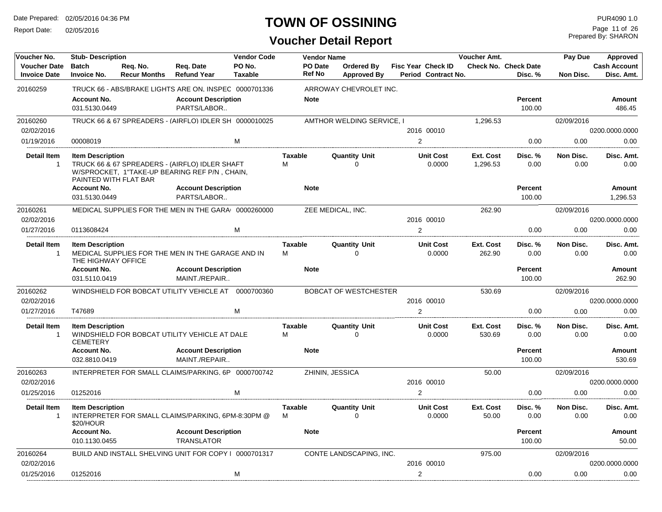Report Date: 02/05/2016

## **TOWN OF OSSINING**

Prepared By: SHARON Page 11 of 26

| Voucher No.                                | <b>Stub-Description</b>                          |                                 |                                                                                                 | <b>Vendor Code</b>       |                     | <b>Vendor Name</b>       |                                  |                                           | Voucher Amt.          |                                 | Pay Due           | Approved                          |
|--------------------------------------------|--------------------------------------------------|---------------------------------|-------------------------------------------------------------------------------------------------|--------------------------|---------------------|--------------------------|----------------------------------|-------------------------------------------|-----------------------|---------------------------------|-------------------|-----------------------------------|
| <b>Voucher Date</b><br><b>Invoice Date</b> | <b>Batch</b><br><b>Invoice No.</b>               | Reg. No.<br><b>Recur Months</b> | Req. Date<br><b>Refund Year</b>                                                                 | PO No.<br><b>Taxable</b> |                     | PO Date<br><b>Ref No</b> | Ordered By<br><b>Approved By</b> | Fisc Year Check ID<br>Period Contract No. |                       | Check No. Check Date<br>Disc. % | Non Disc.         | <b>Cash Account</b><br>Disc. Amt. |
| 20160259                                   |                                                  |                                 | TRUCK 66 - ABS/BRAKE LIGHTS ARE ON, INSPEC 0000701336                                           |                          |                     |                          | ARROWAY CHEVROLET INC.           |                                           |                       |                                 |                   |                                   |
|                                            | <b>Account No.</b><br>031.5130.0449              |                                 | <b>Account Description</b><br>PARTS/LABOR                                                       |                          |                     | <b>Note</b>              |                                  |                                           |                       | <b>Percent</b><br>100.00        |                   | Amount<br>486.45                  |
| 20160260                                   |                                                  |                                 | TRUCK 66 & 67 SPREADERS - (AIRFLO) IDLER SH 0000010025                                          |                          |                     |                          | AMTHOR WELDING SERVICE, I        |                                           | 1.296.53              |                                 | 02/09/2016        |                                   |
| 02/02/2016                                 |                                                  |                                 |                                                                                                 |                          |                     |                          |                                  | 2016 00010                                |                       |                                 |                   | 0200.0000.0000                    |
| 01/19/2016                                 | 00008019                                         |                                 |                                                                                                 | M                        |                     |                          |                                  | $\overline{2}$                            |                       | 0.00                            | 0.00              | 0.00                              |
| <b>Detail Item</b><br>-1                   | <b>Item Description</b><br>PAINTED WITH FLAT BAR |                                 | TRUCK 66 & 67 SPREADERS - (AIRFLO) IDLER SHAFT<br>W/SPROCKET, 1"TAKE-UP BEARING REF P/N, CHAIN, |                          | <b>Taxable</b><br>M |                          | <b>Quantity Unit</b><br>$\Omega$ | <b>Unit Cost</b><br>0.0000                | Ext. Cost<br>1,296.53 | Disc. %<br>0.00                 | Non Disc.<br>0.00 | Disc. Amt.<br>0.00                |
|                                            | <b>Account No.</b><br>031.5130.0449              |                                 | <b>Account Description</b><br>PARTS/LABOR                                                       |                          |                     | <b>Note</b>              |                                  |                                           |                       | <b>Percent</b><br>100.00        |                   | Amount<br>1,296.53                |
| 20160261                                   |                                                  |                                 | MEDICAL SUPPLIES FOR THE MEN IN THE GARA 0000260000                                             |                          |                     |                          | ZEE MEDICAL, INC.                |                                           | 262.90                |                                 | 02/09/2016        |                                   |
| 02/02/2016                                 |                                                  |                                 |                                                                                                 |                          |                     |                          |                                  | 2016 00010                                |                       |                                 |                   | 0200.0000.0000                    |
| 01/27/2016                                 | 0113608424                                       |                                 |                                                                                                 | M                        |                     |                          |                                  | $\overline{2}$                            |                       | 0.00                            | 0.00              | 0.00                              |
| <b>Detail Item</b><br>$\overline{1}$       | <b>Item Description</b><br>THE HIGHWAY OFFICE    |                                 | MEDICAL SUPPLIES FOR THE MEN IN THE GARAGE AND IN                                               |                          | <b>Taxable</b><br>M |                          | <b>Quantity Unit</b><br>$\Omega$ | <b>Unit Cost</b><br>0.0000                | Ext. Cost<br>262.90   | Disc.%<br>0.00                  | Non Disc.<br>0.00 | Disc. Amt.<br>0.00                |
|                                            | <b>Account No.</b><br>031.5110.0419              |                                 | <b>Account Description</b><br>MAINT./REPAIR                                                     |                          |                     | <b>Note</b>              |                                  |                                           |                       | <b>Percent</b><br>100.00        |                   | Amount<br>262.90                  |
| 20160262                                   |                                                  |                                 | WINDSHIELD FOR BOBCAT UTILITY VEHICLE AT 0000700360                                             |                          |                     |                          | <b>BOBCAT OF WESTCHESTER</b>     |                                           | 530.69                |                                 | 02/09/2016        |                                   |
| 02/02/2016                                 |                                                  |                                 |                                                                                                 |                          |                     |                          |                                  | 2016 00010                                |                       |                                 |                   | 0200.0000.0000                    |
| 01/27/2016                                 | T47689                                           |                                 |                                                                                                 | M                        |                     |                          |                                  | $\overline{2}$                            |                       | 0.00                            | 0.00              | 0.00                              |
| <b>Detail Item</b><br>$\overline{1}$       | <b>Item Description</b><br><b>CEMETERY</b>       |                                 | WINDSHIELD FOR BOBCAT UTILITY VEHICLE AT DALE                                                   |                          | <b>Taxable</b><br>M |                          | <b>Quantity Unit</b><br>$\Omega$ | <b>Unit Cost</b><br>0.0000                | Ext. Cost<br>530.69   | Disc. %<br>0.00                 | Non Disc.<br>0.00 | Disc. Amt.<br>0.00                |
|                                            | <b>Account No.</b><br>032.8810.0419              |                                 | <b>Account Description</b><br>MAINT./REPAIR                                                     |                          |                     | <b>Note</b>              |                                  |                                           |                       | <b>Percent</b><br>100.00        |                   | Amount<br>530.69                  |
| 20160263                                   |                                                  |                                 | INTERPRETER FOR SMALL CLAIMS/PARKING, 6P 0000700742                                             |                          |                     |                          | ZHININ, JESSICA                  |                                           | 50.00                 |                                 | 02/09/2016        |                                   |
| 02/02/2016                                 |                                                  |                                 |                                                                                                 |                          |                     |                          |                                  | 2016 00010                                |                       |                                 |                   | 0200.0000.0000                    |
| 01/25/2016                                 | 01252016                                         |                                 |                                                                                                 | M                        |                     |                          |                                  | 2                                         |                       | 0.00                            | 0.00              | 0.00                              |
| <b>Detail Item</b><br>$\overline{1}$       | <b>Item Description</b><br>\$20/HOUR             |                                 | INTERPRETER FOR SMALL CLAIMS/PARKING, 6PM-8:30PM @                                              |                          | <b>Taxable</b><br>м |                          | <b>Quantity Unit</b><br>$\Omega$ | <b>Unit Cost</b><br>0.0000                | Ext. Cost<br>50.00    | Disc. %<br>0.00                 | Non Disc.<br>0.00 | Disc. Amt.<br>0.00                |
|                                            | <b>Account No.</b><br>010.1130.0455              |                                 | <b>Account Description</b><br><b>TRANSLATOR</b>                                                 |                          |                     | <b>Note</b>              |                                  |                                           |                       | <b>Percent</b><br>100.00        |                   | Amount<br>50.00                   |
| 20160264                                   |                                                  |                                 | BUILD AND INSTALL SHELVING UNIT FOR COPY   0000701317                                           |                          |                     |                          | CONTE LANDSCAPING, INC.          |                                           | 975.00                |                                 | 02/09/2016        |                                   |
| 02/02/2016                                 |                                                  |                                 |                                                                                                 |                          |                     |                          |                                  | 2016 00010                                |                       |                                 |                   | 0200.0000.0000                    |
| 01/25/2016                                 | 01252016                                         |                                 |                                                                                                 | M                        |                     |                          |                                  | $\overline{2}$                            |                       | 0.00                            | 0.00              | 0.00                              |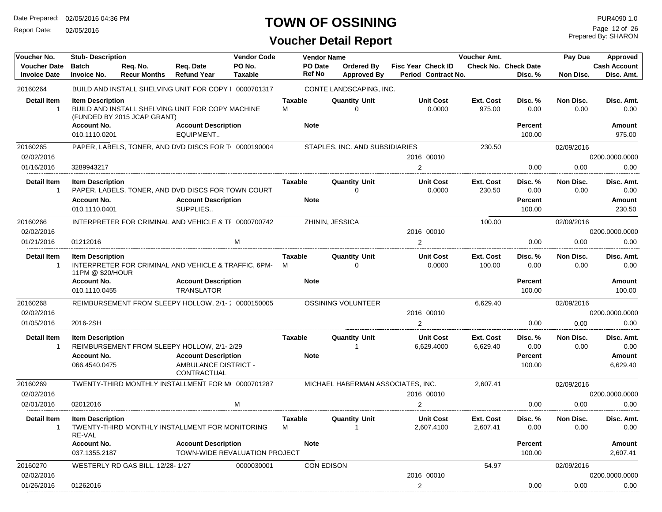Report Date: 02/05/2016

## **TOWN OF OSSINING**

Prepared By: SHARON Page 12 of 26

| Voucher No.                                | <b>Stub- Description</b>                                       |                                  |                                                                                                                 | <b>Vendor Code</b>       |                        | <b>Vendor Name</b> |                                     |                |                                                  | <b>Voucher Amt.</b>   |                                             | Pay Due           | Approved                                 |
|--------------------------------------------|----------------------------------------------------------------|----------------------------------|-----------------------------------------------------------------------------------------------------------------|--------------------------|------------------------|--------------------|-------------------------------------|----------------|--------------------------------------------------|-----------------------|---------------------------------------------|-------------------|------------------------------------------|
| <b>Voucher Date</b><br><b>Invoice Date</b> | <b>Batch</b><br><b>Invoice No.</b>                             | Req. No.<br><b>Recur Months</b>  | Req. Date<br><b>Refund Year</b>                                                                                 | PO No.<br><b>Taxable</b> |                        | PO Date<br>Ref No  | Ordered By<br><b>Approved By</b>    |                | <b>Fisc Year Check ID</b><br>Period Contract No. |                       | <b>Check No. Check Date</b><br>Disc. %      | Non Disc.         | <b>Cash Account</b><br>Disc. Amt.        |
| 20160264                                   |                                                                |                                  | BUILD AND INSTALL SHELVING UNIT FOR COPY   0000701317                                                           |                          |                        |                    | CONTE LANDSCAPING, INC.             |                |                                                  |                       |                                             |                   |                                          |
| <b>Detail Item</b>                         | <b>Item Description</b>                                        | (FUNDED BY 2015 JCAP GRANT)      | BUILD AND INSTALL SHELVING UNIT FOR COPY MACHINE                                                                |                          | <b>Taxable</b><br>м    |                    | <b>Quantity Unit</b><br>$\Omega$    |                | <b>Unit Cost</b><br>0.0000                       | Ext. Cost<br>975.00   | Disc. %<br>0.00                             | Non Disc.<br>0.00 | Disc. Amt.<br>0.00                       |
|                                            | <b>Account No.</b>                                             |                                  | <b>Account Description</b>                                                                                      |                          | <b>Note</b>            |                    |                                     |                |                                                  |                       | <b>Percent</b>                              |                   | Amount                                   |
|                                            | 010.1110.0201                                                  |                                  | EQUIPMENT                                                                                                       |                          |                        |                    |                                     |                |                                                  |                       | 100.00                                      |                   | 975.00                                   |
| 20160265<br>02/02/2016                     |                                                                |                                  | PAPER, LABELS, TONER, AND DVD DISCS FOR T 0000190004                                                            |                          |                        |                    | STAPLES, INC. AND SUBSIDIARIES      |                | 2016 00010                                       | 230.50                |                                             | 02/09/2016        | 0200.0000.0000                           |
| 01/16/2016                                 | 3289943217                                                     |                                  |                                                                                                                 |                          |                        |                    |                                     | $\overline{2}$ |                                                  |                       | 0.00                                        | 0.00              | 0.00                                     |
|                                            |                                                                |                                  |                                                                                                                 |                          |                        |                    |                                     |                |                                                  |                       |                                             |                   |                                          |
| <b>Detail Item</b><br>-1                   | <b>Item Description</b>                                        |                                  | PAPER, LABELS, TONER, AND DVD DISCS FOR TOWN COURT                                                              |                          | Taxable                |                    | <b>Quantity Unit</b><br>$\Omega$    |                | <b>Unit Cost</b><br>0.0000                       | Ext. Cost<br>230.50   | Disc. %<br>0.00                             | Non Disc.<br>0.00 | Disc. Amt.<br>0.00                       |
|                                            | <b>Account No.</b><br>010.1110.0401                            |                                  | <b>Account Description</b><br>SUPPLIES                                                                          |                          | <b>Note</b>            |                    |                                     |                |                                                  |                       | <b>Percent</b><br>100.00                    |                   | <b>Amount</b><br>230.50                  |
| 20160266                                   |                                                                |                                  | INTERPRETER FOR CRIMINAL AND VEHICLE & TF 0000700742                                                            |                          |                        |                    | ZHININ, JESSICA                     |                |                                                  | 100.00                |                                             | 02/09/2016        |                                          |
| 02/02/2016                                 |                                                                |                                  |                                                                                                                 |                          |                        |                    |                                     |                | 2016 00010                                       |                       |                                             |                   | 0200.0000.0000                           |
| 01/21/2016                                 | 01212016                                                       |                                  |                                                                                                                 | м                        |                        |                    |                                     | $\overline{2}$ |                                                  |                       | 0.00                                        | 0.00              | 0.00                                     |
| <b>Detail Item</b><br>$\mathbf{1}$         | <b>Item Description</b><br>11PM @ \$20/HOUR                    |                                  | INTERPRETER FOR CRIMINAL AND VEHICLE & TRAFFIC, 6PM-                                                            |                          | Taxable<br>М           |                    | <b>Quantity Unit</b><br>$\mathbf 0$ |                | <b>Unit Cost</b><br>0.0000                       | Ext. Cost<br>100.00   | Disc. %<br>0.00                             | Non Disc.<br>0.00 | Disc. Amt.<br>0.00                       |
|                                            | <b>Account No.</b>                                             |                                  | <b>Account Description</b>                                                                                      |                          | <b>Note</b>            |                    |                                     |                |                                                  |                       | <b>Percent</b>                              |                   | Amount                                   |
|                                            | 010.1110.0455                                                  |                                  | <b>TRANSLATOR</b>                                                                                               |                          |                        |                    |                                     |                |                                                  |                       | 100.00                                      |                   | 100.00                                   |
| 20160268                                   |                                                                |                                  | REIMBURSEMENT FROM SLEEPY HOLLOW. 2/1-: 0000150005                                                              |                          |                        |                    | <b>OSSINING VOLUNTEER</b>           |                |                                                  | 6,629.40              |                                             | 02/09/2016        |                                          |
| 02/02/2016                                 |                                                                |                                  |                                                                                                                 |                          |                        |                    |                                     |                | 2016 00010                                       |                       |                                             |                   | 0200.0000.0000                           |
| 01/05/2016                                 | 2016-2SH                                                       |                                  |                                                                                                                 |                          |                        |                    |                                     | $\overline{2}$ |                                                  |                       | 0.00                                        | 0.00              | 0.00                                     |
| <b>Detail Item</b><br>-1                   | <b>Item Description</b><br><b>Account No.</b><br>066.4540.0475 |                                  | REIMBURSEMENT FROM SLEEPY HOLLOW, 2/1-2/29<br><b>Account Description</b><br>AMBULANCE DISTRICT -<br>CONTRACTUAL |                          | Taxable<br><b>Note</b> |                    | <b>Quantity Unit</b><br>1           |                | <b>Unit Cost</b><br>6,629.4000                   | Ext. Cost<br>6,629.40 | Disc. %<br>0.00<br><b>Percent</b><br>100.00 | Non Disc.<br>0.00 | Disc. Amt.<br>0.00<br>Amount<br>6,629.40 |
| 20160269                                   |                                                                |                                  | TWENTY-THIRD MONTHLY INSTALLMENT FOR M(0000701287                                                               |                          |                        |                    | MICHAEL HABERMAN ASSOCIATES, INC.   |                |                                                  | 2,607.41              |                                             | 02/09/2016        |                                          |
| 02/02/2016                                 |                                                                |                                  |                                                                                                                 |                          |                        |                    |                                     |                | 2016 00010                                       |                       |                                             |                   | 0200.0000.0000                           |
| 02/01/2016                                 | 02012016                                                       |                                  |                                                                                                                 | M                        |                        |                    |                                     | 2              |                                                  |                       | 0.00                                        | 0.00              | 0.00                                     |
| <b>Detail Item</b>                         | <b>Item Description</b>                                        |                                  |                                                                                                                 |                          | Taxable                |                    | <b>Quantity Unit</b>                |                | <b>Unit Cost</b>                                 | Ext. Cost             | Disc. %                                     | Non Disc.         | Disc. Amt.                               |
|                                            | RE-VAL                                                         |                                  | TWENTY-THIRD MONTHLY INSTALLMENT FOR MONITORING                                                                 |                          | M                      |                    |                                     |                | 2,607.4100                                       | 2,607.41              | 0.00                                        | 0.00              | 0.00                                     |
|                                            | <b>Account No.</b>                                             |                                  | <b>Account Description</b>                                                                                      |                          | <b>Note</b>            |                    |                                     |                |                                                  |                       | <b>Percent</b>                              |                   | Amount                                   |
|                                            | 037.1355.2187                                                  |                                  | <b>TOWN-WIDE REVALUATION PROJECT</b>                                                                            |                          |                        |                    |                                     |                |                                                  |                       | 100.00                                      |                   | 2,607.41                                 |
| 20160270                                   |                                                                | WESTERLY RD GAS BILL, 12/28-1/27 |                                                                                                                 | 0000030001               |                        | <b>CON EDISON</b>  |                                     |                |                                                  | 54.97                 |                                             | 02/09/2016        |                                          |
| 02/02/2016                                 |                                                                |                                  |                                                                                                                 |                          |                        |                    |                                     |                | 2016 00010                                       |                       |                                             |                   | 0200.0000.0000                           |
| 01/26/2016                                 | 01262016                                                       |                                  |                                                                                                                 |                          |                        |                    |                                     | 2              |                                                  |                       | 0.00                                        | 0.00              | 0.00                                     |
|                                            |                                                                |                                  |                                                                                                                 |                          |                        |                    |                                     |                |                                                  |                       |                                             |                   |                                          |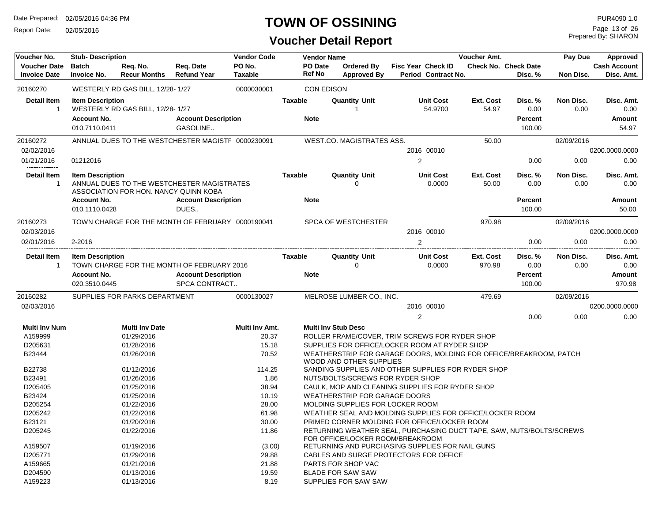Report Date: 02/05/2016

## **TOWN OF OSSINING**

## **Voucher Detail Report**

Prepared By: SHARON Page 13 of 26

| Voucher No.         | <b>Stub- Description</b> |                                                   |                            | <b>Vendor Code</b> |               | <b>Vendor Name</b> |                                      |                                                                      | Voucher Amt. |                             | Pay Due    | Approved            |
|---------------------|--------------------------|---------------------------------------------------|----------------------------|--------------------|---------------|--------------------|--------------------------------------|----------------------------------------------------------------------|--------------|-----------------------------|------------|---------------------|
| <b>Voucher Date</b> | <b>Batch</b>             | Req. No.                                          | Req. Date                  | PO No.             |               | PO Date            | <b>Ordered By</b>                    | <b>Fisc Year Check ID</b>                                            |              | <b>Check No. Check Date</b> |            | <b>Cash Account</b> |
| <b>Invoice Date</b> | Invoice No.              | <b>Recur Months</b>                               | <b>Refund Year</b>         | <b>Taxable</b>     | <b>Ref No</b> |                    | <b>Approved By</b>                   | Period Contract No.                                                  |              | Disc. %                     | Non Disc.  | Disc. Amt.          |
| 20160270            |                          | WESTERLY RD GAS BILL, 12/28-1/27                  |                            | 0000030001         |               | <b>CON EDISON</b>  |                                      |                                                                      |              |                             |            |                     |
| Detail Item         | <b>Item Description</b>  |                                                   |                            |                    | Taxable       |                    | <b>Quantity Unit</b>                 | <b>Unit Cost</b>                                                     | Ext. Cost    | Disc. %                     | Non Disc.  | Disc. Amt.          |
| $\mathbf{1}$        |                          | WESTERLY RD GAS BILL, 12/28-1/27                  |                            |                    |               |                    |                                      | 54.9700                                                              | 54.97        | 0.00                        | 0.00       | 0.00                |
|                     | <b>Account No.</b>       |                                                   | <b>Account Description</b> |                    | <b>Note</b>   |                    |                                      |                                                                      |              | <b>Percent</b>              |            | Amount              |
|                     | 010.7110.0411            |                                                   | GASOLINE                   |                    |               |                    |                                      |                                                                      |              | 100.00                      |            | 54.97               |
| 20160272            |                          | ANNUAL DUES TO THE WESTCHESTER MAGISTF 0000230091 |                            |                    |               |                    | <b>WEST.CO. MAGISTRATES ASS.</b>     |                                                                      | 50.00        |                             | 02/09/2016 |                     |
| 02/02/2016          |                          |                                                   |                            |                    |               |                    |                                      | 2016 00010                                                           |              |                             |            | 0200.0000.0000      |
| 01/21/2016          | 01212016                 |                                                   |                            |                    |               |                    |                                      | $\overline{2}$                                                       |              | 0.00                        | 0.00       | 0.00                |
| Detail Item         | <b>Item Description</b>  |                                                   |                            |                    | Taxable       |                    | <b>Quantity Unit</b>                 | <b>Unit Cost</b>                                                     | Ext. Cost    | Disc. %                     | Non Disc.  | Disc. Amt.          |
| $\overline{1}$      |                          | ANNUAL DUES TO THE WESTCHESTER MAGISTRATES        |                            |                    |               |                    | 0                                    | 0.0000                                                               | 50.00        | 0.00                        | 0.00       | 0.00                |
|                     |                          | ASSOCIATION FOR HON. NANCY QUINN KOBA             |                            |                    |               |                    |                                      |                                                                      |              |                             |            |                     |
|                     | <b>Account No.</b>       |                                                   | <b>Account Description</b> |                    | <b>Note</b>   |                    |                                      |                                                                      |              | <b>Percent</b>              |            | <b>Amount</b>       |
|                     | 010.1110.0428            |                                                   | DUES                       |                    |               |                    |                                      |                                                                      |              | 100.00                      |            | 50.00               |
| 20160273            |                          | TOWN CHARGE FOR THE MONTH OF FEBRUARY 0000190041  |                            |                    |               |                    | <b>SPCA OF WESTCHESTER</b>           |                                                                      | 970.98       |                             | 02/09/2016 |                     |
| 02/03/2016          |                          |                                                   |                            |                    |               |                    |                                      | 2016 00010                                                           |              |                             |            | 0200.0000.0000      |
| 02/01/2016          | 2-2016                   |                                                   |                            |                    |               |                    |                                      | 2                                                                    |              | 0.00                        | 0.00       | 0.00                |
| Detail Item         | <b>Item Description</b>  |                                                   |                            |                    | Taxable       |                    | <b>Quantity Unit</b>                 | <b>Unit Cost</b>                                                     | Ext. Cost    | Disc. %                     | Non Disc.  | Disc. Amt.          |
| -1                  |                          | TOWN CHARGE FOR THE MONTH OF FEBRUARY 2016        |                            |                    |               |                    | 0                                    | 0.0000                                                               | 970.98       | 0.00                        | 0.00       | 0.00                |
|                     | <b>Account No.</b>       |                                                   | <b>Account Description</b> |                    | <b>Note</b>   |                    |                                      |                                                                      |              | <b>Percent</b>              |            | Amount              |
|                     | 020.3510.0445            |                                                   | SPCA CONTRACT              |                    |               |                    |                                      |                                                                      |              | 100.00                      |            | 970.98              |
| 20160282            |                          | SUPPLIES FOR PARKS DEPARTMENT                     |                            | 0000130027         |               |                    | MELROSE LUMBER CO., INC.             |                                                                      | 479.69       |                             | 02/09/2016 |                     |
| 02/03/2016          |                          |                                                   |                            |                    |               |                    |                                      | 2016 00010                                                           |              |                             |            | 0200.0000.0000      |
|                     |                          |                                                   |                            |                    |               |                    |                                      | $\overline{2}$                                                       |              | 0.00                        | 0.00       | 0.00                |
| Multi Inv Num       |                          | <b>Multi Inv Date</b>                             |                            | Multi Inv Amt.     |               |                    | <b>Multi Inv Stub Desc</b>           |                                                                      |              |                             |            |                     |
| A159999             |                          | 01/29/2016                                        |                            | 20.37              |               |                    |                                      | ROLLER FRAME/COVER, TRIM SCREWS FOR RYDER SHOP                       |              |                             |            |                     |
| D205631             |                          | 01/28/2016                                        |                            | 15.18              |               |                    |                                      | SUPPLIES FOR OFFICE/LOCKER ROOM AT RYDER SHOP                        |              |                             |            |                     |
| B23444              |                          | 01/26/2016                                        |                            | 70.52              |               |                    | WOOD AND OTHER SUPPLIES              | WEATHERSTRIP FOR GARAGE DOORS, MOLDING FOR OFFICE/BREAKROOM, PATCH   |              |                             |            |                     |
| B22738              |                          | 01/12/2016                                        |                            | 114.25             |               |                    |                                      | SANDING SUPPLIES AND OTHER SUPPLIES FOR RYDER SHOP                   |              |                             |            |                     |
| B23491              |                          | 01/26/2016                                        |                            | 1.86               |               |                    | NUTS/BOLTS/SCREWS FOR RYDER SHOP     |                                                                      |              |                             |            |                     |
| D205405             |                          | 01/25/2016                                        |                            | 38.94              |               |                    |                                      | CAULK, MOP AND CLEANING SUPPLIES FOR RYDER SHOP                      |              |                             |            |                     |
| B23424              |                          | 01/25/2016                                        |                            | 10.19              |               |                    | <b>WEATHERSTRIP FOR GARAGE DOORS</b> |                                                                      |              |                             |            |                     |
| D205254             |                          | 01/22/2016                                        |                            | 28.00              |               |                    | MOLDING SUPPLIES FOR LOCKER ROOM     |                                                                      |              |                             |            |                     |
| D205242             |                          | 01/22/2016                                        |                            | 61.98              |               |                    |                                      | WEATHER SEAL AND MOLDING SUPPLIES FOR OFFICE/LOCKER ROOM             |              |                             |            |                     |
| B23121              |                          | 01/20/2016                                        |                            | 30.00              |               |                    |                                      | PRIMED CORNER MOLDING FOR OFFICE/LOCKER ROOM                         |              |                             |            |                     |
| D205245             |                          | 01/22/2016                                        |                            | 11.86              |               |                    | FOR OFFICE/LOCKER ROOM/BREAKROOM     | RETURNING WEATHER SEAL, PURCHASING DUCT TAPE, SAW, NUTS/BOLTS/SCREWS |              |                             |            |                     |
| A159507             |                          | 01/19/2016                                        |                            | (3.00)             |               |                    |                                      | RETURNING AND PURCHASING SUPPLIES FOR NAIL GUNS                      |              |                             |            |                     |
| D205771             |                          | 01/29/2016                                        |                            | 29.88              |               |                    |                                      | CABLES AND SURGE PROTECTORS FOR OFFICE                               |              |                             |            |                     |
| A159665             |                          | 01/21/2016                                        |                            | 21.88              |               |                    | PARTS FOR SHOP VAC                   |                                                                      |              |                             |            |                     |
| D204590             |                          | 01/13/2016                                        |                            | 19.59              |               |                    | <b>BLADE FOR SAW SAW</b>             |                                                                      |              |                             |            |                     |
| A159223             |                          | 01/13/2016                                        |                            | 8.19               |               |                    | SUPPLIES FOR SAW SAW                 |                                                                      |              |                             |            |                     |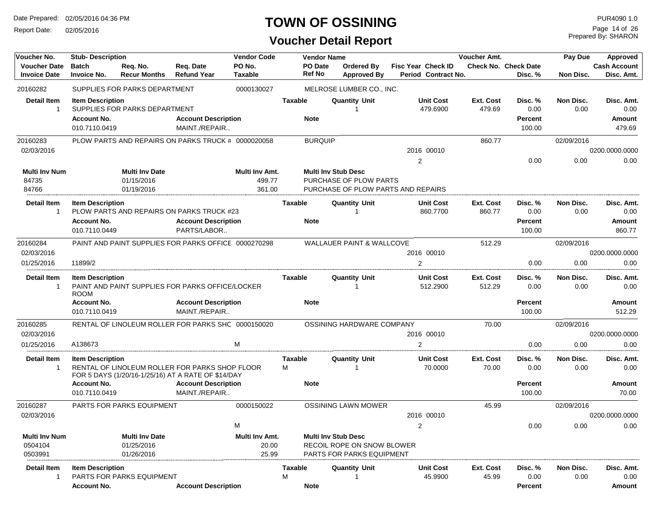Report Date: 02/05/2016

## **TOWN OF OSSINING**

## **Voucher Detail Report**

Prepared By: SHARON Page 14 of 26

| Voucher No.                                | <b>Stub-Description</b>                                        |                                                   |                                                                                                      | <b>Vendor Code</b>                 |                     | <b>Vendor Name</b>       |                                                                                              |                                           | Voucher Amt.        |                                             | Pay Due           | Approved                               |
|--------------------------------------------|----------------------------------------------------------------|---------------------------------------------------|------------------------------------------------------------------------------------------------------|------------------------------------|---------------------|--------------------------|----------------------------------------------------------------------------------------------|-------------------------------------------|---------------------|---------------------------------------------|-------------------|----------------------------------------|
| <b>Voucher Date</b><br><b>Invoice Date</b> | <b>Batch</b><br><b>Invoice No.</b>                             | Req. No.<br><b>Recur Months</b>                   | Req. Date<br><b>Refund Year</b>                                                                      | PO No.<br>Taxable                  |                     | PO Date<br><b>Ref No</b> | <b>Ordered Bv</b><br><b>Approved By</b>                                                      | Fisc Year Check ID<br>Period Contract No. |                     | <b>Check No. Check Date</b><br>Disc. %      | Non Disc.         | <b>Cash Account</b><br>Disc. Amt.      |
| 20160282                                   |                                                                | SUPPLIES FOR PARKS DEPARTMENT                     |                                                                                                      | 0000130027                         |                     |                          | MELROSE LUMBER CO., INC.                                                                     |                                           |                     |                                             |                   |                                        |
| <b>Detail Item</b><br>$\mathbf{1}$         | <b>Item Description</b><br><b>Account No.</b><br>010.7110.0419 | SUPPLIES FOR PARKS DEPARTMENT                     | <b>Account Description</b><br>MAINT./REPAIR                                                          |                                    | <b>Taxable</b>      | <b>Note</b>              | <b>Quantity Unit</b>                                                                         | <b>Unit Cost</b><br>479.6900              | Ext. Cost<br>479.69 | Disc. %<br>0.00<br>Percent<br>100.00        | Non Disc.<br>0.00 | Disc. Amt.<br>0.00<br>Amount<br>479.69 |
| 20160283                                   |                                                                |                                                   | PLOW PARTS AND REPAIRS ON PARKS TRUCK # 0000020058                                                   |                                    |                     | <b>BURQUIP</b>           |                                                                                              |                                           | 860.77              |                                             | 02/09/2016        |                                        |
| 02/03/2016                                 |                                                                |                                                   |                                                                                                      |                                    |                     |                          |                                                                                              | 2016 00010                                |                     |                                             |                   | 0200.0000.0000                         |
|                                            |                                                                |                                                   |                                                                                                      |                                    |                     |                          |                                                                                              | $\overline{2}$                            |                     | 0.00                                        | 0.00              | 0.00                                   |
| <b>Multi Inv Num</b><br>84735<br>84766     |                                                                | <b>Multi Inv Date</b><br>01/15/2016<br>01/19/2016 |                                                                                                      | Multi Inv Amt.<br>499.77<br>361.00 |                     |                          | <b>Multi Inv Stub Desc</b><br>PURCHASE OF PLOW PARTS                                         | PURCHASE OF PLOW PARTS AND REPAIRS        |                     |                                             |                   |                                        |
| Detail Item<br>$\mathbf{1}$                | <b>Item Description</b><br><b>Account No.</b><br>010.7110.0449 |                                                   | PLOW PARTS AND REPAIRS ON PARKS TRUCK #23<br><b>Account Description</b><br>PARTS/LABOR               |                                    | Taxable             | <b>Note</b>              | <b>Quantity Unit</b>                                                                         | <b>Unit Cost</b><br>860.7700              | Ext. Cost<br>860.77 | Disc. %<br>0.00<br><b>Percent</b><br>100.00 | Non Disc.<br>0.00 | Disc. Amt.<br>0.00<br>Amount<br>860.77 |
| 20160284                                   |                                                                |                                                   | PAINT AND PAINT SUPPLIES FOR PARKS OFFICE 0000270298                                                 |                                    |                     |                          | WALLAUER PAINT & WALLCOVE                                                                    |                                           | 512.29              |                                             | 02/09/2016        |                                        |
| 02/03/2016                                 |                                                                |                                                   |                                                                                                      |                                    |                     |                          |                                                                                              | 2016 00010                                |                     |                                             |                   | 0200.0000.0000                         |
| 01/25/2016                                 | 11899/2                                                        |                                                   |                                                                                                      |                                    |                     |                          |                                                                                              | 2                                         |                     | 0.00                                        | 0.00              | 0.00                                   |
| <b>Detail Item</b><br>$\mathbf{1}$         | <b>Item Description</b><br><b>ROOM</b>                         |                                                   | PAINT AND PAINT SUPPLIES FOR PARKS OFFICE/LOCKER                                                     |                                    | <b>Taxable</b>      |                          | <b>Quantity Unit</b>                                                                         | <b>Unit Cost</b><br>512.2900              | Ext. Cost<br>512.29 | Disc.%<br>0.00                              | Non Disc.<br>0.00 | Disc. Amt.<br>0.00                     |
|                                            | <b>Account No.</b><br>010.7110.0419                            |                                                   | <b>Account Description</b><br>MAINT./REPAIR                                                          |                                    |                     | <b>Note</b>              |                                                                                              |                                           |                     | Percent<br>100.00                           |                   | Amount<br>512.29                       |
| 20160285                                   |                                                                |                                                   | RENTAL OF LINOLEUM ROLLER FOR PARKS SHC 0000150020                                                   |                                    |                     |                          | OSSINING HARDWARE COMPANY                                                                    |                                           | 70.00               |                                             | 02/09/2016        |                                        |
| 02/03/2016                                 |                                                                |                                                   |                                                                                                      |                                    |                     |                          |                                                                                              | 2016 00010                                |                     |                                             |                   | 0200.0000.0000                         |
| 01/25/2016                                 | A138673                                                        |                                                   |                                                                                                      | м                                  |                     |                          |                                                                                              | $\overline{2}$                            |                     | 0.00                                        | 0.00              | 0.00                                   |
| <b>Detail Item</b><br>$\mathbf{1}$         | <b>Item Description</b>                                        |                                                   | RENTAL OF LINOLEUM ROLLER FOR PARKS SHOP FLOOR<br>FOR 5 DAYS (1/20/16-1/25/16) AT A RATE OF \$14/DAY |                                    | <b>Taxable</b><br>М |                          | <b>Quantity Unit</b>                                                                         | <b>Unit Cost</b><br>70.0000               | Ext. Cost<br>70.00  | Disc. %<br>0.00                             | Non Disc.<br>0.00 | Disc. Amt.<br>0.00                     |
|                                            | <b>Account No.</b><br>010.7110.0419                            |                                                   | <b>Account Description</b><br>MAINT./REPAIR                                                          |                                    |                     | <b>Note</b>              |                                                                                              |                                           |                     | Percent<br>100.00                           |                   | Amount<br>70.00                        |
| 20160287<br>02/03/2016                     |                                                                | PARTS FOR PARKS EQUIPMENT                         |                                                                                                      | 0000150022                         |                     |                          | <b>OSSINING LAWN MOWER</b>                                                                   | 2016 00010                                | 45.99               |                                             | 02/09/2016        | 0200.0000.0000                         |
|                                            |                                                                |                                                   |                                                                                                      | м                                  |                     |                          |                                                                                              | $\mathcal{P}$                             |                     | 0.00                                        | 0.00              | 0.00                                   |
| <b>Multi Inv Num</b><br>0504104<br>0503991 |                                                                | <b>Multi Inv Date</b><br>01/25/2016<br>01/26/2016 |                                                                                                      | Multi Inv Amt.<br>20.00<br>25.99   |                     |                          | <b>Multi Inv Stub Desc</b><br>RECOIL ROPE ON SNOW BLOWER<br><b>PARTS FOR PARKS EQUIPMENT</b> |                                           |                     |                                             |                   |                                        |
| Detail Item<br>1                           | <b>Item Description</b>                                        | <b>PARTS FOR PARKS EQUIPMENT</b>                  |                                                                                                      |                                    | Taxable<br>М        |                          | <b>Quantity Unit</b>                                                                         | <b>Unit Cost</b><br>45.9900               | Ext. Cost<br>45.99  | Disc. %<br>0.00                             | Non Disc.<br>0.00 | Disc. Amt.<br>0.00                     |
|                                            | <b>Account No.</b>                                             |                                                   | <b>Account Description</b>                                                                           |                                    |                     | <b>Note</b>              |                                                                                              |                                           |                     | Percent                                     |                   | Amount                                 |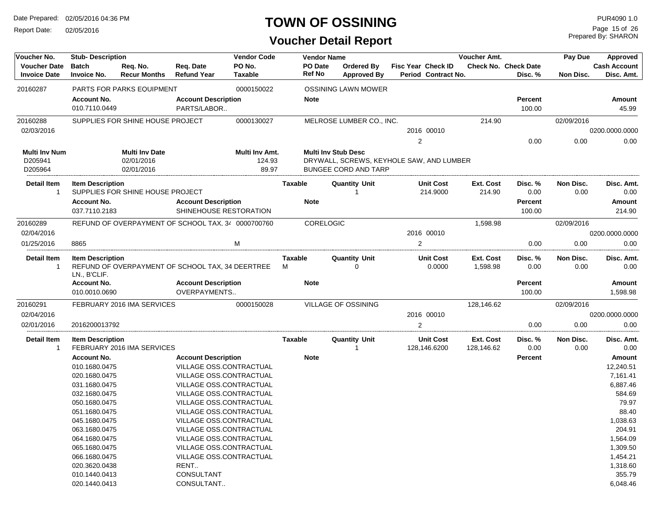Report Date: 02/05/2016

## **TOWN OF OSSINING**

Prepared By: SHARON Page 15 of 26

| Voucher No.                                | <b>Stub-Description</b>                 |                                  |                                                      | <b>Vendor Code</b>       |                     | <b>Vendor Name</b>                       |                           |                                  | <b>Voucher Amt.</b>     |                                 | Pay Due           | Approved                          |
|--------------------------------------------|-----------------------------------------|----------------------------------|------------------------------------------------------|--------------------------|---------------------|------------------------------------------|---------------------------|----------------------------------|-------------------------|---------------------------------|-------------------|-----------------------------------|
| <b>Voucher Date</b><br><b>Invoice Date</b> | <b>Batch</b><br><b>Invoice No.</b>      | Reg. No.<br><b>Recur Months</b>  | Req. Date<br><b>Refund Year</b>                      | PO No.<br><b>Taxable</b> | PO Date<br>Ref No   | Ordered By<br><b>Approved By</b>         | <b>Fisc Year Check ID</b> | Period Contract No.              |                         | Check No. Check Date<br>Disc. % | Non Disc.         | <b>Cash Account</b><br>Disc. Amt. |
| 20160287                                   |                                         | <b>PARTS FOR PARKS EQUIPMENT</b> |                                                      | 0000150022               |                     | <b>OSSINING LAWN MOWER</b>               |                           |                                  |                         |                                 |                   |                                   |
|                                            | <b>Account No.</b><br>010.7110.0449     |                                  | <b>Account Description</b><br>PARTS/LABOR            |                          | <b>Note</b>         |                                          |                           |                                  |                         | <b>Percent</b><br>100.00        |                   | Amount<br>45.99                   |
| 20160288                                   |                                         | SUPPLIES FOR SHINE HOUSE PROJECT |                                                      | 0000130027               |                     | MELROSE LUMBER CO., INC.                 |                           |                                  | 214.90                  |                                 | 02/09/2016        |                                   |
| 02/03/2016                                 |                                         |                                  |                                                      |                          |                     |                                          |                           | 2016 00010                       |                         |                                 |                   | 0200.0000.0000                    |
|                                            |                                         |                                  |                                                      |                          |                     |                                          | $\overline{2}$            |                                  |                         | 0.00                            | 0.00              | 0.00                              |
| Multi Inv Num                              |                                         | <b>Multi Inv Date</b>            |                                                      | Multi Inv Amt.           |                     | <b>Multi Inv Stub Desc</b>               |                           |                                  |                         |                                 |                   |                                   |
| D205941                                    |                                         | 02/01/2016                       |                                                      | 124.93                   |                     | DRYWALL, SCREWS, KEYHOLE SAW, AND LUMBER |                           |                                  |                         |                                 |                   |                                   |
| D205964                                    |                                         | 02/01/2016                       |                                                      | 89.97                    |                     | <b>BUNGEE CORD AND TARP</b>              |                           |                                  |                         |                                 |                   |                                   |
| Detail Item<br>$\mathbf{1}$                | <b>Item Description</b>                 | SUPPLIES FOR SHINE HOUSE PROJECT |                                                      |                          | <b>Taxable</b>      | <b>Quantity Unit</b>                     |                           | <b>Unit Cost</b><br>214.9000     | Ext. Cost<br>214.90     | Disc. %<br>0.00                 | Non Disc.<br>0.00 | Disc. Amt.<br>0.00                |
|                                            | <b>Account No.</b><br>037.7110.2183     |                                  | <b>Account Description</b><br>SHINEHOUSE RESTORATION |                          | <b>Note</b>         |                                          |                           |                                  |                         | Percent<br>100.00               |                   | Amount<br>214.90                  |
| 20160289                                   |                                         |                                  | REFUND OF OVERPAYMENT OF SCHOOL TAX, 34 0000700760   |                          |                     | CORELOGIC                                |                           |                                  | 1,598.98                |                                 | 02/09/2016        |                                   |
| 02/04/2016                                 |                                         |                                  |                                                      |                          |                     |                                          |                           | 2016 00010                       |                         |                                 |                   | 0200.0000.0000                    |
| 01/25/2016                                 | 8865                                    |                                  |                                                      | М                        |                     |                                          | 2                         |                                  |                         | 0.00                            | 0.00              | 0.00                              |
| Detail Item                                | <b>Item Description</b><br>LN., B'CLIF. |                                  | REFUND OF OVERPAYMENT OF SCHOOL TAX, 34 DEERTREE     |                          | <b>Taxable</b><br>м | <b>Quantity Unit</b><br>$\Omega$         |                           | <b>Unit Cost</b><br>0.0000       | Ext. Cost<br>1,598.98   | Disc. %<br>0.00                 | Non Disc.<br>0.00 | Disc. Amt.<br>0.00                |
|                                            | <b>Account No.</b><br>010.0010.0690     |                                  | <b>Account Description</b><br>OVERPAYMENTS           |                          | <b>Note</b>         |                                          |                           |                                  |                         | <b>Percent</b><br>100.00        |                   | Amount<br>1,598.98                |
| 20160291                                   |                                         | FEBRUARY 2016 IMA SERVICES       |                                                      | 0000150028               |                     | <b>VILLAGE OF OSSINING</b>               |                           |                                  | 128,146.62              |                                 | 02/09/2016        |                                   |
| 02/04/2016                                 |                                         |                                  |                                                      |                          |                     |                                          |                           | 2016 00010                       |                         |                                 |                   | 0200.0000.0000                    |
| 02/01/2016                                 | 2016200013792                           |                                  |                                                      |                          |                     |                                          | 2                         |                                  |                         | 0.00                            | 0.00              | 0.00                              |
| Detail Item<br>1                           | <b>Item Description</b>                 | FEBRUARY 2016 IMA SERVICES       |                                                      |                          | Taxable             | <b>Quantity Unit</b><br>-1               |                           | <b>Unit Cost</b><br>128,146.6200 | Ext. Cost<br>128,146.62 | Disc. %<br>0.00                 | Non Disc.<br>0.00 | Disc. Amt.<br>0.00                |
|                                            | <b>Account No.</b>                      |                                  | <b>Account Description</b>                           |                          | <b>Note</b>         |                                          |                           |                                  |                         | Percent                         |                   | Amount                            |
|                                            | 010.1680.0475                           |                                  | VILLAGE OSS.CONTRACTUAL                              |                          |                     |                                          |                           |                                  |                         |                                 |                   | 12,240.51                         |
|                                            | 020.1680.0475                           |                                  | VILLAGE OSS.CONTRACTUAL                              |                          |                     |                                          |                           |                                  |                         |                                 |                   | 7,161.41                          |
|                                            | 031.1680.0475                           |                                  | VILLAGE OSS.CONTRACTUAL                              |                          |                     |                                          |                           |                                  |                         |                                 |                   | 6,887.46                          |
|                                            | 032.1680.0475                           |                                  |                                                      | VILLAGE OSS.CONTRACTUAL  |                     |                                          |                           |                                  |                         |                                 |                   | 584.69                            |
|                                            | 050.1680.0475                           |                                  | VILLAGE OSS.CONTRACTUAL                              |                          |                     |                                          |                           |                                  |                         |                                 |                   | 79.97                             |
|                                            | 051.1680.0475                           |                                  | VILLAGE OSS.CONTRACTUAL                              |                          |                     |                                          |                           |                                  |                         |                                 |                   | 88.40                             |
|                                            | 045.1680.0475                           |                                  | VILLAGE OSS.CONTRACTUAL                              |                          |                     |                                          |                           |                                  |                         |                                 |                   | 1,038.63                          |
|                                            | 063.1680.0475                           |                                  | VILLAGE OSS.CONTRACTUAL                              |                          |                     |                                          |                           |                                  |                         |                                 |                   | 204.91                            |
|                                            | 064.1680.0475                           |                                  | VILLAGE OSS.CONTRACTUAL                              |                          |                     |                                          |                           |                                  |                         |                                 |                   | 1,564.09                          |
|                                            | 065.1680.0475                           |                                  |                                                      | VILLAGE OSS.CONTRACTUAL  |                     |                                          |                           |                                  |                         |                                 |                   | 1,309.50                          |
|                                            | 066.1680.0475                           |                                  |                                                      | VILLAGE OSS.CONTRACTUAL  |                     |                                          |                           |                                  |                         |                                 |                   | 1,454.21                          |
|                                            | 020.3620.0438                           |                                  | RENT                                                 |                          |                     |                                          |                           |                                  |                         |                                 |                   | 1,318.60                          |
|                                            | 010.1440.0413                           |                                  | CONSULTANT                                           |                          |                     |                                          |                           |                                  |                         |                                 |                   | 355.79                            |
|                                            | 020.1440.0413                           |                                  | CONSULTANT                                           |                          |                     |                                          |                           |                                  |                         |                                 |                   | 6,048.46                          |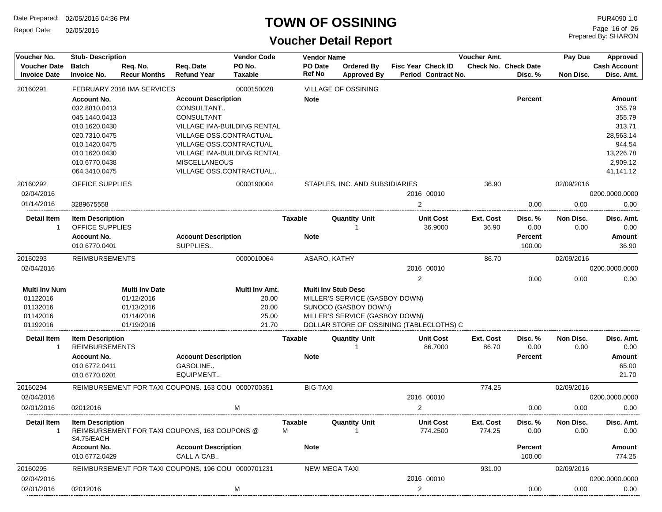Report Date: 02/05/2016

## **TOWN OF OSSINING**

Prepared By: SHARON Page 16 of 26

| Voucher No.                                | <b>Stub-Description</b>                |                                 |                                                    | <b>Vendor Code</b>       |                | <b>Vendor Name</b>         |                                          |                |                                           | Voucher Amt.        |                                        | Pay Due           | Approved                          |
|--------------------------------------------|----------------------------------------|---------------------------------|----------------------------------------------------|--------------------------|----------------|----------------------------|------------------------------------------|----------------|-------------------------------------------|---------------------|----------------------------------------|-------------------|-----------------------------------|
| <b>Voucher Date</b><br><b>Invoice Date</b> | <b>Batch</b><br><b>Invoice No.</b>     | Req. No.<br><b>Recur Months</b> | Req. Date<br><b>Refund Year</b>                    | PO No.<br><b>Taxable</b> | <b>Ref No</b>  | PO Date                    | <b>Ordered By</b><br><b>Approved By</b>  |                | Fisc Year Check ID<br>Period Contract No. |                     | <b>Check No. Check Date</b><br>Disc. % | Non Disc.         | <b>Cash Account</b><br>Disc. Amt. |
| 20160291                                   |                                        | FEBRUARY 2016 IMA SERVICES      |                                                    | 0000150028               |                |                            | <b>VILLAGE OF OSSINING</b>               |                |                                           |                     |                                        |                   |                                   |
|                                            | <b>Account No.</b>                     |                                 | <b>Account Description</b>                         |                          | <b>Note</b>    |                            |                                          |                |                                           |                     | <b>Percent</b>                         |                   | Amount                            |
|                                            | 032.8810.0413                          |                                 | CONSULTANT                                         |                          |                |                            |                                          |                |                                           |                     |                                        |                   | 355.79                            |
|                                            | 045.1440.0413                          |                                 | CONSULTANT                                         |                          |                |                            |                                          |                |                                           |                     |                                        |                   | 355.79                            |
|                                            | 010.1620.0430                          |                                 | VILLAGE IMA-BUILDING RENTAL                        |                          |                |                            |                                          |                |                                           |                     |                                        |                   | 313.71                            |
|                                            | 020.7310.0475                          |                                 | VILLAGE OSS.CONTRACTUAL                            |                          |                |                            |                                          |                |                                           |                     |                                        |                   | 28,563.14                         |
|                                            | 010.1420.0475                          |                                 | VILLAGE OSS.CONTRACTUAL                            |                          |                |                            |                                          |                |                                           |                     |                                        |                   | 944.54                            |
|                                            | 010.1620.0430                          |                                 | <b>VILLAGE IMA-BUILDING RENTAL</b>                 |                          |                |                            |                                          |                |                                           |                     |                                        |                   | 13,226.78                         |
|                                            | 010.6770.0438                          |                                 | <b>MISCELLANEOUS</b>                               |                          |                |                            |                                          |                |                                           |                     |                                        |                   | 2,909.12                          |
|                                            | 064.3410.0475                          |                                 | VILLAGE OSS.CONTRACTUAL                            |                          |                |                            |                                          |                |                                           |                     |                                        |                   | 41,141.12                         |
| 20160292                                   | <b>OFFICE SUPPLIES</b>                 |                                 |                                                    | 0000190004               |                |                            | STAPLES, INC. AND SUBSIDIARIES           |                |                                           | 36.90               |                                        | 02/09/2016        |                                   |
| 02/04/2016                                 |                                        |                                 |                                                    |                          |                |                            |                                          |                | 2016 00010                                |                     |                                        |                   | 0200.0000.0000                    |
| 01/14/2016                                 | 3289675558                             |                                 |                                                    |                          |                |                            |                                          | $\overline{2}$ |                                           |                     | 0.00                                   | 0.00              | 0.00                              |
| <b>Detail Item</b>                         | <b>Item Description</b>                |                                 |                                                    |                          | Taxable        |                            | <b>Quantity Unit</b>                     |                | <b>Unit Cost</b>                          | Ext. Cost           | Disc. %                                | Non Disc.         | Disc. Amt.                        |
| -1                                         | OFFICE SUPPLIES                        |                                 |                                                    |                          |                |                            |                                          |                | 36.9000                                   | 36.90               | 0.00                                   | 0.00              | 0.00                              |
|                                            | <b>Account No.</b>                     |                                 | <b>Account Description</b>                         |                          | Note           |                            |                                          |                |                                           |                     | <b>Percent</b>                         |                   | Amount                            |
|                                            | 010.6770.0401                          |                                 | SUPPLIES                                           |                          |                |                            |                                          |                |                                           |                     | 100.00                                 |                   | 36.90                             |
| 20160293                                   | <b>REIMBURSEMENTS</b>                  |                                 |                                                    | 0000010064               |                | ASARO, KATHY               |                                          |                |                                           | 86.70               |                                        | 02/09/2016        |                                   |
| 02/04/2016                                 |                                        |                                 |                                                    |                          |                |                            |                                          |                | 2016 00010                                |                     |                                        |                   | 0200.0000.0000                    |
|                                            |                                        |                                 |                                                    |                          |                |                            |                                          | $\overline{2}$ |                                           |                     | 0.00                                   | 0.00              | 0.00                              |
| <b>Multi Inv Num</b>                       |                                        | <b>Multi Inv Date</b>           |                                                    | Multi Inv Amt.           |                | <b>Multi Inv Stub Desc</b> |                                          |                |                                           |                     |                                        |                   |                                   |
| 01122016                                   |                                        | 01/12/2016                      |                                                    | 20.00                    |                |                            | MILLER'S SERVICE (GASBOY DOWN)           |                |                                           |                     |                                        |                   |                                   |
| 01132016                                   |                                        | 01/13/2016                      |                                                    | 20.00                    |                |                            | SUNOCO (GASBOY DOWN)                     |                |                                           |                     |                                        |                   |                                   |
| 01142016                                   |                                        | 01/14/2016                      |                                                    | 25.00                    |                |                            | MILLER'S SERVICE (GASBOY DOWN)           |                |                                           |                     |                                        |                   |                                   |
| 01192016                                   |                                        | 01/19/2016                      |                                                    | 21.70                    |                |                            | DOLLAR STORE OF OSSINING (TABLECLOTHS) C |                |                                           |                     |                                        |                   |                                   |
| <b>Detail Item</b><br>-1                   | <b>Item Description</b>                |                                 |                                                    |                          | <b>Taxable</b> |                            | <b>Quantity Unit</b>                     |                | <b>Unit Cost</b>                          | Ext. Cost           | Disc. %                                | Non Disc.         | Disc. Amt.                        |
|                                            | <b>REIMBURSEMENTS</b>                  |                                 |                                                    |                          |                |                            |                                          |                | 86.7000                                   | 86.70               | 0.00                                   | 0.00              | 0.00                              |
|                                            | <b>Account No.</b>                     |                                 | <b>Account Description</b>                         |                          | <b>Note</b>    |                            |                                          |                |                                           |                     | <b>Percent</b>                         |                   | <b>Amount</b>                     |
|                                            | 010.6772.0411                          |                                 | GASOLINE                                           |                          |                |                            |                                          |                |                                           |                     |                                        |                   | 65.00                             |
|                                            | 010.6770.0201                          |                                 | EQUIPMENT                                          |                          |                |                            |                                          |                |                                           |                     |                                        |                   | 21.70                             |
| 20160294                                   |                                        |                                 | REIMBURSEMENT FOR TAXI COUPONS, 163 COU 0000700351 |                          |                | <b>BIG TAXI</b>            |                                          |                |                                           | 774.25              |                                        | 02/09/2016        |                                   |
| 02/04/2016                                 |                                        |                                 |                                                    |                          |                |                            |                                          |                | 2016 00010                                |                     |                                        |                   | 0200.0000.0000                    |
| 02/01/2016                                 | 02012016                               |                                 |                                                    | M                        |                |                            |                                          | $\overline{2}$ |                                           |                     | 0.00                                   | 0.00              | 0.00                              |
| <b>Detail Item</b>                         | <b>Item Description</b><br>\$4.75/EACH |                                 | REIMBURSEMENT FOR TAXI COUPONS, 163 COUPONS @      |                          | Taxable<br>M   |                            | <b>Quantity Unit</b>                     |                | <b>Unit Cost</b><br>774.2500              | Ext. Cost<br>774.25 | Disc. %<br>0.00                        | Non Disc.<br>0.00 | Disc. Amt.<br>0.00                |
|                                            | <b>Account No.</b>                     |                                 | <b>Account Description</b>                         |                          | <b>Note</b>    |                            |                                          |                |                                           |                     | <b>Percent</b>                         |                   | Amount                            |
|                                            | 010.6772.0429                          |                                 | CALL A CAB                                         |                          |                |                            |                                          |                |                                           |                     | 100.00                                 |                   | 774.25                            |
| 20160295                                   |                                        |                                 | REIMBURSEMENT FOR TAXI COUPONS, 196 COU 0000701231 |                          |                | <b>NEW MEGA TAXI</b>       |                                          |                |                                           | 931.00              |                                        | 02/09/2016        |                                   |
| 02/04/2016                                 |                                        |                                 |                                                    |                          |                |                            |                                          |                | 2016 00010                                |                     |                                        |                   | 0200.0000.0000                    |
| 02/01/2016                                 | 02012016                               |                                 |                                                    | M                        |                |                            |                                          | $\overline{c}$ |                                           |                     | 0.00                                   | 0.00              | 0.00                              |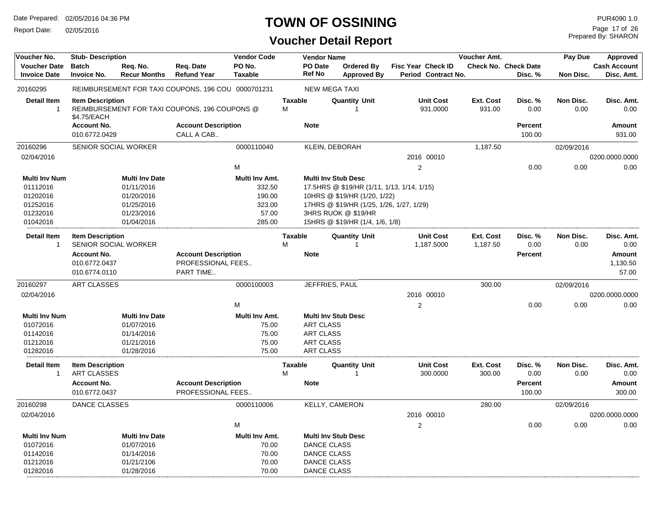Report Date: 02/05/2016

## **TOWN OF OSSINING**

## **Voucher Detail Report**

Prepared By: SHARON Page 17 of 26

| Voucher No.          | <b>Stub-Description</b>     |                       |                                                    | <b>Vendor Code</b> |                | <b>Vendor Name</b>         |                                             |                     | Voucher Amt. |                             | Pay Due    | Approved            |
|----------------------|-----------------------------|-----------------------|----------------------------------------------------|--------------------|----------------|----------------------------|---------------------------------------------|---------------------|--------------|-----------------------------|------------|---------------------|
| <b>Voucher Date</b>  | <b>Batch</b>                | Req. No.              | Reg. Date                                          | PO No.             |                | <b>PO</b> Date             | Ordered By                                  | Fisc Year Check ID  |              | <b>Check No. Check Date</b> |            | <b>Cash Account</b> |
| <b>Invoice Date</b>  | <b>Invoice No.</b>          | <b>Recur Months</b>   | <b>Refund Year</b>                                 | <b>Taxable</b>     |                | <b>Ref No</b>              | <b>Approved By</b>                          | Period Contract No. |              | Disc. %                     | Non Disc.  | Disc. Amt.          |
| 20160295             |                             |                       | REIMBURSEMENT FOR TAXI COUPONS, 196 COU 0000701231 |                    |                | <b>NEW MEGA TAXI</b>       |                                             |                     |              |                             |            |                     |
| <b>Detail Item</b>   | <b>Item Description</b>     |                       |                                                    |                    | <b>Taxable</b> |                            | <b>Quantity Unit</b>                        | <b>Unit Cost</b>    | Ext. Cost    | Disc. %                     | Non Disc.  | Disc. Amt.          |
| $\overline{1}$       | \$4.75/EACH                 |                       | REIMBURSEMENT FOR TAXI COUPONS, 196 COUPONS @      |                    | м              |                            |                                             | 931.0000            | 931.00       | 0.00                        | 0.00       | 0.00                |
|                      | <b>Account No.</b>          |                       | <b>Account Description</b>                         |                    |                | <b>Note</b>                |                                             |                     |              | <b>Percent</b>              |            | Amount              |
|                      | 010.6772.0429               |                       | CALL A CAB                                         |                    |                |                            |                                             |                     |              | 100.00                      |            | 931.00              |
| 20160296             | SENIOR SOCIAL WORKER        |                       |                                                    | 0000110040         |                | KLEIN, DEBORAH             |                                             |                     | 1,187.50     |                             | 02/09/2016 |                     |
| 02/04/2016           |                             |                       |                                                    |                    |                |                            |                                             | 2016 00010          |              |                             |            | 0200.0000.0000      |
|                      |                             |                       |                                                    | M                  |                |                            |                                             | $\overline{2}$      |              | 0.00                        | 0.00       | 0.00                |
| Multi Inv Num        |                             | <b>Multi Inv Date</b> |                                                    | Multi Inv Amt.     |                | <b>Multi Inv Stub Desc</b> |                                             |                     |              |                             |            |                     |
| 01112016             |                             | 01/11/2016            |                                                    | 332.50             |                |                            | 17.5 HRS @ \$19/HR (1/11, 1/13, 1/14, 1/15) |                     |              |                             |            |                     |
| 01202016             |                             | 01/20/2016            |                                                    | 190.00             |                |                            | 10HRS @ \$19/HR (1/20, 1/22)                |                     |              |                             |            |                     |
| 01252016             |                             | 01/25/2016            |                                                    | 323.00             |                |                            | 17HRS @ \$19/HR (1/25, 1/26, 1/27, 1/29)    |                     |              |                             |            |                     |
| 01232016             |                             | 01/23/2016            |                                                    | 57.00              |                |                            | 3HRS RUOK @ \$19/HR                         |                     |              |                             |            |                     |
| 01042016             |                             | 01/04/2016            |                                                    | 285.00             |                |                            | 15HRS @ \$19/HR (1/4, 1/6, 1/8)             |                     |              |                             |            |                     |
| <b>Detail Item</b>   | <b>Item Description</b>     |                       |                                                    |                    | <b>Taxable</b> |                            | <b>Quantity Unit</b>                        | <b>Unit Cost</b>    | Ext. Cost    | Disc. %                     | Non Disc.  | Disc. Amt.          |
| $\overline{1}$       | <b>SENIOR SOCIAL WORKER</b> |                       |                                                    |                    | M              |                            | -1                                          | 1,187.5000          | 1,187.50     | 0.00                        | 0.00       | 0.00                |
|                      | <b>Account No.</b>          |                       | <b>Account Description</b>                         |                    |                | <b>Note</b>                |                                             |                     |              | <b>Percent</b>              |            | Amount              |
|                      | 010.6772.0437               |                       | PROFESSIONAL FEES                                  |                    |                |                            |                                             |                     |              |                             |            | 1,130.50            |
|                      | 010.6774.0110               |                       | PART TIME                                          |                    |                |                            |                                             |                     |              |                             |            | 57.00               |
| 20160297             | <b>ART CLASSES</b>          |                       |                                                    | 0000100003         |                | JEFFRIES, PAUL             |                                             |                     | 300.00       |                             | 02/09/2016 |                     |
| 02/04/2016           |                             |                       |                                                    |                    |                |                            |                                             | 2016 00010          |              |                             |            | 0200.0000.0000      |
|                      |                             |                       |                                                    | M                  |                |                            |                                             | 2                   |              | 0.00                        | 0.00       | 0.00                |
| <b>Multi Inv Num</b> |                             | <b>Multi Inv Date</b> |                                                    | Multi Inv Amt.     |                | <b>Multi Inv Stub Desc</b> |                                             |                     |              |                             |            |                     |
| 01072016             |                             | 01/07/2016            |                                                    | 75.00              |                | <b>ART CLASS</b>           |                                             |                     |              |                             |            |                     |
| 01142016             |                             | 01/14/2016            |                                                    | 75.00              |                | <b>ART CLASS</b>           |                                             |                     |              |                             |            |                     |
| 01212016             |                             | 01/21/2016            |                                                    | 75.00              |                | <b>ART CLASS</b>           |                                             |                     |              |                             |            |                     |
| 01282016             |                             | 01/28/2016            |                                                    | 75.00              |                | <b>ART CLASS</b>           |                                             |                     |              |                             |            |                     |
| <b>Detail Item</b>   | <b>Item Description</b>     |                       |                                                    |                    | <b>Taxable</b> |                            | <b>Quantity Unit</b>                        | <b>Unit Cost</b>    | Ext. Cost    | Disc. %                     | Non Disc.  | Disc. Amt.          |
| $\overline{1}$       | <b>ART CLASSES</b>          |                       |                                                    |                    | M              |                            |                                             | 300.0000            | 300.00       | 0.00                        | 0.00       | 0.00                |
|                      | <b>Account No.</b>          |                       | <b>Account Description</b>                         |                    |                | <b>Note</b>                |                                             |                     |              | <b>Percent</b>              |            | Amount              |
|                      | 010.6772.0437               |                       | PROFESSIONAL FEES                                  |                    |                |                            |                                             |                     |              | 100.00                      |            | 300.00              |
| 20160298             | DANCE CLASSES               |                       |                                                    | 0000110006         |                | <b>KELLY, CAMERON</b>      |                                             |                     | 280.00       |                             | 02/09/2016 |                     |
| 02/04/2016           |                             |                       |                                                    |                    |                |                            |                                             | 2016 00010          |              |                             |            | 0200.0000.0000      |
|                      |                             |                       |                                                    | M                  |                |                            |                                             | 2                   |              | 0.00                        | 0.00       | 0.00                |
|                      |                             |                       |                                                    |                    |                |                            |                                             |                     |              |                             |            |                     |
| <b>Multi Inv Num</b> |                             | <b>Multi Inv Date</b> |                                                    | Multi Inv Amt.     |                | <b>Multi Inv Stub Desc</b> |                                             |                     |              |                             |            |                     |
| 01072016             |                             | 01/07/2016            |                                                    | 70.00              |                | DANCE CLASS                |                                             |                     |              |                             |            |                     |
| 01142016             |                             | 01/14/2016            |                                                    | 70.00              |                | <b>DANCE CLASS</b>         |                                             |                     |              |                             |            |                     |
| 01212016             |                             | 01/21/2106            |                                                    | 70.00              |                | <b>DANCE CLASS</b>         |                                             |                     |              |                             |            |                     |
| 01282016             |                             | 01/28/2016            |                                                    | 70.00              |                | <b>DANCE CLASS</b>         |                                             |                     |              |                             |            |                     |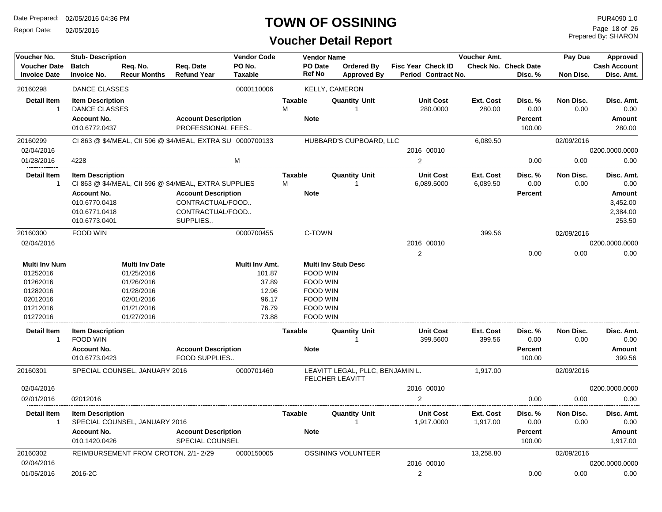Report Date: 02/05/2016

## **TOWN OF OSSINING**

## **Voucher Detail Report**

Prepared By: SHARON Page 18 of 26

| Voucher No.          | <b>Stub-Description</b>             |                                     |                                                            | <b>Vendor Code</b>    |                | <b>Vendor Name</b> |                                  |                         | <b>Voucher Amt.</b> |                             | Pay Due    | Approved            |
|----------------------|-------------------------------------|-------------------------------------|------------------------------------------------------------|-----------------------|----------------|--------------------|----------------------------------|-------------------------|---------------------|-----------------------------|------------|---------------------|
| <b>Voucher Date</b>  | <b>Batch</b>                        | Req. No.                            | Req. Date                                                  | PO No.                |                | <b>PO Date</b>     | <b>Ordered By</b>                | Fisc Year Check ID      |                     | <b>Check No. Check Date</b> |            | <b>Cash Account</b> |
| <b>Invoice Date</b>  | <b>Invoice No.</b>                  | <b>Recur Months</b>                 | <b>Refund Year</b>                                         | <b>Taxable</b>        |                | Ref No             | <b>Approved By</b>               | Period Contract No.     |                     | Disc. %                     | Non Disc.  | Disc. Amt.          |
| 20160298             | DANCE CLASSES                       |                                     |                                                            | 0000110006            |                |                    | <b>KELLY, CAMERON</b>            |                         |                     |                             |            |                     |
| <b>Detail Item</b>   | <b>Item Description</b>             |                                     |                                                            |                       | <b>Taxable</b> |                    | <b>Quantity Unit</b>             | <b>Unit Cost</b>        | Ext. Cost           | Disc. %                     | Non Disc.  | Disc. Amt.          |
| -1                   | DANCE CLASSES                       |                                     |                                                            |                       | M              |                    | -1                               | 280.0000                | 280.00              | 0.00                        | 0.00       | 0.00                |
|                      | <b>Account No.</b>                  |                                     | <b>Account Description</b>                                 |                       |                | <b>Note</b>        |                                  |                         |                     | <b>Percent</b>              |            | Amount              |
|                      | 010.6772.0437                       |                                     | PROFESSIONAL FEES                                          |                       |                |                    |                                  |                         |                     | 100.00                      |            | 280.00              |
| 20160299             |                                     |                                     | CI 863 @ \$4/MEAL, CII 596 @ \$4/MEAL, EXTRA SU 0000700133 |                       |                |                    | HUBBARD'S CUPBOARD, LLC          |                         | 6,089.50            |                             | 02/09/2016 |                     |
| 02/04/2016           |                                     |                                     |                                                            |                       |                |                    |                                  | 2016 00010              |                     |                             |            | 0200.0000.0000      |
| 01/28/2016           | 4228                                |                                     |                                                            | M                     |                |                    |                                  | $\overline{2}$          |                     | 0.00                        | 0.00       | 0.00                |
| <b>Detail Item</b>   | <b>Item Description</b>             |                                     |                                                            |                       | <b>Taxable</b> |                    | <b>Quantity Unit</b>             | <b>Unit Cost</b>        | Ext. Cost           | Disc. %                     | Non Disc.  | Disc. Amt.          |
| $\overline{1}$       |                                     |                                     | CI 863 @ \$4/MEAL, CII 596 @ \$4/MEAL, EXTRA SUPPLIES      |                       | м              |                    |                                  | 6,089.5000              | 6,089.50            | 0.00                        | 0.00       | 0.00                |
|                      | <b>Account No.</b>                  |                                     | <b>Account Description</b>                                 |                       |                | <b>Note</b>        |                                  |                         |                     | <b>Percent</b>              |            | Amount              |
|                      | 010.6770.0418                       |                                     | CONTRACTUAL/FOOD                                           |                       |                |                    |                                  |                         |                     |                             |            | 3,452.00            |
|                      | 010.6771.0418                       |                                     | CONTRACTUAL/FOOD                                           |                       |                |                    |                                  |                         |                     |                             |            | 2,384.00            |
|                      | 010.6773.0401                       |                                     | SUPPLIES                                                   |                       |                |                    |                                  |                         |                     |                             |            | 253.50              |
| 20160300             | FOOD WIN                            |                                     |                                                            | 0000700455            |                | C-TOWN             |                                  |                         | 399.56              |                             | 02/09/2016 |                     |
| 02/04/2016           |                                     |                                     |                                                            |                       |                |                    |                                  | 2016 00010              |                     |                             |            | 0200.0000.0000      |
|                      |                                     |                                     |                                                            |                       |                |                    |                                  | $\overline{\mathbf{c}}$ |                     | 0.00                        | 0.00       | 0.00                |
| <b>Multi Inv Num</b> |                                     | <b>Multi Inv Date</b>               |                                                            | <b>Multi Inv Amt.</b> |                |                    | <b>Multi Inv Stub Desc</b>       |                         |                     |                             |            |                     |
| 01252016             |                                     | 01/25/2016                          |                                                            | 101.87                |                | FOOD WIN           |                                  |                         |                     |                             |            |                     |
| 01262016             |                                     | 01/26/2016                          |                                                            | 37.89                 |                | FOOD WIN           |                                  |                         |                     |                             |            |                     |
| 01282016             |                                     | 01/28/2016                          |                                                            | 12.96                 |                | <b>FOOD WIN</b>    |                                  |                         |                     |                             |            |                     |
| 02012016             |                                     | 02/01/2016                          |                                                            | 96.17                 |                | <b>FOOD WIN</b>    |                                  |                         |                     |                             |            |                     |
| 01212016             |                                     | 01/21/2016                          |                                                            | 76.79                 |                | FOOD WIN           |                                  |                         |                     |                             |            |                     |
| 01272016             |                                     | 01/27/2016                          |                                                            | 73.88                 |                | <b>FOOD WIN</b>    |                                  |                         |                     |                             |            |                     |
| <b>Detail Item</b>   | <b>Item Description</b>             |                                     |                                                            |                       | <b>Taxable</b> |                    | <b>Quantity Unit</b>             | Unit Cost               | Ext. Cost           | Disc. %                     | Non Disc.  | Disc. Amt.          |
| $\overline{1}$       | <b>FOOD WIN</b>                     |                                     |                                                            |                       |                |                    |                                  | 399.5600                | 399.56              | 0.00                        | 0.00       | 0.00                |
|                      | <b>Account No.</b><br>010.6773.0423 |                                     | <b>Account Description</b><br><b>FOOD SUPPLIES</b>         |                       |                | <b>Note</b>        |                                  |                         |                     | <b>Percent</b><br>100.00    |            | Amount<br>399.56    |
| 20160301             |                                     | SPECIAL COUNSEL. JANUARY 2016       |                                                            | 0000701460            |                |                    | LEAVITT LEGAL, PLLC, BENJAMIN L. |                         | 1,917.00            |                             | 02/09/2016 |                     |
|                      |                                     |                                     |                                                            |                       |                |                    | <b>FELCHER LEAVITT</b>           |                         |                     |                             |            |                     |
| 02/04/2016           |                                     |                                     |                                                            |                       |                |                    |                                  | 2016 00010              |                     |                             |            | 0200.0000.0000      |
| 02/01/2016           | 02012016                            |                                     |                                                            |                       |                |                    |                                  | $\overline{2}$          |                     | 0.00                        | 0.00       | 0.00                |
| <b>Detail Item</b>   | <b>Item Description</b>             |                                     |                                                            |                       | <b>Taxable</b> |                    | <b>Quantity Unit</b>             | <b>Unit Cost</b>        | Ext. Cost           | Disc. %                     | Non Disc.  | Disc. Amt.          |
| -1                   |                                     | SPECIAL COUNSEL, JANUARY 2016       |                                                            |                       |                |                    |                                  | 1,917.0000              | 1,917.00            | 0.00                        | 0.00       | 0.00                |
|                      | <b>Account No.</b>                  |                                     | <b>Account Description</b>                                 |                       |                | <b>Note</b>        |                                  |                         |                     | <b>Percent</b>              |            | Amount              |
|                      | 010.1420.0426                       |                                     | <b>SPECIAL COUNSEL</b>                                     |                       |                |                    |                                  |                         |                     | 100.00                      |            | 1.917.00            |
| 20160302             |                                     | REIMBURSEMENT FROM CROTON, 2/1-2/29 |                                                            | 0000150005            |                |                    | OSSINING VOLUNTEER               |                         | 13,258.80           |                             | 02/09/2016 |                     |
| 02/04/2016           |                                     |                                     |                                                            |                       |                |                    |                                  | 2016 00010              |                     |                             |            | 0200.0000.0000      |
| 01/05/2016           | 2016-2C                             |                                     |                                                            |                       |                |                    |                                  | $\overline{c}$          |                     | 0.00                        | 0.00       | 0.00                |
|                      |                                     |                                     |                                                            |                       |                |                    |                                  |                         |                     |                             |            |                     |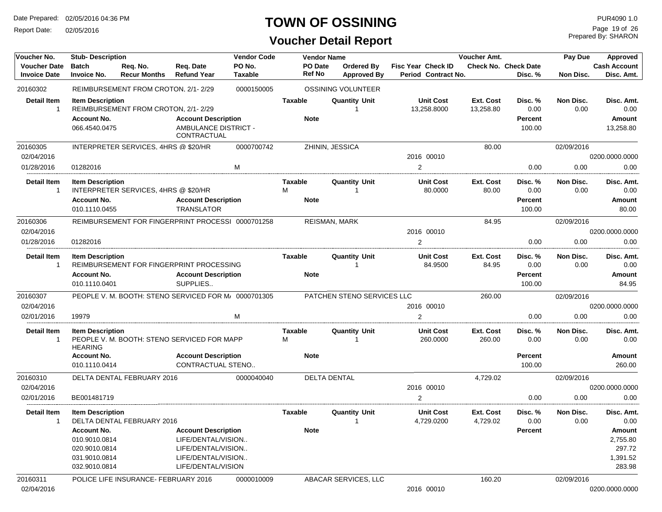Report Date: 02/05/2016

## **TOWN OF OSSINING**

## **Voucher Detail Report**

Prepared By: SHARON Page 19 of 26

| Voucher No.                                | <b>Stub-Description</b>                   |                                                      |                                                  | <b>Vendor Code</b> |                                 | <b>Vendor Name</b>               |                                                  | Voucher Amt.           |                                        | Pay Due           | Approved                          |
|--------------------------------------------|-------------------------------------------|------------------------------------------------------|--------------------------------------------------|--------------------|---------------------------------|----------------------------------|--------------------------------------------------|------------------------|----------------------------------------|-------------------|-----------------------------------|
| <b>Voucher Date</b><br><b>Invoice Date</b> | <b>Batch</b><br><b>Invoice No.</b>        | Req. No.<br><b>Recur Months</b>                      | Req. Date<br><b>Refund Year</b>                  | PO No.<br>Taxable  | <b>PO</b> Date<br><b>Ref No</b> | Ordered Bv<br><b>Approved By</b> | <b>Fisc Year Check ID</b><br>Period Contract No. |                        | <b>Check No. Check Date</b><br>Disc. % | Non Disc.         | <b>Cash Account</b><br>Disc. Amt. |
| 20160302                                   |                                           | REIMBURSEMENT FROM CROTON, 2/1-2/29                  |                                                  | 0000150005         |                                 | OSSINING VOLUNTEER               |                                                  |                        |                                        |                   |                                   |
| <b>Detail Item</b><br>-1                   | <b>Item Description</b>                   | REIMBURSEMENT FROM CROTON, 2/1-2/29                  |                                                  |                    | <b>Taxable</b>                  | <b>Quantity Unit</b>             | <b>Unit Cost</b><br>13,258.8000                  | Ext. Cost<br>13,258.80 | Disc. %<br>0.00                        | Non Disc.<br>0.00 | Disc. Amt.<br>0.00                |
|                                            | <b>Account No.</b>                        |                                                      | <b>Account Description</b>                       |                    | <b>Note</b>                     |                                  |                                                  |                        | <b>Percent</b>                         |                   | Amount                            |
|                                            | 066.4540.0475                             |                                                      | AMBULANCE DISTRICT -<br>CONTRACTUAL              |                    |                                 |                                  |                                                  |                        | 100.00                                 |                   | 13,258.80                         |
| 20160305<br>02/04/2016                     |                                           | INTERPRETER SERVICES, 4HRS @ \$20/HR                 |                                                  | 0000700742         |                                 | ZHININ, JESSICA                  | 2016 00010                                       | 80.00                  |                                        | 02/09/2016        | 0200.0000.0000                    |
| 01/28/2016                                 | 01282016                                  |                                                      |                                                  | M                  |                                 |                                  | 2                                                |                        | 0.00                                   | 0.00              | 0.00                              |
| <b>Detail Item</b><br>-1                   | <b>Item Description</b>                   | INTERPRETER SERVICES, 4HRS @ \$20/HR                 |                                                  |                    | Taxable<br>м                    | <b>Quantity Unit</b>             | <b>Unit Cost</b><br>80.0000                      | Ext. Cost<br>80.00     | Disc. %<br>0.00                        | Non Disc.<br>0.00 | Disc. Amt.<br>0.00                |
|                                            | <b>Account No.</b><br>010.1110.0455       |                                                      | <b>Account Description</b><br><b>TRANSLATOR</b>  |                    | <b>Note</b>                     |                                  |                                                  |                        | <b>Percent</b><br>100.00               |                   | Amount<br>80.00                   |
| 20160306                                   |                                           | REIMBURSEMENT FOR FINGERPRINT PROCESSI 0000701258    |                                                  |                    |                                 | REISMAN, MARK                    |                                                  | 84.95                  |                                        | 02/09/2016        |                                   |
| 02/04/2016                                 |                                           |                                                      |                                                  |                    |                                 |                                  | 2016 00010                                       |                        |                                        |                   | 0200.0000.0000                    |
| 01/28/2016                                 | 01282016                                  |                                                      |                                                  |                    |                                 |                                  | $\overline{2}$                                   |                        | 0.00                                   | 0.00              | 0.00                              |
| <b>Detail Item</b><br>-1                   | <b>Item Description</b>                   | REIMBURSEMENT FOR FINGERPRINT PROCESSING             |                                                  |                    | Taxable                         | <b>Quantity Unit</b>             | <b>Unit Cost</b><br>84.9500                      | Ext. Cost<br>84.95     | Disc. %<br>0.00                        | Non Disc.<br>0.00 | Disc. Amt.<br>0.00                |
|                                            | <b>Account No.</b><br>010.1110.0401       |                                                      | <b>Account Description</b><br>SUPPLIES           |                    | <b>Note</b>                     |                                  |                                                  |                        | <b>Percent</b><br>100.00               |                   | Amount<br>84.95                   |
| 20160307                                   |                                           | PEOPLE V. M. BOOTH: STENO SERVICED FOR M/ 0000701305 |                                                  |                    |                                 | PATCHEN STENO SERVICES LLC       |                                                  | 260.00                 |                                        | 02/09/2016        |                                   |
| 02/04/2016                                 |                                           |                                                      |                                                  |                    |                                 |                                  | 2016 00010                                       |                        |                                        |                   | 0200.0000.0000                    |
| 02/01/2016                                 | 19979                                     |                                                      |                                                  | м                  |                                 |                                  | 2                                                |                        | 0.00                                   | 0.00              | 0.00                              |
| <b>Detail Item</b><br>-1                   | <b>Item Description</b><br><b>HEARING</b> | PEOPLE V. M. BOOTH: STENO SERVICED FOR MAPP          |                                                  |                    | <b>Taxable</b><br>м             | <b>Quantity Unit</b>             | <b>Unit Cost</b><br>260.0000                     | Ext. Cost<br>260.00    | Disc. %<br>0.00                        | Non Disc.<br>0.00 | Disc. Amt.<br>0.00                |
|                                            | <b>Account No.</b><br>010.1110.0414       |                                                      | <b>Account Description</b><br>CONTRACTUAL STENO  |                    | <b>Note</b>                     |                                  |                                                  |                        | Percent<br>100.00                      |                   | Amount<br>260.00                  |
| 20160310                                   |                                           | DELTA DENTAL FEBRUARY 2016                           |                                                  | 0000040040         |                                 | <b>DELTA DENTAL</b>              |                                                  | 4,729.02               |                                        | 02/09/2016        |                                   |
| 02/04/2016                                 |                                           |                                                      |                                                  |                    |                                 |                                  | 2016 00010                                       |                        |                                        |                   | 0200.0000.0000                    |
| 02/01/2016                                 | BE001481719                               |                                                      |                                                  |                    |                                 |                                  | 2                                                |                        | 0.00                                   | 0.00              | 0.00                              |
| Detail Item<br>-1                          | <b>Item Description</b>                   | DELTA DENTAL FEBRUARY 2016                           |                                                  |                    | Taxable                         | <b>Quantity Unit</b>             | <b>Unit Cost</b><br>4,729.0200                   | Ext. Cost<br>4,729.02  | Disc. %<br>0.00                        | Non Disc.<br>0.00 | Disc. Amt.<br>0.00                |
|                                            | <b>Account No.</b><br>010.9010.0814       |                                                      | <b>Account Description</b><br>LIFE/DENTAL/VISION |                    | <b>Note</b>                     |                                  |                                                  |                        | <b>Percent</b>                         |                   | Amount<br>2,755.80                |
|                                            | 020.9010.0814                             |                                                      | LIFE/DENTAL/VISION                               |                    |                                 |                                  |                                                  |                        |                                        |                   | 297.72                            |
|                                            | 031.9010.0814<br>032.9010.0814            |                                                      | LIFE/DENTAL/VISION<br>LIFE/DENTAL/VISION         |                    |                                 |                                  |                                                  |                        |                                        |                   | 1,391.52<br>283.98                |
| 20160311                                   |                                           | POLICE LIFE INSURANCE- FEBRUARY 2016                 |                                                  | 0000010009         |                                 | ABACAR SERVICES, LLC             |                                                  | 160.20                 |                                        | 02/09/2016        |                                   |
| 02/04/2016                                 |                                           |                                                      |                                                  |                    |                                 |                                  | 2016 00010                                       |                        |                                        |                   | 0200.0000.0000                    |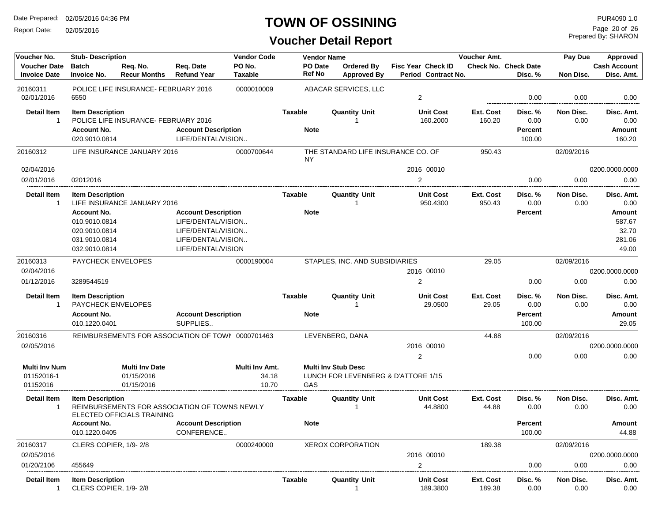Report Date: 02/05/2016

## **TOWN OF OSSINING**

Prepared By: SHARON Page 20 of 26

| Voucher No.                                | <b>Stub-Description</b>                          |                                      |                                                   | <b>Vendor Code</b>       |                   | <b>Vendor Name</b>                                                |                                                  | Voucher Amt.        |                                 | Pay Due           | Approved                          |
|--------------------------------------------|--------------------------------------------------|--------------------------------------|---------------------------------------------------|--------------------------|-------------------|-------------------------------------------------------------------|--------------------------------------------------|---------------------|---------------------------------|-------------------|-----------------------------------|
| <b>Voucher Date</b><br><b>Invoice Date</b> | <b>Batch</b><br><b>Invoice No.</b>               | Req. No.<br><b>Recur Months</b>      | Req. Date<br><b>Refund Year</b>                   | PO No.<br><b>Taxable</b> | PO Date<br>Ref No | Ordered By<br><b>Approved By</b>                                  | <b>Fisc Year Check ID</b><br>Period Contract No. |                     | Check No. Check Date<br>Disc. % | Non Disc.         | <b>Cash Account</b><br>Disc. Amt. |
| 20160311<br>02/01/2016                     | 6550                                             | POLICE LIFE INSURANCE- FEBRUARY 2016 |                                                   | 0000010009               |                   | ABACAR SERVICES, LLC                                              | 2                                                |                     | 0.00                            | 0.00              | 0.00                              |
|                                            |                                                  |                                      |                                                   |                          |                   |                                                                   |                                                  |                     |                                 |                   |                                   |
| <b>Detail Item</b><br>-1                   | <b>Item Description</b>                          | POLICE LIFE INSURANCE- FEBRUARY 2016 |                                                   |                          | Taxable           | <b>Quantity Unit</b>                                              | <b>Unit Cost</b><br>160.2000                     | Ext. Cost<br>160.20 | Disc. %<br>0.00                 | Non Disc.<br>0.00 | Disc. Amt.<br>0.00                |
|                                            | <b>Account No.</b>                               |                                      | <b>Account Description</b>                        |                          | <b>Note</b>       |                                                                   |                                                  |                     | Percent                         |                   | Amount                            |
|                                            | 020.9010.0814                                    |                                      | LIFE/DENTAL/VISION                                |                          |                   |                                                                   |                                                  |                     | 100.00                          |                   | 160.20                            |
| 20160312                                   |                                                  | LIFE INSURANCE JANUARY 2016          |                                                   | 0000700644               | <b>NY</b>         | THE STANDARD LIFE INSURANCE CO. OF                                |                                                  | 950.43              |                                 | 02/09/2016        |                                   |
| 02/04/2016                                 |                                                  |                                      |                                                   |                          |                   |                                                                   | 2016 00010                                       |                     |                                 |                   | 0200.0000.0000                    |
| 02/01/2016                                 | 02012016                                         |                                      |                                                   |                          |                   |                                                                   | 2                                                |                     | 0.00                            | 0.00              | 0.00                              |
| <b>Detail Item</b><br>$\mathbf{1}$         | <b>Item Description</b>                          | LIFE INSURANCE JANUARY 2016          |                                                   |                          | Taxable           | <b>Quantity Unit</b>                                              | <b>Unit Cost</b><br>950.4300                     | Ext. Cost<br>950.43 | Disc. %<br>0.00                 | Non Disc.<br>0.00 | Disc. Amt.<br>0.00                |
|                                            | <b>Account No.</b>                               |                                      | <b>Account Description</b>                        |                          | <b>Note</b>       |                                                                   |                                                  |                     | <b>Percent</b>                  |                   | Amount                            |
|                                            | 010.9010.0814                                    |                                      | LIFE/DENTAL/VISION                                |                          |                   |                                                                   |                                                  |                     |                                 |                   | 587.67                            |
|                                            | 020.9010.0814                                    |                                      | LIFE/DENTAL/VISION                                |                          |                   |                                                                   |                                                  |                     |                                 |                   | 32.70                             |
|                                            | 031.9010.0814                                    |                                      | LIFE/DENTAL/VISION                                |                          |                   |                                                                   |                                                  |                     |                                 |                   | 281.06                            |
|                                            | 032.9010.0814                                    |                                      | LIFE/DENTAL/VISION                                |                          |                   |                                                                   |                                                  |                     |                                 |                   | 49.00                             |
| 20160313                                   | PAYCHECK ENVELOPES                               |                                      |                                                   | 0000190004               |                   | STAPLES, INC. AND SUBSIDIARIES                                    |                                                  | 29.05               |                                 | 02/09/2016        |                                   |
| 02/04/2016                                 |                                                  |                                      |                                                   |                          |                   |                                                                   | 2016 00010                                       |                     |                                 |                   | 0200.0000.0000                    |
| 01/12/2016                                 | 3289544519                                       |                                      |                                                   |                          |                   |                                                                   | 2                                                |                     | 0.00                            | 0.00              | 0.00                              |
| Detail Item                                | <b>Item Description</b>                          |                                      |                                                   |                          | Taxable           | <b>Quantity Unit</b>                                              | <b>Unit Cost</b>                                 | Ext. Cost           | Disc. %                         | Non Disc.         | Disc. Amt.                        |
| $\mathbf{1}$                               | <b>PAYCHECK ENVELOPES</b>                        |                                      |                                                   |                          |                   |                                                                   | 29.0500                                          | 29.05               | 0.00                            | 0.00              | 0.00                              |
|                                            | <b>Account No.</b><br>010.1220.0401              |                                      | <b>Account Description</b><br>SUPPLIES            |                          | <b>Note</b>       |                                                                   |                                                  |                     | <b>Percent</b><br>100.00        |                   | Amount<br>29.05                   |
|                                            |                                                  |                                      |                                                   |                          |                   |                                                                   |                                                  |                     |                                 |                   |                                   |
| 20160316                                   |                                                  |                                      | REIMBURSEMENTS FOR ASSOCIATION OF TOWI 0000701463 |                          |                   | LEVENBERG, DANA                                                   |                                                  | 44.88               |                                 | 02/09/2016        |                                   |
| 02/05/2016                                 |                                                  |                                      |                                                   |                          |                   |                                                                   | 2016 00010                                       |                     |                                 |                   | 0200.0000.0000                    |
|                                            |                                                  |                                      |                                                   |                          |                   |                                                                   | 2                                                |                     | 0.00                            | 0.00              | 0.00                              |
| <b>Multi Inv Num</b>                       |                                                  | <b>Multi Inv Date</b>                |                                                   | Multi Inv Amt.           |                   | <b>Multi Inv Stub Desc</b><br>LUNCH FOR LEVENBERG & D'ATTORE 1/15 |                                                  |                     |                                 |                   |                                   |
| 01152016-1<br>01152016                     |                                                  | 01/15/2016<br>01/15/2016             |                                                   | 34.18<br>10.70           | GAS               |                                                                   |                                                  |                     |                                 |                   |                                   |
|                                            |                                                  |                                      |                                                   |                          |                   |                                                                   |                                                  |                     |                                 |                   |                                   |
| Detail Item<br>-1                          | <b>Item Description</b>                          | ELECTED OFFICIALS TRAINING           | REIMBURSEMENTS FOR ASSOCIATION OF TOWNS NEWLY     |                          | Taxable           | <b>Quantity Unit</b>                                              | <b>Unit Cost</b><br>44.8800                      | Ext. Cost<br>44.88  | Disc. %<br>0.00                 | Non Disc.<br>0.00 | Disc. Amt.<br>0.00                |
|                                            | <b>Account No.</b><br>010.1220.0405              |                                      | <b>Account Description</b><br>CONFERENCE          |                          | <b>Note</b>       |                                                                   |                                                  |                     | <b>Percent</b><br>100.00        |                   | Amount<br>44.88                   |
| 20160317                                   | CLERS COPIER, 1/9-2/8                            |                                      |                                                   | 0000240000               |                   | <b>XEROX CORPORATION</b>                                          |                                                  | 189.38              |                                 | 02/09/2016        |                                   |
| 02/05/2016                                 |                                                  |                                      |                                                   |                          |                   |                                                                   | 2016 00010                                       |                     |                                 |                   | 0200.0000.0000                    |
| 01/20/2106                                 | 455649                                           |                                      |                                                   |                          |                   |                                                                   | 2                                                |                     | 0.00                            | 0.00              | 0.00                              |
| Detail Item<br>$\mathbf{1}$                | <b>Item Description</b><br>CLERS COPIER, 1/9-2/8 |                                      |                                                   |                          | Taxable           | <b>Quantity Unit</b>                                              | <b>Unit Cost</b><br>189.3800                     | Ext. Cost<br>189.38 | Disc. %<br>0.00                 | Non Disc.<br>0.00 | Disc. Amt.<br>0.00                |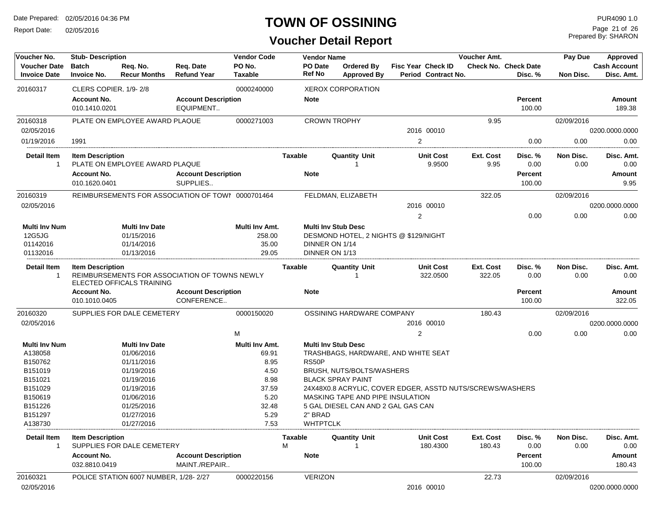Report Date: 02/05/2016

#### **TOWN OF OSSINING**

Prepared By: SHARON Page 21 of 26

| Voucher No.          | <b>Stub- Description</b> |                                       |                                                   | <b>Vendor Code</b> |                | <b>Vendor Name</b>                 |                                                           |           | Voucher Amt.                |            |                     |  |  |
|----------------------|--------------------------|---------------------------------------|---------------------------------------------------|--------------------|----------------|------------------------------------|-----------------------------------------------------------|-----------|-----------------------------|------------|---------------------|--|--|
| <b>Voucher Date</b>  | <b>Batch</b>             | Req. No.                              | Reg. Date                                         | PO No.             | PO Date        | Ordered By                         | <b>Fisc Year Check ID</b>                                 |           | <b>Check No. Check Date</b> |            | <b>Cash Account</b> |  |  |
| <b>Invoice Date</b>  | <b>Invoice No.</b>       | <b>Recur Months</b>                   | <b>Refund Year</b>                                | <b>Taxable</b>     | <b>Ref No</b>  | <b>Approved By</b>                 | Period Contract No.                                       |           | Disc. %                     | Non Disc.  | Disc. Amt.          |  |  |
| 20160317             | CLERS COPIER, 1/9-2/8    |                                       |                                                   | 0000240000         |                | <b>XEROX CORPORATION</b>           |                                                           |           |                             |            |                     |  |  |
|                      | <b>Account No.</b>       |                                       | <b>Account Description</b>                        |                    | <b>Note</b>    |                                    |                                                           |           | <b>Percent</b>              |            | Amount              |  |  |
|                      | 010.1410.0201            |                                       | EQUIPMENT                                         |                    |                |                                    |                                                           |           | 100.00                      |            | 189.38              |  |  |
| 20160318             |                          | PLATE ON EMPLOYEE AWARD PLAQUE        |                                                   | 0000271003         |                | <b>CROWN TROPHY</b>                |                                                           | 9.95      |                             | 02/09/2016 |                     |  |  |
| 02/05/2016           |                          |                                       |                                                   |                    |                |                                    | 2016 00010                                                |           |                             |            | 0200.0000.0000      |  |  |
| 01/19/2016           | 1991                     |                                       |                                                   |                    |                |                                    | $\overline{2}$                                            |           | 0.00                        | 0.00       | 0.00                |  |  |
| <b>Detail Item</b>   | <b>Item Description</b>  |                                       |                                                   |                    | Taxable        | <b>Quantity Unit</b>               | <b>Unit Cost</b>                                          | Ext. Cost | Disc. %                     | Non Disc.  | Disc. Amt.          |  |  |
| $\overline{1}$       |                          | PLATE ON EMPLOYEE AWARD PLAQUE        |                                                   |                    |                |                                    | 9.9500                                                    | 9.95      | 0.00                        | 0.00       | 0.00                |  |  |
|                      | <b>Account No.</b>       |                                       | <b>Account Description</b>                        |                    | <b>Note</b>    |                                    |                                                           |           | <b>Percent</b>              |            | Amount              |  |  |
|                      | 010.1620.0401            |                                       | SUPPLIES                                          |                    |                |                                    |                                                           |           | 100.00                      |            | 9.95                |  |  |
| 20160319             |                          |                                       | REIMBURSEMENTS FOR ASSOCIATION OF TOWN 0000701464 |                    |                | FELDMAN, ELIZABETH                 |                                                           | 322.05    |                             | 02/09/2016 |                     |  |  |
| 02/05/2016           |                          |                                       |                                                   |                    |                |                                    | 2016 00010                                                |           |                             |            | 0200.0000.0000      |  |  |
|                      |                          |                                       |                                                   |                    |                |                                    | 2                                                         |           | 0.00                        | 0.00       | 0.00                |  |  |
| <b>Multi Inv Num</b> |                          | <b>Multi Inv Date</b>                 |                                                   | Multi Inv Amt.     |                | <b>Multi Inv Stub Desc</b>         |                                                           |           |                             |            |                     |  |  |
| 12G5JG               |                          | 01/15/2016                            |                                                   | 258.00             |                |                                    | DESMOND HOTEL, 2 NIGHTS @ \$129/NIGHT                     |           |                             |            |                     |  |  |
| 01142016             |                          | 01/14/2016                            |                                                   | 35.00              |                | DINNER ON 1/14                     |                                                           |           |                             |            |                     |  |  |
| 01132016             |                          | 01/13/2016                            |                                                   | 29.05              |                | DINNER ON 1/13                     |                                                           |           |                             |            |                     |  |  |
| <b>Detail Item</b>   | <b>Item Description</b>  |                                       |                                                   |                    | <b>Taxable</b> | <b>Quantity Unit</b>               | <b>Unit Cost</b>                                          | Ext. Cost | Disc. %                     | Non Disc.  | Disc. Amt.          |  |  |
| -1                   |                          |                                       | REIMBURSEMENTS FOR ASSOCIATION OF TOWNS NEWLY     |                    |                |                                    | 322.0500                                                  | 322.05    | 0.00                        | 0.00       | 0.00                |  |  |
|                      |                          | ELECTED OFFICALS TRAINING             |                                                   |                    |                |                                    |                                                           |           |                             |            |                     |  |  |
|                      | <b>Account No.</b>       |                                       | <b>Account Description</b>                        |                    | <b>Note</b>    |                                    |                                                           |           | Percent                     |            | Amount              |  |  |
|                      | 010.1010.0405            |                                       | CONFERENCE                                        |                    |                |                                    |                                                           |           | 100.00                      |            | 322.05              |  |  |
| 20160320             |                          | SUPPLIES FOR DALE CEMETERY            |                                                   | 0000150020         |                | OSSINING HARDWARE COMPANY          |                                                           | 180.43    |                             | 02/09/2016 |                     |  |  |
| 02/05/2016           |                          |                                       |                                                   |                    |                |                                    | 2016 00010                                                |           |                             |            | 0200.0000.0000      |  |  |
|                      |                          |                                       |                                                   | M                  |                |                                    | $\overline{c}$                                            |           | 0.00                        | 0.00       | 0.00                |  |  |
| <b>Multi Inv Num</b> |                          | <b>Multi Inv Date</b>                 |                                                   | Multi Inv Amt.     |                | <b>Multi Inv Stub Desc</b>         |                                                           |           |                             |            |                     |  |  |
| A138058              |                          | 01/06/2016                            |                                                   | 69.91              |                |                                    | TRASHBAGS, HARDWARE, AND WHITE SEAT                       |           |                             |            |                     |  |  |
| B150762              |                          | 01/11/2016                            |                                                   | 8.95               | RS50P          |                                    |                                                           |           |                             |            |                     |  |  |
| B151019              |                          | 01/19/2016                            |                                                   | 4.50               |                | BRUSH, NUTS/BOLTS/WASHERS          |                                                           |           |                             |            |                     |  |  |
| B151021              |                          | 01/19/2016                            |                                                   | 8.98               |                | <b>BLACK SPRAY PAINT</b>           |                                                           |           |                             |            |                     |  |  |
| B151029              |                          | 01/19/2016                            |                                                   | 37.59              |                |                                    | 24X48X0.8 ACRYLIC, COVER EDGER, ASSTD NUTS/SCREWS/WASHERS |           |                             |            |                     |  |  |
| B150619              |                          | 01/06/2016                            |                                                   | 5.20               |                | MASKING TAPE AND PIPE INSULATION   |                                                           |           |                             |            |                     |  |  |
| B151226              |                          | 01/25/2016                            |                                                   | 32.48              |                | 5 GAL DIESEL CAN AND 2 GAL GAS CAN |                                                           |           |                             |            |                     |  |  |
| B151297              |                          | 01/27/2016                            |                                                   | 5.29               | 2" BRAD        |                                    |                                                           |           |                             |            |                     |  |  |
| A138730              |                          | 01/27/2016                            |                                                   | 7.53               |                | <b>WHTPTCLK</b>                    |                                                           |           |                             |            |                     |  |  |
| <b>Detail Item</b>   | <b>Item Description</b>  |                                       |                                                   |                    | Taxable        | <b>Quantity Unit</b>               | <b>Unit Cost</b>                                          | Ext. Cost | Disc. %                     | Non Disc.  | Disc. Amt.          |  |  |
|                      |                          | SUPPLIES FOR DALE CEMETERY            |                                                   |                    | м              |                                    | 180.4300                                                  | 180.43    | 0.00                        | 0.00       | 0.00                |  |  |
|                      | <b>Account No.</b>       |                                       | <b>Account Description</b>                        |                    | <b>Note</b>    |                                    |                                                           |           | Percent                     |            | Amount              |  |  |
|                      | 032.8810.0419            |                                       | MAINT./REPAIR                                     |                    |                |                                    |                                                           |           | 100.00                      |            | 180.43              |  |  |
| 20160321             |                          | POLICE STATION 6007 NUMBER, 1/28-2/27 |                                                   | 0000220156         |                | <b>VERIZON</b>                     |                                                           | 22.73     |                             | 02/09/2016 |                     |  |  |
| 02/05/2016           |                          |                                       |                                                   |                    |                |                                    | 2016 00010                                                |           |                             |            | 0200.0000.0000      |  |  |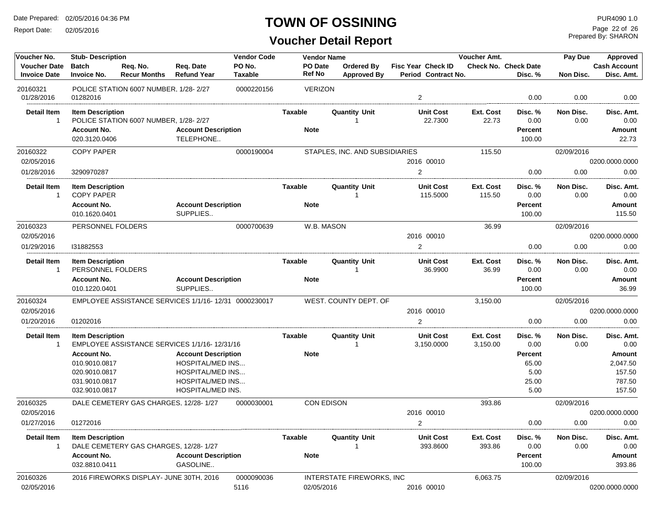Report Date: 02/05/2016

#### **TOWN OF OSSINING**

Prepared By: SHARON Page 22 of 26

| Voucher No.                                | <b>Stub-Description</b>             |                                                       |                                        | <b>Vendor Code</b>       | <b>Vendor Name</b> |                                  |                                                  | Voucher Amt.     |                                        | Pay Due    | Approved                          |
|--------------------------------------------|-------------------------------------|-------------------------------------------------------|----------------------------------------|--------------------------|--------------------|----------------------------------|--------------------------------------------------|------------------|----------------------------------------|------------|-----------------------------------|
| <b>Voucher Date</b><br><b>Invoice Date</b> | <b>Batch</b><br><b>Invoice No.</b>  | Req. No.<br><b>Recur Months</b>                       | Req. Date<br><b>Refund Year</b>        | PO No.<br><b>Taxable</b> | PO Date<br>Ref No  | Ordered By<br><b>Approved By</b> | <b>Fisc Year Check ID</b><br>Period Contract No. |                  | <b>Check No. Check Date</b><br>Disc. % | Non Disc.  | <b>Cash Account</b><br>Disc. Amt. |
| 20160321<br>01/28/2016                     | 01282016                            | POLICE STATION 6007 NUMBER, 1/28-2/27                 |                                        | 0000220156               | <b>VERIZON</b>     |                                  | $\overline{2}$                                   |                  | 0.00                                   | 0.00       | 0.00                              |
| <b>Detail Item</b>                         | <b>Item Description</b>             |                                                       |                                        |                          | Taxable            | <b>Quantity Unit</b>             | <b>Unit Cost</b>                                 | Ext. Cost        | Disc. %                                | Non Disc.  | Disc. Amt.                        |
| $\overline{1}$                             |                                     | POLICE STATION 6007 NUMBER, 1/28-2/27                 |                                        |                          |                    |                                  | 22.7300                                          | 22.73            | 0.00                                   | 0.00       | 0.00                              |
|                                            | <b>Account No.</b>                  |                                                       | <b>Account Description</b>             |                          | <b>Note</b>        |                                  |                                                  |                  | Percent                                |            | Amount                            |
|                                            | 020.3120.0406                       |                                                       | TELEPHONE                              |                          |                    |                                  |                                                  |                  | 100.00                                 |            | 22.73                             |
| 20160322                                   | <b>COPY PAPER</b>                   |                                                       |                                        | 0000190004               |                    | STAPLES, INC. AND SUBSIDIARIES   |                                                  | 115.50           |                                        | 02/09/2016 |                                   |
| 02/05/2016                                 |                                     |                                                       |                                        |                          |                    |                                  | 2016 00010                                       |                  |                                        |            | 0200.0000.0000                    |
| 01/28/2016                                 | 3290970287                          |                                                       |                                        |                          |                    |                                  | $\overline{2}$                                   |                  | 0.00                                   | 0.00       | 0.00                              |
| <b>Detail Item</b>                         | <b>Item Description</b>             |                                                       |                                        |                          | Taxable            | <b>Quantity Unit</b>             | <b>Unit Cost</b>                                 | Ext. Cost        | Disc. %                                | Non Disc.  | Disc. Amt.                        |
| -1                                         | <b>COPY PAPER</b>                   |                                                       |                                        |                          |                    |                                  | 115.5000                                         | 115.50           | 0.00                                   | 0.00       | 0.00                              |
|                                            | <b>Account No.</b>                  |                                                       | <b>Account Description</b>             |                          | <b>Note</b>        |                                  |                                                  |                  | Percent                                |            | Amount                            |
|                                            | 010.1620.0401                       |                                                       | SUPPLIES                               |                          |                    |                                  |                                                  |                  | 100.00                                 |            | 115.50                            |
| 20160323                                   | PERSONNEL FOLDERS                   |                                                       |                                        | 0000700639               | W.B. MASON         |                                  |                                                  | 36.99            |                                        | 02/09/2016 |                                   |
| 02/05/2016                                 |                                     |                                                       |                                        |                          |                    |                                  | 2016 00010                                       |                  |                                        |            | 0200.0000.0000                    |
| 01/29/2016                                 | 131882553                           |                                                       |                                        |                          |                    |                                  | 2                                                |                  | 0.00                                   | 0.00       | 0.00                              |
| <b>Detail Item</b>                         | <b>Item Description</b>             |                                                       |                                        |                          | Taxable            | <b>Quantity Unit</b>             | <b>Unit Cost</b>                                 | <b>Ext. Cost</b> | Disc. %                                | Non Disc.  | Disc. Amt.                        |
| $\mathbf{1}$                               | PERSONNEL FOLDERS                   |                                                       |                                        |                          |                    |                                  | 36.9900                                          | 36.99            | 0.00                                   | 0.00       | 0.00                              |
|                                            | <b>Account No.</b><br>010.1220.0401 |                                                       | <b>Account Description</b><br>SUPPLIES |                          | <b>Note</b>        |                                  |                                                  |                  | <b>Percent</b><br>100.00               |            | Amount<br>36.99                   |
|                                            |                                     |                                                       |                                        |                          |                    |                                  |                                                  |                  |                                        |            |                                   |
| 20160324                                   |                                     | EMPLOYEE ASSISTANCE SERVICES 1/1/16- 12/31 0000230017 |                                        |                          |                    | WEST. COUNTY DEPT. OF            |                                                  | 3,150.00         |                                        | 02/05/2016 |                                   |
| 02/05/2016                                 |                                     |                                                       |                                        |                          |                    |                                  | 2016 00010                                       |                  |                                        |            | 0200.0000.0000                    |
| 01/20/2016                                 | 01202016                            |                                                       |                                        |                          |                    |                                  | $\overline{2}$                                   |                  | 0.00                                   | 0.00       | 0.00                              |
| <b>Detail Item</b>                         | <b>Item Description</b>             |                                                       |                                        |                          | Taxable            | <b>Quantity Unit</b>             | <b>Unit Cost</b>                                 | <b>Ext. Cost</b> | Disc. %                                | Non Disc.  | Disc. Amt.                        |
| -1                                         |                                     | EMPLOYEE ASSISTANCE SERVICES 1/1/16-12/31/16          |                                        |                          |                    |                                  | 3,150.0000                                       | 3,150.00         | 0.00                                   | 0.00       | 0.00                              |
|                                            | <b>Account No.</b>                  |                                                       | <b>Account Description</b>             |                          | <b>Note</b>        |                                  |                                                  |                  | <b>Percent</b>                         |            | Amount                            |
|                                            | 010.9010.0817                       |                                                       | <b>HOSPITAL/MED INS</b>                |                          |                    |                                  |                                                  |                  | 65.00                                  |            | 2,047.50                          |
|                                            | 020.9010.0817                       |                                                       | <b>HOSPITAL/MED INS</b>                |                          |                    |                                  |                                                  |                  | 5.00                                   |            | 157.50                            |
|                                            | 031.9010.0817                       |                                                       | <b>HOSPITAL/MED INS</b>                |                          |                    |                                  |                                                  |                  | 25.00                                  |            | 787.50                            |
|                                            | 032.9010.0817                       |                                                       | HOSPITAL/MED INS.                      |                          |                    |                                  |                                                  |                  | 5.00                                   |            | 157.50                            |
| 20160325                                   |                                     | DALE CEMETERY GAS CHARGES, 12/28-1/27                 |                                        | 0000030001               | <b>CON EDISON</b>  |                                  |                                                  | 393.86           |                                        | 02/09/2016 |                                   |
| 02/05/2016                                 |                                     |                                                       |                                        |                          |                    |                                  | 2016 00010                                       |                  |                                        |            | 0200.0000.0000                    |
| 01/27/2016                                 | 01272016                            |                                                       |                                        |                          |                    |                                  | $\overline{2}$                                   |                  | 0.00                                   | 0.00       | 0.00                              |
| Detail Item                                | <b>Item Description</b>             |                                                       |                                        |                          | Taxable            | <b>Quantity Unit</b>             | <b>Unit Cost</b>                                 | Ext. Cost        | Disc. %                                | Non Disc.  | Disc. Amt.                        |
|                                            |                                     | DALE CEMETERY GAS CHARGES, 12/28-1/27                 |                                        |                          |                    |                                  | 393.8600                                         | 393.86           | 0.00                                   | 0.00       | 0.00                              |
|                                            | <b>Account No.</b>                  |                                                       | <b>Account Description</b>             |                          | <b>Note</b>        |                                  |                                                  |                  | <b>Percent</b>                         |            | Amount                            |
|                                            | 032.8810.0411                       |                                                       | GASOLINE                               |                          |                    |                                  |                                                  |                  | 100.00                                 |            | 393.86                            |
| 20160326                                   |                                     | 2016 FIREWORKS DISPLAY- JUNE 30TH, 2016               |                                        | 0000090036               |                    | INTERSTATE FIREWORKS, INC        |                                                  | 6,063.75         |                                        | 02/09/2016 |                                   |
| 02/05/2016                                 |                                     |                                                       |                                        | 5116                     | 02/05/2016         |                                  | 2016 00010                                       |                  |                                        |            | 0200.0000.0000                    |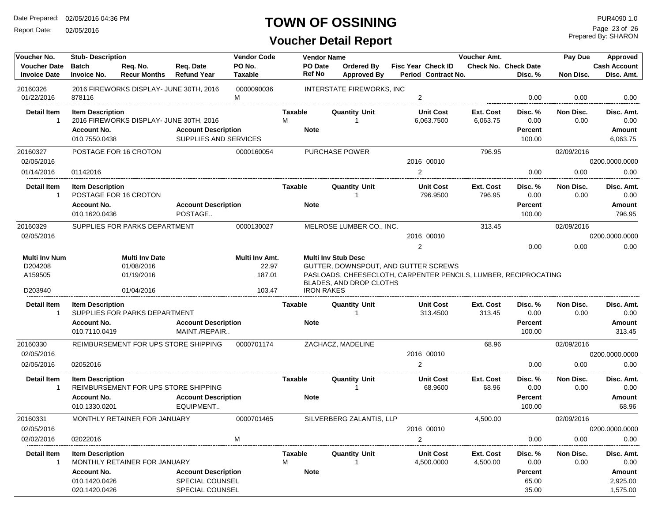Report Date: 02/05/2016

#### **TOWN OF OSSINING**

## **Voucher Detail Report**

Prepared By: SHARON Page 23 of 26

| Voucher No.                                | <b>Stub-Description</b>            |                                         |                                 | <b>Vendor Code</b>       |                | <b>Vendor Name</b> |                                  |                                                                 | Voucher Amt. |                                        | Pay Due    | Approved                          |
|--------------------------------------------|------------------------------------|-----------------------------------------|---------------------------------|--------------------------|----------------|--------------------|----------------------------------|-----------------------------------------------------------------|--------------|----------------------------------------|------------|-----------------------------------|
| <b>Voucher Date</b><br><b>Invoice Date</b> | <b>Batch</b><br><b>Invoice No.</b> | Req. No.<br><b>Recur Months</b>         | Req. Date<br><b>Refund Year</b> | PO No.<br><b>Taxable</b> | Ref No         | PO Date            | <b>Ordered By</b><br>Approved By | <b>Fisc Year Check ID</b><br>Period Contract No.                |              | <b>Check No. Check Date</b><br>Disc. % | Non Disc.  | <b>Cash Account</b><br>Disc. Amt. |
| 20160326<br>01/22/2016                     | 878116                             | 2016 FIREWORKS DISPLAY- JUNE 30TH, 2016 |                                 | 0000090036<br>м          |                |                    | <b>INTERSTATE FIREWORKS, INC</b> | $\overline{2}$                                                  |              | 0.00                                   | 0.00       | 0.00                              |
| Detail Item                                | <b>Item Description</b>            |                                         |                                 |                          | Taxable        |                    | <b>Quantity Unit</b>             | <b>Unit Cost</b>                                                | Ext. Cost    | Disc. %                                | Non Disc.  | Disc. Amt.                        |
| $\mathbf{1}$                               |                                    | 2016 FIREWORKS DISPLAY- JUNE 30TH, 2016 |                                 |                          | м              |                    |                                  | 6,063.7500                                                      | 6,063.75     | 0.00                                   | 0.00       | 0.00                              |
|                                            | <b>Account No.</b>                 |                                         | <b>Account Description</b>      |                          | <b>Note</b>    |                    |                                  |                                                                 |              | Percent                                |            | Amount                            |
|                                            | 010.7550.0438                      |                                         | SUPPLIES AND SERVICES           |                          |                |                    |                                  |                                                                 |              | 100.00                                 |            | 6.063.75                          |
| 20160327                                   |                                    | POSTAGE FOR 16 CROTON                   |                                 | 0000160054               |                |                    | PURCHASE POWER                   |                                                                 | 796.95       |                                        | 02/09/2016 |                                   |
| 02/05/2016                                 |                                    |                                         |                                 |                          |                |                    |                                  | 2016 00010                                                      |              |                                        |            | 0200.0000.0000                    |
| 01/14/2016                                 | 01142016                           |                                         |                                 |                          |                |                    |                                  | $\overline{2}$                                                  |              | 0.00                                   | 0.00       | 0.00                              |
| <b>Detail Item</b>                         | <b>Item Description</b>            |                                         |                                 |                          | <b>Taxable</b> |                    | <b>Quantity Unit</b>             | <b>Unit Cost</b>                                                | Ext. Cost    | Disc. %                                | Non Disc.  | Disc. Amt.                        |
| 1                                          |                                    | POSTAGE FOR 16 CROTON                   |                                 |                          |                |                    |                                  | 796.9500                                                        | 796.95       | 0.00                                   | 0.00       | 0.00                              |
|                                            | <b>Account No.</b>                 |                                         | <b>Account Description</b>      |                          | <b>Note</b>    |                    |                                  |                                                                 |              | Percent                                |            | Amount                            |
|                                            | 010.1620.0436                      |                                         | POSTAGE                         |                          |                |                    |                                  |                                                                 |              | 100.00                                 |            | 796.95                            |
| 20160329                                   |                                    | SUPPLIES FOR PARKS DEPARTMENT           |                                 | 0000130027               |                |                    | MELROSE LUMBER CO., INC.         |                                                                 | 313.45       |                                        | 02/09/2016 |                                   |
| 02/05/2016                                 |                                    |                                         |                                 |                          |                |                    |                                  | 2016 00010                                                      |              |                                        |            | 0200.0000.0000                    |
|                                            |                                    |                                         |                                 |                          |                |                    |                                  | 2                                                               |              | 0.00                                   | 0.00       | 0.00                              |
| <b>Multi Inv Num</b>                       |                                    | <b>Multi Inv Date</b>                   |                                 | Multi Inv Amt.           |                |                    | <b>Multi Inv Stub Desc</b>       |                                                                 |              |                                        |            |                                   |
| D204208                                    |                                    | 01/08/2016                              |                                 | 22.97                    |                |                    |                                  | GUTTER, DOWNSPOUT, AND GUTTER SCREWS                            |              |                                        |            |                                   |
| A159505                                    |                                    | 01/19/2016                              |                                 | 187.01                   |                |                    |                                  | PASLOADS, CHEESECLOTH, CARPENTER PENCILS, LUMBER, RECIPROCATING |              |                                        |            |                                   |
| D203940                                    |                                    | 01/04/2016                              |                                 | 103.47                   |                | <b>IRON RAKES</b>  | BLADES, AND DROP CLOTHS          |                                                                 |              |                                        |            |                                   |
| <b>Detail Item</b>                         | <b>Item Description</b>            |                                         |                                 |                          | <b>Taxable</b> |                    | <b>Quantity Unit</b>             | <b>Unit Cost</b>                                                | Ext. Cost    | Disc. %                                | Non Disc.  | Disc. Amt.                        |
| 1                                          |                                    | SUPPLIES FOR PARKS DEPARTMENT           |                                 |                          |                |                    |                                  | 313.4500                                                        | 313.45       | 0.00                                   | 0.00       | 0.00                              |
|                                            | <b>Account No.</b>                 |                                         | <b>Account Description</b>      |                          | <b>Note</b>    |                    |                                  |                                                                 |              | Percent                                |            | Amount                            |
|                                            | 010.7110.0419                      |                                         | MAINT./REPAIR                   |                          |                |                    |                                  |                                                                 |              | 100.00                                 |            | 313.45                            |
| 20160330                                   |                                    | REIMBURSEMENT FOR UPS STORE SHIPPING    |                                 | 0000701174               |                |                    | ZACHACZ, MADELINE                |                                                                 | 68.96        |                                        | 02/09/2016 |                                   |
| 02/05/2016                                 |                                    |                                         |                                 |                          |                |                    |                                  | 2016 00010                                                      |              |                                        |            | 0200.0000.0000                    |
| 02/05/2016                                 | 02052016                           |                                         |                                 |                          |                |                    |                                  | 2                                                               |              | 0.00                                   | 0.00       | 0.00                              |
| <b>Detail Item</b>                         | <b>Item Description</b>            |                                         |                                 |                          | <b>Taxable</b> |                    | <b>Quantity Unit</b>             | <b>Unit Cost</b>                                                | Ext. Cost    | Disc. %                                | Non Disc.  | Disc. Amt.                        |
| 1                                          |                                    | REIMBURSEMENT FOR UPS STORE SHIPPING    |                                 |                          |                |                    |                                  | 68.9600                                                         | 68.96        | 0.00                                   | 0.00       | 0.00                              |
|                                            | <b>Account No.</b>                 |                                         | <b>Account Description</b>      |                          | <b>Note</b>    |                    |                                  |                                                                 |              | Percent                                |            | Amount                            |
|                                            | 010.1330.0201                      |                                         | EQUIPMENT                       |                          |                |                    |                                  |                                                                 |              | 100.00                                 |            | 68.96                             |
| 20160331                                   |                                    | MONTHLY RETAINER FOR JANUARY            |                                 | 0000701465               |                |                    | SILVERBERG ZALANTIS, LLP         |                                                                 | 4,500.00     |                                        | 02/09/2016 |                                   |
| 02/05/2016                                 |                                    |                                         |                                 |                          |                |                    |                                  | 2016 00010                                                      |              |                                        |            | 0200.0000.0000                    |
| 02/02/2016                                 | 02022016                           |                                         |                                 | M                        |                |                    |                                  | $\overline{2}$                                                  |              | 0.00                                   | 0.00       | 0.00                              |
| <b>Detail Item</b>                         | <b>Item Description</b>            |                                         |                                 |                          | <b>Taxable</b> |                    | <b>Quantity Unit</b>             | <b>Unit Cost</b>                                                | Ext. Cost    | Disc. %                                | Non Disc.  | Disc. Amt.                        |
| 1                                          |                                    | MONTHLY RETAINER FOR JANUARY            |                                 |                          | М              |                    |                                  | 4,500.0000                                                      | 4,500.00     | 0.00                                   | 0.00       | 0.00                              |
|                                            | <b>Account No.</b>                 |                                         | <b>Account Description</b>      |                          | <b>Note</b>    |                    |                                  |                                                                 |              | Percent                                |            | Amount                            |
|                                            | 010.1420.0426                      |                                         | SPECIAL COUNSEL                 |                          |                |                    |                                  |                                                                 |              | 65.00                                  |            | 2,925.00                          |
|                                            | 020.1420.0426                      |                                         | SPECIAL COUNSEL                 |                          |                |                    |                                  |                                                                 |              | 35.00                                  |            | 1,575.00                          |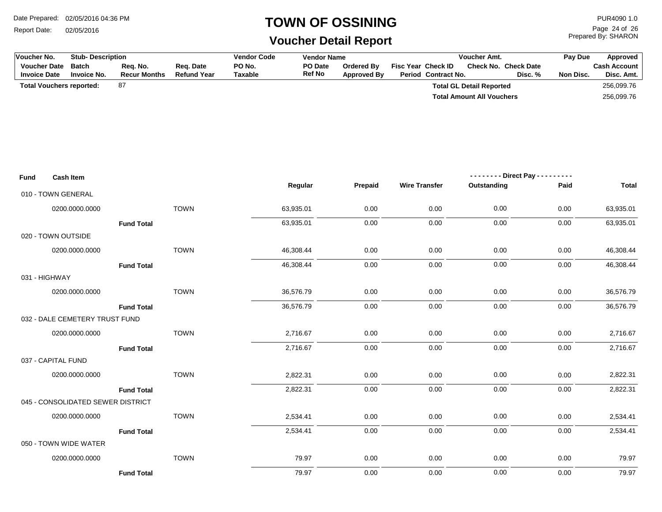Report Date: 02/05/2016

## **TOWN OF OSSINING**

## **Voucher Detail Report**

Prepared By: SHARON Page 24 of 26

| Voucher No.                                | <b>Stub-Description</b>            |                                 | <b>Vendor Code</b><br><b>Vendor Name</b><br>Voucher Amt. |                          | Pay Due           | Approved                         |                                           |                                  |                               |                                   |
|--------------------------------------------|------------------------------------|---------------------------------|----------------------------------------------------------|--------------------------|-------------------|----------------------------------|-------------------------------------------|----------------------------------|-------------------------------|-----------------------------------|
| <b>Voucher Date</b><br><b>Invoice Date</b> | <b>Batch</b><br><b>Invoice No.</b> | Req. No.<br><b>Recur Months</b> | Req. Date<br><b>Refund Year</b>                          | PO No.<br><b>Taxable</b> | PO Date<br>Ref No | Ordered By<br><b>Approved By</b> | Fisc Year Check ID<br>Period Contract No. | Check No. Check Date             | Disc. %<br>Non Disc.          | <b>Cash Account</b><br>Disc. Amt. |
| <b>Total Vouchers reported:</b>            |                                    | 87                              |                                                          |                          |                   |                                  |                                           | <b>Total GL Detail Reported</b>  |                               | 256,099.76                        |
|                                            |                                    |                                 |                                                          |                          |                   |                                  |                                           | <b>Total Amount All Vouchers</b> |                               | 256,099.76                        |
|                                            |                                    |                                 |                                                          |                          |                   |                                  |                                           |                                  |                               |                                   |
|                                            |                                    |                                 |                                                          |                          |                   |                                  |                                           |                                  |                               |                                   |
|                                            |                                    |                                 |                                                          |                          |                   |                                  |                                           |                                  |                               |                                   |
|                                            |                                    |                                 |                                                          |                          |                   |                                  |                                           |                                  |                               |                                   |
| Fund                                       | <b>Cash Item</b>                   |                                 |                                                          |                          |                   |                                  |                                           |                                  | -------- Direct Pay --------- |                                   |
|                                            |                                    |                                 |                                                          |                          | Regular           | Prepaid                          | <b>Wire Transfer</b>                      | Outstanding                      | Paid                          | <b>Total</b>                      |
| 010 - TOWN GENERAL                         |                                    |                                 |                                                          |                          |                   |                                  |                                           |                                  |                               |                                   |
|                                            | 0200.0000.0000                     |                                 | <b>TOWN</b>                                              |                          | 63,935.01         | 0.00                             | 0.00                                      | 0.00                             | 0.00                          | 63,935.01                         |
|                                            |                                    | <b>Fund Total</b>               |                                                          |                          | 63,935.01         | 0.00                             | 0.00                                      | 0.00                             | 0.00                          | 63,935.01                         |
| 020 - TOWN OUTSIDE                         |                                    |                                 |                                                          |                          |                   |                                  |                                           |                                  |                               |                                   |
|                                            | 0200.0000.0000                     |                                 | <b>TOWN</b>                                              |                          | 46,308.44         | 0.00                             | 0.00                                      | 0.00                             | 0.00                          | 46,308.44                         |
|                                            |                                    | <b>Fund Total</b>               |                                                          |                          | 46,308.44         | 0.00                             | 0.00                                      | 0.00                             | 0.00                          | 46,308.44                         |
| 031 - HIGHWAY                              |                                    |                                 |                                                          |                          |                   |                                  |                                           |                                  |                               |                                   |
|                                            | 0200.0000.0000                     |                                 | <b>TOWN</b>                                              |                          | 36,576.79         | 0.00                             | 0.00                                      | 0.00                             | 0.00                          | 36,576.79                         |
|                                            |                                    | <b>Fund Total</b>               |                                                          |                          | 36,576.79         | 0.00                             | 0.00                                      | 0.00                             | 0.00                          | 36,576.79                         |
|                                            | 032 - DALE CEMETERY TRUST FUND     |                                 |                                                          |                          |                   |                                  |                                           |                                  |                               |                                   |
|                                            | 0200.0000.0000                     |                                 | <b>TOWN</b>                                              |                          | 2,716.67          | 0.00                             | 0.00                                      | 0.00                             | 0.00                          | 2,716.67                          |
|                                            |                                    | <b>Fund Total</b>               |                                                          |                          | 2,716.67          | 0.00                             | 0.00                                      | 0.00                             | 0.00                          | 2,716.67                          |
| 037 - CAPITAL FUND                         |                                    |                                 |                                                          |                          |                   |                                  |                                           |                                  |                               |                                   |
|                                            | 0200.0000.0000                     |                                 | <b>TOWN</b>                                              |                          | 2,822.31          | 0.00                             | 0.00                                      | 0.00                             | 0.00                          | 2,822.31                          |
|                                            |                                    | <b>Fund Total</b>               |                                                          |                          | 2,822.31          | 0.00                             | 0.00                                      | 0.00                             | 0.00                          | 2,822.31                          |
|                                            | 045 - CONSOLIDATED SEWER DISTRICT  |                                 |                                                          |                          |                   |                                  |                                           |                                  |                               |                                   |
|                                            | 0200.0000.0000                     |                                 | <b>TOWN</b>                                              |                          | 2,534.41          | 0.00                             | 0.00                                      | 0.00                             | 0.00                          | 2,534.41                          |
|                                            |                                    | <b>Fund Total</b>               |                                                          |                          | 2,534.41          | 0.00                             | 0.00                                      | 0.00                             | 0.00                          | 2,534.41                          |
| 050 - TOWN WIDE WATER                      |                                    |                                 |                                                          |                          |                   |                                  |                                           |                                  |                               |                                   |
|                                            | 0200.0000.0000                     |                                 | <b>TOWN</b>                                              |                          | 79.97             | 0.00                             | 0.00                                      | 0.00                             | 0.00                          | 79.97                             |
|                                            |                                    | <b>Fund Total</b>               |                                                          |                          | 79.97             | 0.00                             | 0.00                                      | 0.00                             | 0.00                          | 79.97                             |
|                                            |                                    |                                 |                                                          |                          |                   |                                  |                                           |                                  |                               |                                   |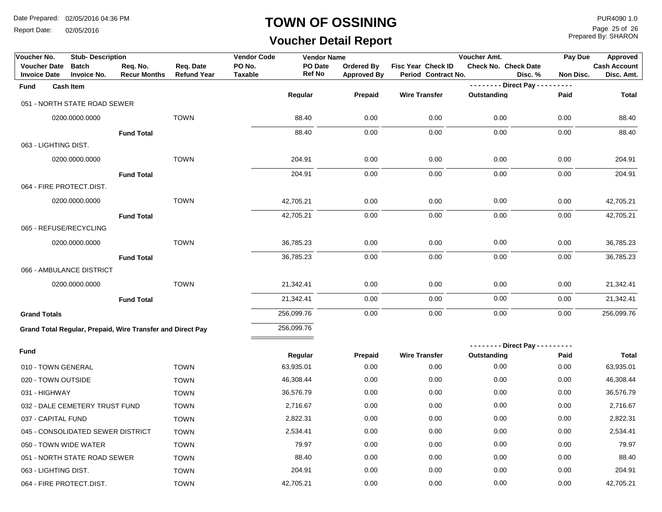Report Date: 02/05/2016

#### **TOWN OF OSSINING**

## **Voucher Detail Report**

Prepared By: SHARON Page 25 of 26

| Voucher No.                                | <b>Stub-Description</b>                                    |                                 |                                 | <b>Vendor Code</b>       | <b>Vendor Name</b>       |                                         |                                           | Voucher Amt.                   | Pay Due              | <b>Approved</b>                   |
|--------------------------------------------|------------------------------------------------------------|---------------------------------|---------------------------------|--------------------------|--------------------------|-----------------------------------------|-------------------------------------------|--------------------------------|----------------------|-----------------------------------|
| <b>Voucher Date</b><br><b>Invoice Date</b> | <b>Batch</b><br><b>Invoice No.</b>                         | Req. No.<br><b>Recur Months</b> | Req. Date<br><b>Refund Year</b> | PO No.<br><b>Taxable</b> | PO Date<br><b>Ref No</b> | <b>Ordered By</b><br><b>Approved By</b> | Fisc Year Check ID<br>Period Contract No. | <b>Check No. Check Date</b>    | Disc. %<br>Non Disc. | <b>Cash Account</b><br>Disc. Amt. |
| <b>Fund</b>                                | <b>Cash Item</b>                                           |                                 |                                 |                          |                          |                                         |                                           | - - - - - - - - Direct Pay - - | $- - - -$            |                                   |
|                                            | 051 - NORTH STATE ROAD SEWER                               |                                 |                                 |                          | Regular                  | Prepaid                                 | <b>Wire Transfer</b>                      | Outstanding                    | Paid                 | <b>Total</b>                      |
|                                            |                                                            |                                 |                                 |                          |                          |                                         |                                           |                                |                      |                                   |
|                                            | 0200.0000.0000                                             |                                 | <b>TOWN</b>                     |                          | 88.40                    | 0.00                                    | 0.00                                      | 0.00                           | 0.00                 | 88.40                             |
|                                            |                                                            | <b>Fund Total</b>               |                                 |                          | 88.40                    | 0.00                                    | 0.00                                      | 0.00                           | 0.00                 | 88.40                             |
| 063 - LIGHTING DIST.                       |                                                            |                                 |                                 |                          |                          |                                         |                                           |                                |                      |                                   |
|                                            | 0200.0000.0000                                             |                                 | <b>TOWN</b>                     |                          | 204.91                   | 0.00                                    | 0.00                                      | 0.00                           | 0.00                 | 204.91                            |
|                                            |                                                            | <b>Fund Total</b>               |                                 |                          | 204.91                   | 0.00                                    | 0.00                                      | 0.00                           | 0.00                 | 204.91                            |
| 064 - FIRE PROTECT.DIST.                   |                                                            |                                 |                                 |                          |                          |                                         |                                           |                                |                      |                                   |
|                                            | 0200.0000.0000                                             |                                 | <b>TOWN</b>                     |                          | 42,705.21                | 0.00                                    | 0.00                                      | 0.00                           | 0.00                 | 42,705.21                         |
|                                            |                                                            | <b>Fund Total</b>               |                                 |                          | 42,705.21                | 0.00                                    | 0.00                                      | 0.00                           | 0.00                 | 42,705.21                         |
| 065 - REFUSE/RECYCLING                     |                                                            |                                 |                                 |                          |                          |                                         |                                           |                                |                      |                                   |
|                                            | 0200.0000.0000                                             |                                 | <b>TOWN</b>                     |                          | 36,785.23                | 0.00                                    | 0.00                                      | 0.00                           | 0.00                 | 36,785.23                         |
|                                            |                                                            | <b>Fund Total</b>               |                                 |                          | 36,785.23                | 0.00                                    | 0.00                                      | 0.00                           | 0.00                 | 36,785.23                         |
|                                            | 066 - AMBULANCE DISTRICT                                   |                                 |                                 |                          |                          |                                         |                                           |                                |                      |                                   |
|                                            | 0200.0000.0000                                             |                                 | <b>TOWN</b>                     |                          | 21,342.41                | 0.00                                    | 0.00                                      | 0.00                           | 0.00                 | 21,342.41                         |
|                                            |                                                            | <b>Fund Total</b>               |                                 |                          | 21,342.41                | 0.00                                    | 0.00                                      | 0.00                           | 0.00                 | 21,342.41                         |
| <b>Grand Totals</b>                        |                                                            |                                 |                                 |                          | 256,099.76               | 0.00                                    | 0.00                                      | 0.00                           | 0.00                 | 256,099.76                        |
|                                            | Grand Total Regular, Prepaid, Wire Transfer and Direct Pay |                                 |                                 |                          | 256,099.76               |                                         |                                           |                                |                      |                                   |
|                                            |                                                            |                                 |                                 |                          |                          |                                         |                                           | -------- Direct Pay ----       | -----                |                                   |
| Fund                                       |                                                            |                                 |                                 |                          | Regular                  | Prepaid                                 | <b>Wire Transfer</b>                      | Outstanding                    | Paid                 | <b>Total</b>                      |
| 010 - TOWN GENERAL                         |                                                            |                                 | <b>TOWN</b>                     |                          | 63,935.01                | 0.00                                    | 0.00                                      | 0.00                           | 0.00                 | 63,935.01                         |
| 020 - TOWN OUTSIDE                         |                                                            |                                 | <b>TOWN</b>                     |                          | 46,308.44                | 0.00                                    | 0.00                                      | 0.00                           | 0.00                 | 46,308.44                         |
| 031 - HIGHWAY                              |                                                            |                                 | <b>TOWN</b>                     |                          | 36,576.79                | 0.00                                    | 0.00                                      | 0.00                           | 0.00                 | 36,576.79                         |
|                                            | 032 - DALE CEMETERY TRUST FUND                             |                                 | <b>TOWN</b>                     |                          | 2,716.67                 | 0.00                                    | 0.00                                      | 0.00                           | 0.00                 | 2,716.67                          |
| 037 - CAPITAL FUND                         |                                                            |                                 | <b>TOWN</b>                     |                          | 2,822.31                 | 0.00                                    | 0.00                                      | 0.00                           | 0.00                 | 2,822.31                          |
|                                            | 045 - CONSOLIDATED SEWER DISTRICT                          |                                 | <b>TOWN</b>                     |                          | 2,534.41                 | 0.00                                    | 0.00                                      | 0.00                           | 0.00                 | 2,534.41                          |
| 050 - TOWN WIDE WATER                      |                                                            |                                 | <b>TOWN</b>                     |                          | 79.97                    | 0.00                                    | 0.00                                      | 0.00                           | 0.00                 | 79.97                             |
|                                            | 051 - NORTH STATE ROAD SEWER                               |                                 | <b>TOWN</b>                     |                          | 88.40                    | 0.00                                    | 0.00                                      | 0.00                           | 0.00                 | 88.40                             |
| 063 - LIGHTING DIST.                       |                                                            |                                 | <b>TOWN</b>                     |                          | 204.91                   | 0.00                                    | 0.00                                      | 0.00                           | 0.00                 | 204.91                            |
| 064 - FIRE PROTECT.DIST.                   |                                                            |                                 | <b>TOWN</b>                     |                          | 42,705.21                | 0.00                                    | 0.00                                      | 0.00                           | 0.00                 | 42,705.21                         |